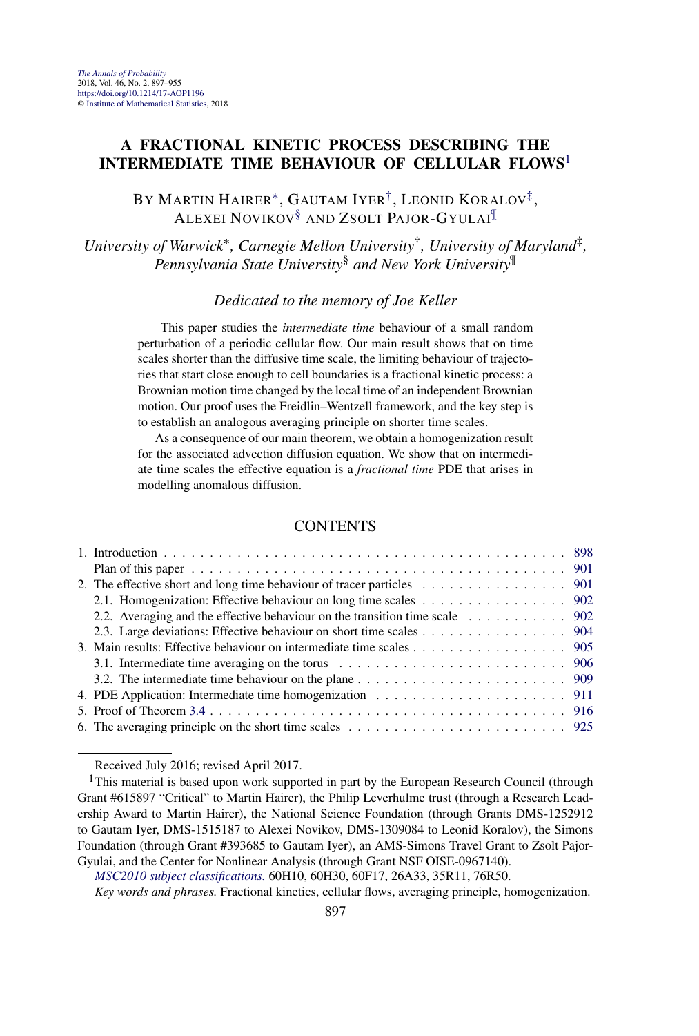# **A FRACTIONAL KINETIC PROCESS DESCRIBING THE INTERMEDIATE TIME BEHAVIOUR OF CELLULAR FLOWS**<sup>1</sup>

BY MARTIN HAIRER∗, GAUTAM IYER†, LEONID KORALOV‡, ALEXEI NOVIKOV§ AND ZSOLT PAJOR-GYULAI¶

*University of Warwick*∗*, Carnegie Mellon University*†*, University of Maryland*‡*, Pennsylvania State University*§ *and New York University*¶

### *Dedicated to the memory of Joe Keller*

This paper studies the *intermediate time* behaviour of a small random perturbation of a periodic cellular flow. Our main result shows that on time scales shorter than the diffusive time scale, the limiting behaviour of trajectories that start close enough to cell boundaries is a fractional kinetic process: a Brownian motion time changed by the local time of an independent Brownian motion. Our proof uses the Freidlin–Wentzell framework, and the key step is to establish an analogous averaging principle on shorter time scales.

As a consequence of our main theorem, we obtain a homogenization result for the associated advection diffusion equation. We show that on intermediate time scales the effective equation is a *fractional time* PDE that arises in modelling anomalous diffusion.

## **CONTENTS**

| 2. The effective short and long time behaviour of tracer particles $\ldots \ldots \ldots \ldots \ldots$ 901 |  |
|-------------------------------------------------------------------------------------------------------------|--|
| 2.1. Homogenization: Effective behaviour on long time scales 902                                            |  |
| 2.2. Averaging and the effective behaviour on the transition time scale 902                                 |  |
| 2.3. Large deviations: Effective behaviour on short time scales 904                                         |  |
| 3. Main results: Effective behaviour on intermediate time scales 905                                        |  |
|                                                                                                             |  |
|                                                                                                             |  |
|                                                                                                             |  |
|                                                                                                             |  |
|                                                                                                             |  |
|                                                                                                             |  |

Received July 2016; revised April 2017.

*Key words and phrases.* Fractional kinetics, cellular flows, averaging principle, homogenization.

<sup>&</sup>lt;sup>1</sup>This material is based upon work supported in part by the European Research Council (through Grant #615897 "Critical" to Martin Hairer), the Philip Leverhulme trust (through a Research Leadership Award to Martin Hairer), the National Science Foundation (through Grants DMS-1252912 to Gautam Iyer, DMS-1515187 to Alexei Novikov, DMS-1309084 to Leonid Koralov), the Simons Foundation (through Grant #393685 to Gautam Iyer), an AMS-Simons Travel Grant to Zsolt Pajor-Gyulai, and the Center for Nonlinear Analysis (through Grant NSF OISE-0967140).

*[MSC2010 subject classifications.](http://www.ams.org/mathscinet/msc/msc2010.html)* 60H10, 60H30, 60F17, 26A33, 35R11, 76R50.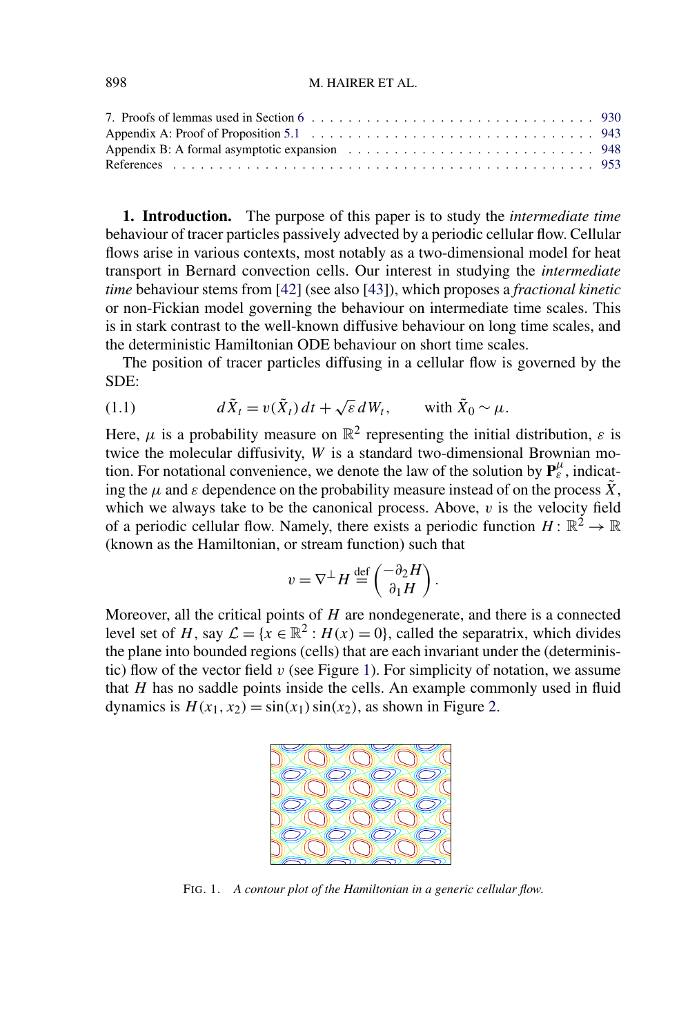<span id="page-1-0"></span>

**1. Introduction.** The purpose of this paper is to study the *intermediate time* behaviour of tracer particles passively advected by a periodic cellular flow. Cellular flows arise in various contexts, most notably as a two-dimensional model for heat transport in Bernard convection cells. Our interest in studying the *intermediate time* behaviour stems from [\[42\]](#page-57-0) (see also [\[43\]](#page-58-0)), which proposes a *fractional kinetic* or non-Fickian model governing the behaviour on intermediate time scales. This is in stark contrast to the well-known diffusive behaviour on long time scales, and the deterministic Hamiltonian ODE behaviour on short time scales.

The position of tracer particles diffusing in a cellular flow is governed by the SDE:

(1.1) 
$$
d\tilde{X}_t = v(\tilde{X}_t) dt + \sqrt{\varepsilon} dW_t, \quad \text{with } \tilde{X}_0 \sim \mu.
$$

Here,  $\mu$  is a probability measure on  $\mathbb{R}^2$  representing the initial distribution,  $\varepsilon$  is twice the molecular diffusivity, *W* is a standard two-dimensional Brownian motion. For notational convenience, we denote the law of the solution by  $P_{\varepsilon}^{\mu}$ , indicating the  $\mu$  and  $\varepsilon$  dependence on the probability measure instead of on the process  $\tilde{X}$ , which we always take to be the canonical process. Above, *v* is the velocity field of a periodic cellular flow. Namely, there exists a periodic function  $H: \mathbb{R}^2 \to \mathbb{R}$ (known as the Hamiltonian, or stream function) such that

$$
v = \nabla^{\perp} H \stackrel{\text{def}}{=} \begin{pmatrix} -\partial_2 H \\ \partial_1 H \end{pmatrix}.
$$

Moreover, all the critical points of *H* are nondegenerate, and there is a connected level set of *H*, say  $\mathcal{L} = \{x \in \mathbb{R}^2 : H(x) = 0\}$ , called the separatrix, which divides the plane into bounded regions (cells) that are each invariant under the (deterministic) flow of the vector field *v* (see Figure 1). For simplicity of notation, we assume that *H* has no saddle points inside the cells. An example commonly used in fluid dynamics is  $H(x_1, x_2) = \sin(x_1) \sin(x_2)$ , as shown in Figure [2.](#page-2-0)



FIG. 1. *A contour plot of the Hamiltonian in a generic cellular flow*.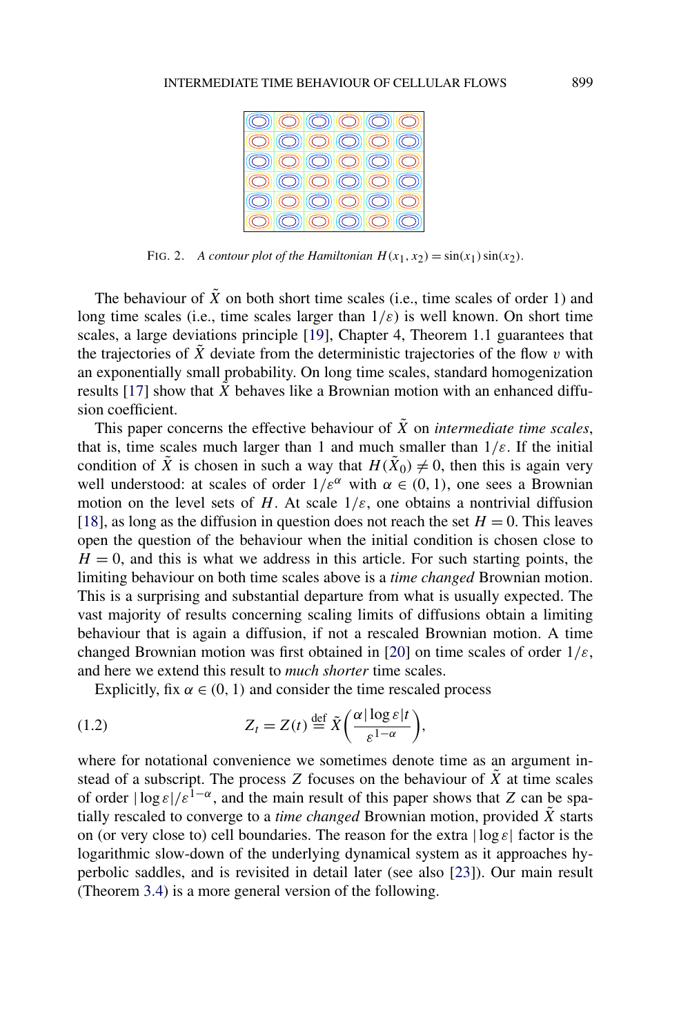<span id="page-2-0"></span>

FIG. 2. *A contour plot of the Hamiltonian*  $H(x_1, x_2) = \sin(x_1) \sin(x_2)$ .

The behaviour of  $\tilde{X}$  on both short time scales (i.e., time scales of order 1) and long time scales (i.e., time scales larger than  $1/\varepsilon$ ) is well known. On short time scales, a large deviations principle [\[19\]](#page-56-0), Chapter 4, Theorem 1.1 guarantees that the trajectories of  $\tilde{X}$  deviate from the deterministic trajectories of the flow  $v$  with an exponentially small probability. On long time scales, standard homogenization results [\[17\]](#page-56-0) show that  $\tilde{X}$  behaves like a Brownian motion with an enhanced diffusion coefficient.

This paper concerns the effective behaviour of  $\tilde{X}$  on *intermediate time scales*, that is, time scales much larger than 1 and much smaller than  $1/\varepsilon$ . If the initial condition of  $\tilde{X}$  is chosen in such a way that  $H(\tilde{X}_0) \neq 0$ , then this is again very well understood: at scales of order  $1/\varepsilon^{\alpha}$  with  $\alpha \in (0, 1)$ , one sees a Brownian motion on the level sets of *H*. At scale  $1/\varepsilon$ , one obtains a nontrivial diffusion [\[18\]](#page-56-0), as long as the diffusion in question does not reach the set  $H = 0$ . This leaves open the question of the behaviour when the initial condition is chosen close to  $H = 0$ , and this is what we address in this article. For such starting points, the limiting behaviour on both time scales above is a *time changed* Brownian motion. This is a surprising and substantial departure from what is usually expected. The vast majority of results concerning scaling limits of diffusions obtain a limiting behaviour that is again a diffusion, if not a rescaled Brownian motion. A time changed Brownian motion was first obtained in [\[20\]](#page-56-0) on time scales of order 1*/ε*, and here we extend this result to *much shorter* time scales.

Explicitly, fix  $\alpha \in (0, 1)$  and consider the time rescaled process

(1.2) 
$$
Z_t = Z(t) \stackrel{\text{def}}{=} \tilde{X}\left(\frac{\alpha|\log \varepsilon|t}{\varepsilon^{1-\alpha}}\right),
$$

where for notational convenience we sometimes denote time as an argument instead of a subscript. The process *Z* focuses on the behaviour of  $\tilde{X}$  at time scales of order  $|\log \varepsilon|/ \varepsilon^{1-\alpha}$ , and the main result of this paper shows that *Z* can be spatially rescaled to converge to a *time changed* Brownian motion, provided  $\tilde{X}$  starts on (or very close to) cell boundaries. The reason for the extra |log *ε*| factor is the logarithmic slow-down of the underlying dynamical system as it approaches hyperbolic saddles, and is revisited in detail later (see also [\[23\]](#page-57-0)). Our main result (Theorem [3.4\)](#page-13-0) is a more general version of the following.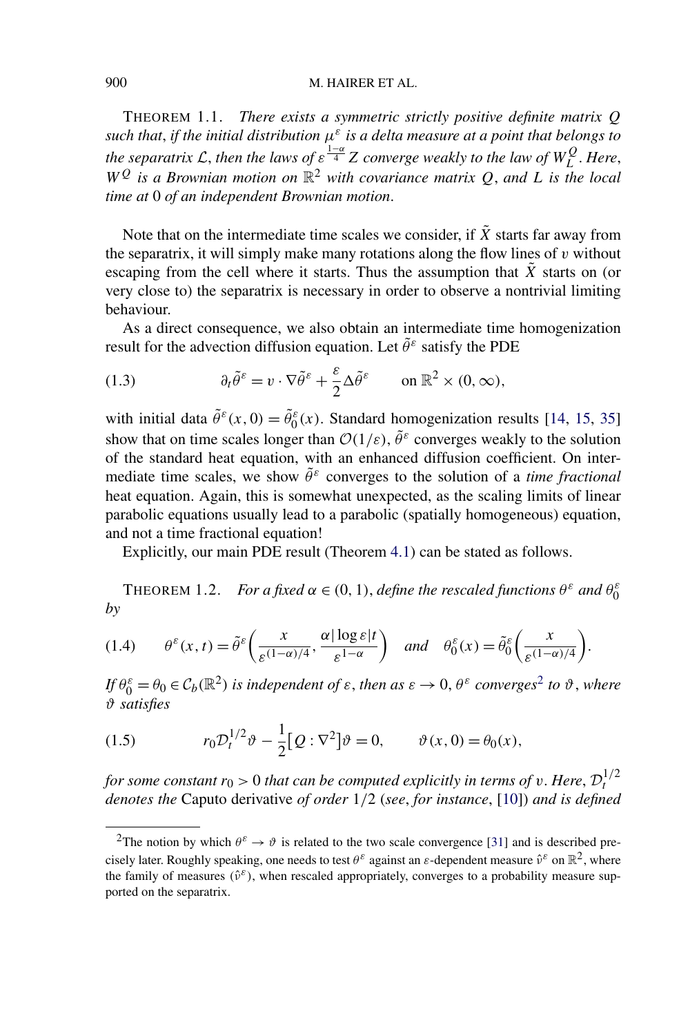<span id="page-3-0"></span>THEOREM 1.1. *There exists a symmetric strictly positive definite matrix Q such that*, *if the initial distribution μ<sup>ε</sup> is a delta measure at a point that belongs to the separatrix* L, then the laws of  $\varepsilon^{\frac{1-\alpha}{4}}$  Z converge weakly to the law of  $W_L^Q$ . Here,  $W<sup>Q</sup>$  *is a Brownian motion on*  $\mathbb{R}^2$  *with covariance matrix Q*, *and L is the local time at* 0 *of an independent Brownian motion*.

Note that on the intermediate time scales we consider, if  $\tilde{X}$  starts far away from the separatrix, it will simply make many rotations along the flow lines of *v* without escaping from the cell where it starts. Thus the assumption that  $\tilde{X}$  starts on (or very close to) the separatrix is necessary in order to observe a nontrivial limiting behaviour.

As a direct consequence, we also obtain an intermediate time homogenization result for the advection diffusion equation. Let *θ*˜*<sup>ε</sup>* satisfy the PDE

(1.3) 
$$
\partial_t \tilde{\theta}^\varepsilon = v \cdot \nabla \tilde{\theta}^\varepsilon + \frac{\varepsilon}{2} \Delta \tilde{\theta}^\varepsilon \quad \text{on } \mathbb{R}^2 \times (0, \infty),
$$

with initial data  $\tilde{\theta}^{\varepsilon}(x,0) = \tilde{\theta}^{\varepsilon}_0(x)$ . Standard homogenization results [\[14,](#page-56-0) [15,](#page-56-0) [35\]](#page-57-0) show that on time scales longer than  $\mathcal{O}(1/\varepsilon)$ ,  $\tilde{\theta}^{\varepsilon}$  converges weakly to the solution of the standard heat equation, with an enhanced diffusion coefficient. On intermediate time scales, we show  $\tilde{\theta}^{\varepsilon}$  converges to the solution of a *time fractional* heat equation. Again, this is somewhat unexpected, as the scaling limits of linear parabolic equations usually lead to a parabolic (spatially homogeneous) equation, and not a time fractional equation!

Explicitly, our main PDE result (Theorem [4.1\)](#page-15-0) can be stated as follows.

**THEOREM 1.2.** *For a fixed*  $\alpha \in (0, 1)$ *, define the rescaled functions*  $\theta^{\varepsilon}$  *and*  $\theta_0^{\varepsilon}$ *by*

$$
(1.4) \qquad \theta^{\varepsilon}(x,t) = \tilde{\theta}^{\varepsilon}\bigg(\frac{x}{\varepsilon^{(1-\alpha)/4}}, \frac{\alpha |\log \varepsilon|t}{\varepsilon^{1-\alpha}}\bigg) \quad \text{and} \quad \theta^{\varepsilon}_0(x) = \tilde{\theta}^{\varepsilon}_0\bigg(\frac{x}{\varepsilon^{(1-\alpha)/4}}\bigg).
$$

 $If \theta_0^{\varepsilon} = \theta_0 \in C_b(\mathbb{R}^2)$  *is independent of*  $\varepsilon$ , *then as*  $\varepsilon \to 0$ ,  $\theta^{\varepsilon}$  *converges*<sup>2</sup> *to*  $\vartheta$ , *where ϑ satisfies*

(1.5) 
$$
r_0 \mathcal{D}_t^{1/2} \vartheta - \frac{1}{2} [Q : \nabla^2] \vartheta = 0, \qquad \vartheta(x, 0) = \theta_0(x),
$$

*for some constant*  $r_0 > 0$  *that can be computed explicitly in terms of v*. *Here*,  $\mathcal{D}_t^{1/2}$ *denotes the* Caputo derivative *of order* 1*/*2 (*see*, *for instance*, [\[10\]](#page-56-0)) *and is defined*

<sup>&</sup>lt;sup>2</sup>The notion by which  $\theta^{\varepsilon} \to \vartheta$  is related to the two scale convergence [\[31\]](#page-57-0) and is described precisely later. Roughly speaking, one needs to test  $\theta^{\varepsilon}$  against an  $\varepsilon$ -dependent measure  $\hat{v}^{\varepsilon}$  on  $\mathbb{R}^2$ , where the family of measures  $(\hat{v}^{\varepsilon})$ , when rescaled appropriately, converges to a probability measure supported on the separatrix.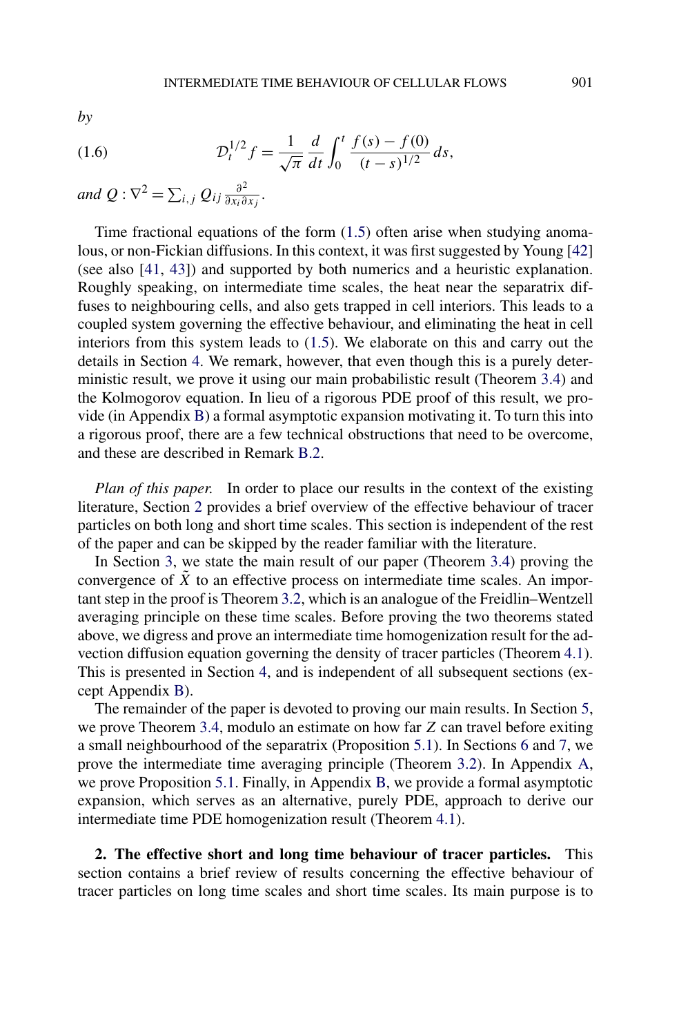<span id="page-4-0"></span>*by*

(1.6) 
$$
\mathcal{D}_t^{1/2} f = \frac{1}{\sqrt{\pi}} \frac{d}{dt} \int_0^t \frac{f(s) - f(0)}{(t - s)^{1/2}} ds,
$$

*and*  $Q: \nabla^2 = \sum_{i,j} Q_{ij} \frac{\partial^2}{\partial x_i \partial x_j}$ .

Time fractional equations of the form [\(1.5\)](#page-3-0) often arise when studying anomalous, or non-Fickian diffusions. In this context, it was first suggested by Young [\[42\]](#page-57-0) (see also [\[41,](#page-57-0) [43\]](#page-58-0)) and supported by both numerics and a heuristic explanation. Roughly speaking, on intermediate time scales, the heat near the separatrix diffuses to neighbouring cells, and also gets trapped in cell interiors. This leads to a coupled system governing the effective behaviour, and eliminating the heat in cell interiors from this system leads to [\(1.5\)](#page-3-0). We elaborate on this and carry out the details in Section [4.](#page-14-0) We remark, however, that even though this is a purely deterministic result, we prove it using our main probabilistic result (Theorem [3.4\)](#page-13-0) and the Kolmogorov equation. In lieu of a rigorous PDE proof of this result, we provide (in Appendix [B\)](#page-51-0) a formal asymptotic expansion motivating it. To turn this into a rigorous proof, there are a few technical obstructions that need to be overcome, and these are described in Remark [B.2.](#page-55-0)

*Plan of this paper*. In order to place our results in the context of the existing literature, Section 2 provides a brief overview of the effective behaviour of tracer particles on both long and short time scales. This section is independent of the rest of the paper and can be skipped by the reader familiar with the literature.

In Section [3,](#page-8-0) we state the main result of our paper (Theorem [3.4\)](#page-13-0) proving the convergence of  $\tilde{X}$  to an effective process on intermediate time scales. An important step in the proof is Theorem [3.2,](#page-11-0) which is an analogue of the Freidlin–Wentzell averaging principle on these time scales. Before proving the two theorems stated above, we digress and prove an intermediate time homogenization result for the advection diffusion equation governing the density of tracer particles (Theorem [4.1\)](#page-15-0). This is presented in Section [4,](#page-14-0) and is independent of all subsequent sections (except Appendix [B\)](#page-51-0).

The remainder of the paper is devoted to proving our main results. In Section [5,](#page-19-0) we prove Theorem [3.4,](#page-13-0) modulo an estimate on how far *Z* can travel before exiting a small neighbourhood of the separatrix (Proposition [5.1\)](#page-20-0). In Sections [6](#page-28-0) and [7,](#page-33-0) we prove the intermediate time averaging principle (Theorem [3.2\)](#page-11-0). In Appendix [A,](#page-46-0) we prove Proposition [5.1.](#page-20-0) Finally, in Appendix [B,](#page-51-0) we provide a formal asymptotic expansion, which serves as an alternative, purely PDE, approach to derive our intermediate time PDE homogenization result (Theorem [4.1\)](#page-15-0).

**2. The effective short and long time behaviour of tracer particles.** This section contains a brief review of results concerning the effective behaviour of tracer particles on long time scales and short time scales. Its main purpose is to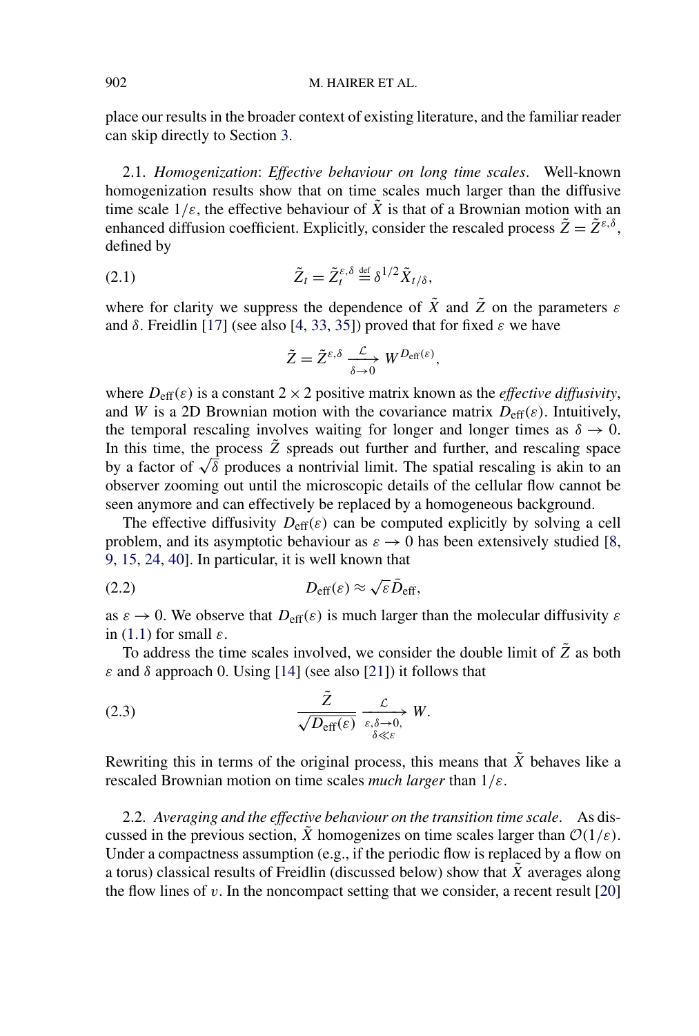<span id="page-5-0"></span>place our results in the broader context of existing literature, and the familiar reader can skip directly to Section [3.](#page-8-0)

2.1. *Homogenization*: *Effective behaviour on long time scales*. Well-known homogenization results show that on time scales much larger than the diffusive time scale  $1/\varepsilon$ , the effective behaviour of  $\tilde{X}$  is that of a Brownian motion with an enhanced diffusion coefficient. Explicitly, consider the rescaled process  $\tilde{Z} = \tilde{Z}^{\varepsilon,\delta}$ . defined by

(2.1) 
$$
\tilde{Z}_t = \tilde{Z}_t^{\varepsilon,\delta} \stackrel{\text{def}}{=} \delta^{1/2} \tilde{X}_{t/\delta},
$$

where for clarity we suppress the dependence of  $\tilde{X}$  and  $\tilde{Z}$  on the parameters  $\varepsilon$ and  $\delta$ . Freidlin [\[17\]](#page-56-0) (see also [\[4,](#page-56-0) [33,](#page-57-0) [35\]](#page-57-0)) proved that for fixed  $\varepsilon$  we have

$$
\tilde{Z} = \tilde{Z}^{\varepsilon,\delta} \xrightarrow[\delta \to 0]{} W^{D_{\text{eff}}(\varepsilon)},
$$

where  $D_{\text{eff}}(\varepsilon)$  is a constant  $2 \times 2$  positive matrix known as the *effective diffusivity*, and *W* is a 2D Brownian motion with the covariance matrix  $D_{\text{eff}}(\varepsilon)$ . Intuitively, the temporal rescaling involves waiting for longer and longer times as  $\delta \to 0$ . In this time, the process  $\tilde{Z}$  spreads out further and further, and rescaling space by a factor of  $\sqrt{\delta}$  produces a nontrivial limit. The spatial rescaling is akin to an observer zooming out until the microscopic details of the cellular flow cannot be seen anymore and can effectively be replaced by a homogeneous background.

The effective diffusivity  $D_{\text{eff}}(\varepsilon)$  can be computed explicitly by solving a cell problem, and its asymptotic behaviour as  $\varepsilon \to 0$  has been extensively studied [\[8,](#page-56-0) [9,](#page-56-0) [15,](#page-56-0) [24,](#page-57-0) [40\]](#page-57-0). In particular, it is well known that

(2.2) 
$$
D_{\text{eff}}(\varepsilon) \approx \sqrt{\varepsilon} \bar{D}_{\text{eff}},
$$

as  $\varepsilon \to 0$ . We observe that  $D_{\text{eff}}(\varepsilon)$  is much larger than the molecular diffusivity  $\varepsilon$ in [\(1.1\)](#page-1-0) for small *ε*.

To address the time scales involved, we consider the double limit of *Z*˜ as both *ε* and *δ* approach 0. Using [\[14\]](#page-56-0) (see also [\[21\]](#page-57-0)) it follows that

(2.3) 
$$
\frac{\tilde{Z}}{\sqrt{D_{\text{eff}}(\varepsilon)}} \xrightarrow[\varepsilon, \delta \to 0]{\mathcal{L}} W.
$$

Rewriting this in terms of the original process, this means that  $\tilde{X}$  behaves like a rescaled Brownian motion on time scales *much larger* than 1*/ε*.

2.2. *Averaging and the effective behaviour on the transition time scale*. As discussed in the previous section,  $\tilde{X}$  homogenizes on time scales larger than  $\mathcal{O}(1/\varepsilon)$ . Under a compactness assumption (e.g., if the periodic flow is replaced by a flow on a torus) classical results of Freidlin (discussed below) show that  $\tilde{X}$  averages along the flow lines of  $v$ . In the noncompact setting that we consider, a recent result  $[20]$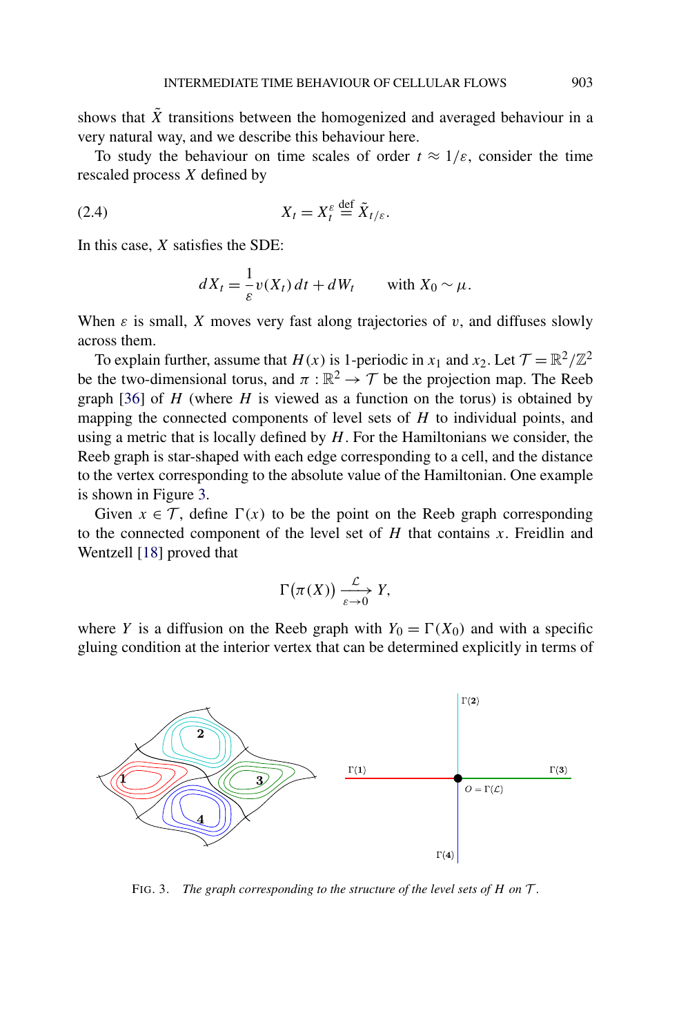<span id="page-6-0"></span>shows that  $\tilde{X}$  transitions between the homogenized and averaged behaviour in a very natural way, and we describe this behaviour here.

To study the behaviour on time scales of order  $t \approx 1/\varepsilon$ , consider the time rescaled process *X* defined by

$$
(2.4) \t\t X_t = X_t^{\varepsilon} \stackrel{\text{def}}{=} \tilde{X}_{t/\varepsilon}.
$$

In this case, *X* satisfies the SDE:

$$
dX_t = \frac{1}{\varepsilon} v(X_t) dt + dW_t \quad \text{with } X_0 \sim \mu.
$$

When  $\varepsilon$  is small, *X* moves very fast along trajectories of *v*, and diffuses slowly across them.

To explain further, assume that  $H(x)$  is 1-periodic in  $x_1$  and  $x_2$ . Let  $\mathcal{T} = \mathbb{R}^2 / \mathbb{Z}^2$ be the two-dimensional torus, and  $\pi : \mathbb{R}^2 \to \mathcal{T}$  be the projection map. The Reeb graph [\[36\]](#page-57-0) of *H* (where *H* is viewed as a function on the torus) is obtained by mapping the connected components of level sets of *H* to individual points, and using a metric that is locally defined by *H*. For the Hamiltonians we consider, the Reeb graph is star-shaped with each edge corresponding to a cell, and the distance to the vertex corresponding to the absolute value of the Hamiltonian. One example is shown in Figure 3.

Given  $x \in \mathcal{T}$ , define  $\Gamma(x)$  to be the point on the Reeb graph corresponding to the connected component of the level set of *H* that contains *x*. Freidlin and Wentzell [\[18\]](#page-56-0) proved that

$$
\Gamma(\pi(X)) \xrightarrow[\varepsilon \to 0]{\mathcal{L}} Y,
$$

where *Y* is a diffusion on the Reeb graph with  $Y_0 = \Gamma(X_0)$  and with a specific gluing condition at the interior vertex that can be determined explicitly in terms of



FIG. 3. *The graph corresponding to the structure of the level sets of H on* T .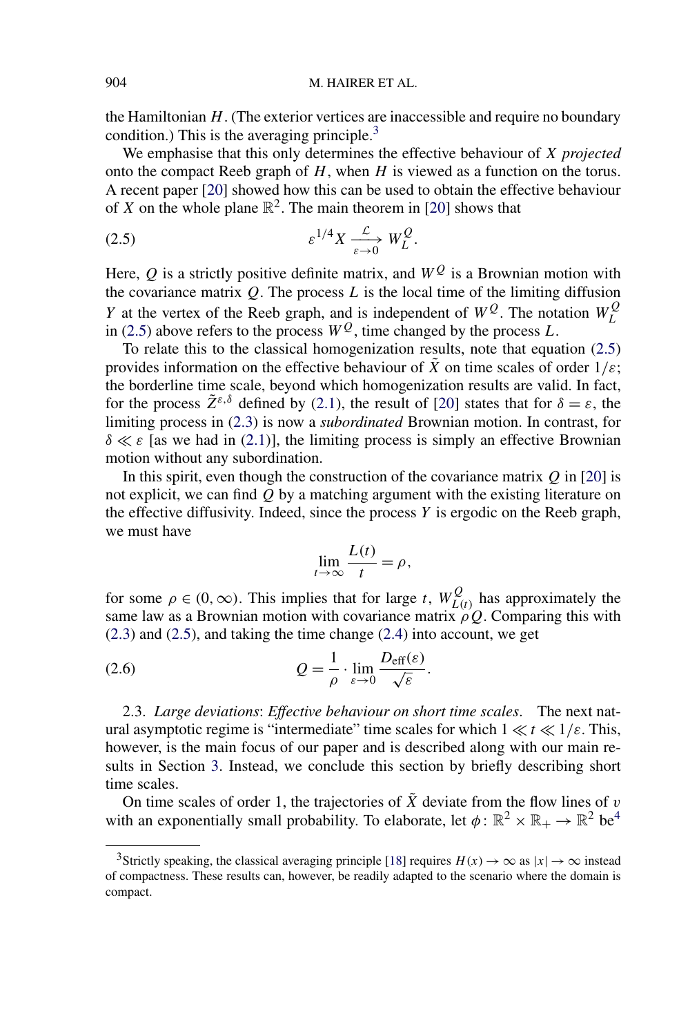<span id="page-7-0"></span>the Hamiltonian *H*. (The exterior vertices are inaccessible and require no boundary condition.) This is the averaging principle. $3$ 

We emphasise that this only determines the effective behaviour of *X projected* onto the compact Reeb graph of *H*, when *H* is viewed as a function on the torus. A recent paper [\[20\]](#page-56-0) showed how this can be used to obtain the effective behaviour of *X* on the whole plane  $\mathbb{R}^2$ . The main theorem in [\[20\]](#page-56-0) shows that

$$
\varepsilon^{1/4} X \xrightarrow[\varepsilon \to 0]{} W_L^Q.
$$

Here, Q is a strictly positive definite matrix, and  $W<sup>Q</sup>$  is a Brownian motion with the covariance matrix  $Q$ . The process  $L$  is the local time of the limiting diffusion *Y* at the vertex of the Reeb graph, and is independent of  $W^Q$ . The notation  $W^Q$ in (2.5) above refers to the process  $W^Q$ , time changed by the process *L*.

To relate this to the classical homogenization results, note that equation (2.5) provides information on the effective behaviour of  $\tilde{X}$  on time scales of order  $1/\varepsilon$ ; the borderline time scale, beyond which homogenization results are valid. In fact, for the process  $\tilde{Z}^{\varepsilon,\delta}$  defined by [\(2.1\)](#page-5-0), the result of [\[20\]](#page-56-0) states that for  $\delta = \varepsilon$ , the limiting process in [\(2.3\)](#page-5-0) is now a *subordinated* Brownian motion. In contrast, for  $\delta \ll \varepsilon$  [as we had in [\(2.1\)](#page-5-0)], the limiting process is simply an effective Brownian motion without any subordination.

In this spirit, even though the construction of the covariance matrix *Q* in [\[20\]](#page-56-0) is not explicit, we can find *Q* by a matching argument with the existing literature on the effective diffusivity. Indeed, since the process *Y* is ergodic on the Reeb graph, we must have

$$
\lim_{t \to \infty} \frac{L(t)}{t} = \rho,
$$

for some  $\rho \in (0, \infty)$ . This implies that for large *t*,  $W_{L(t)}^Q$  has approximately the same law as a Brownian motion with covariance matrix  $\rho Q$ . Comparing this with [\(2.3\)](#page-5-0) and (2.5), and taking the time change [\(2.4\)](#page-6-0) into account, we get

(2.6) 
$$
Q = \frac{1}{\rho} \cdot \lim_{\varepsilon \to 0} \frac{D_{\text{eff}}(\varepsilon)}{\sqrt{\varepsilon}}.
$$

2.3. *Large deviations*: *Effective behaviour on short time scales*. The next natural asymptotic regime is "intermediate" time scales for which  $1 \ll t \ll 1/\varepsilon$ . This, however, is the main focus of our paper and is described along with our main results in Section [3.](#page-8-0) Instead, we conclude this section by briefly describing short time scales.

On time scales of order 1, the trajectories of  $\tilde{X}$  deviate from the flow lines of *v* with an exponentially small probability. To elaborate, let  $\phi: \mathbb{R}^2 \times \mathbb{R}_+ \to \mathbb{R}^2$  be<sup>4</sup>

<sup>&</sup>lt;sup>3</sup>Strictly speaking, the classical averaging principle [\[18\]](#page-56-0) requires  $H(x) \to \infty$  as  $|x| \to \infty$  instead of compactness. These results can, however, be readily adapted to the scenario where the domain is compact.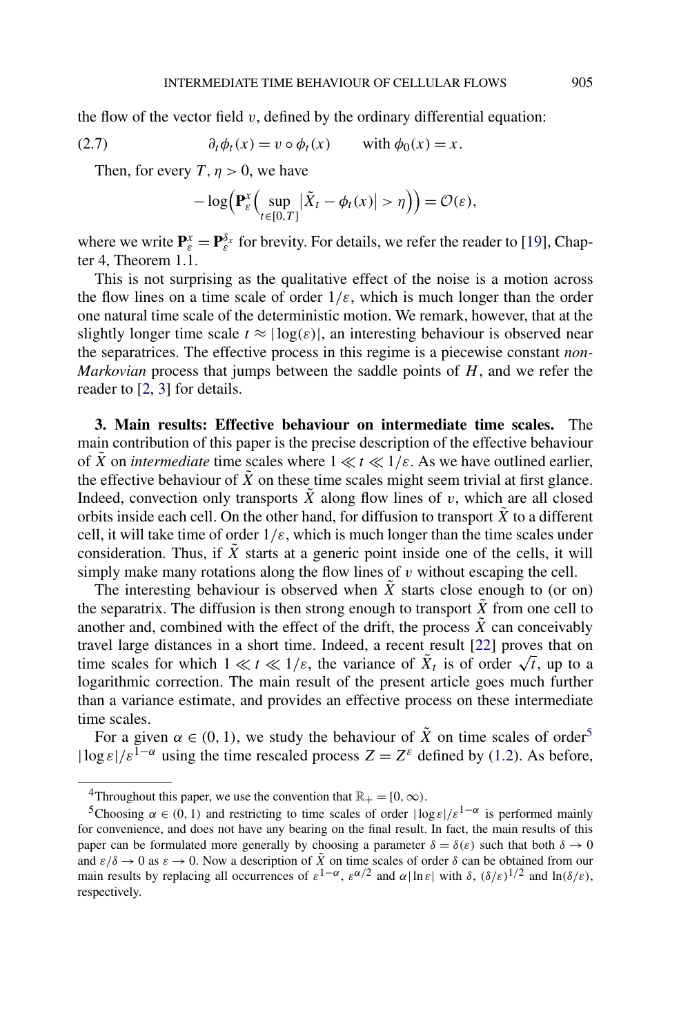<span id="page-8-0"></span>the flow of the vector field  $v$ , defined by the ordinary differential equation:

(2.7) 
$$
\partial_t \phi_t(x) = v \circ \phi_t(x) \quad \text{with } \phi_0(x) = x.
$$

Then, for every *T*,  $\eta > 0$ , we have

$$
-\log\Bigl(\mathbf{P}_{\varepsilon}^{x}\Bigl(\sup_{t\in[0,T]}|\tilde{X}_{t}-\phi_{t}(x)|>\eta\Bigr)\Bigr)=\mathcal{O}(\varepsilon),
$$

where we write  $P_{\varepsilon}^{x} = P_{\varepsilon}^{\delta_{x}}$  for brevity. For details, we refer the reader to [\[19\]](#page-56-0), Chapter 4, Theorem 1.1.

This is not surprising as the qualitative effect of the noise is a motion across the flow lines on a time scale of order  $1/\varepsilon$ , which is much longer than the order one natural time scale of the deterministic motion. We remark, however, that at the slightly longer time scale  $t \approx |\log(\varepsilon)|$ , an interesting behaviour is observed near the separatrices. The effective process in this regime is a piecewise constant *non-Markovian* process that jumps between the saddle points of *H*, and we refer the reader to [\[2,](#page-56-0) [3\]](#page-56-0) for details.

**3. Main results: Effective behaviour on intermediate time scales.** The main contribution of this paper is the precise description of the effective behaviour of  $\tilde{X}$  on *intermediate* time scales where  $1 \ll t \ll 1/\varepsilon$ . As we have outlined earlier, the effective behaviour of  $\tilde{X}$  on these time scales might seem trivial at first glance. Indeed, convection only transports  $\tilde{X}$  along flow lines of *v*, which are all closed orbits inside each cell. On the other hand, for diffusion to transport  $\tilde{X}$  to a different cell, it will take time of order  $1/\varepsilon$ , which is much longer than the time scales under consideration. Thus, if  $\tilde{X}$  starts at a generic point inside one of the cells, it will simply make many rotations along the flow lines of *v* without escaping the cell.

The interesting behaviour is observed when  $\tilde{X}$  starts close enough to (or on) the separatrix. The diffusion is then strong enough to transport  $\tilde{X}$  from one cell to another and, combined with the effect of the drift, the process  $\tilde{X}$  can conceivably travel large distances in a short time. Indeed, a recent result [\[22\]](#page-57-0) proves that on time scales for which  $1 \ll t \ll 1/\varepsilon$ , the variance of  $\bar{X}_t$  is of order  $\sqrt{t}$ , up to a logarithmic correction. The main result of the present article goes much further than a variance estimate, and provides an effective process on these intermediate time scales.

For a given  $\alpha \in (0, 1)$ , we study the behaviour of  $\tilde{X}$  on time scales of order<sup>5</sup>  $|\log \varepsilon|/\varepsilon^{1-\alpha}$  using the time rescaled process  $Z = Z^{\varepsilon}$  defined by [\(1.2\)](#page-2-0). As before,

<sup>&</sup>lt;sup>4</sup>Throughout this paper, we use the convention that  $\mathbb{R}_+ = [0, \infty)$ .

<sup>&</sup>lt;sup>5</sup>Choosing  $\alpha \in (0, 1)$  and restricting to time scales of order  $|\log \epsilon|/\epsilon^{1-\alpha}$  is performed mainly for convenience, and does not have any bearing on the final result. In fact, the main results of this paper can be formulated more generally by choosing a parameter  $\delta = \delta(\varepsilon)$  such that both  $\delta \to 0$ and  $\varepsilon/\delta \to 0$  as  $\varepsilon \to 0$ . Now a description of  $\tilde{X}$  on time scales of order  $\delta$  can be obtained from our main results by replacing all occurrences of  $\varepsilon^{1-\alpha}$ ,  $\varepsilon^{\alpha/2}$  and  $\alpha|\ln\varepsilon|$  with  $\delta$ ,  $(\delta/\varepsilon)^{1/2}$  and  $\ln(\delta/\varepsilon)$ , respectively.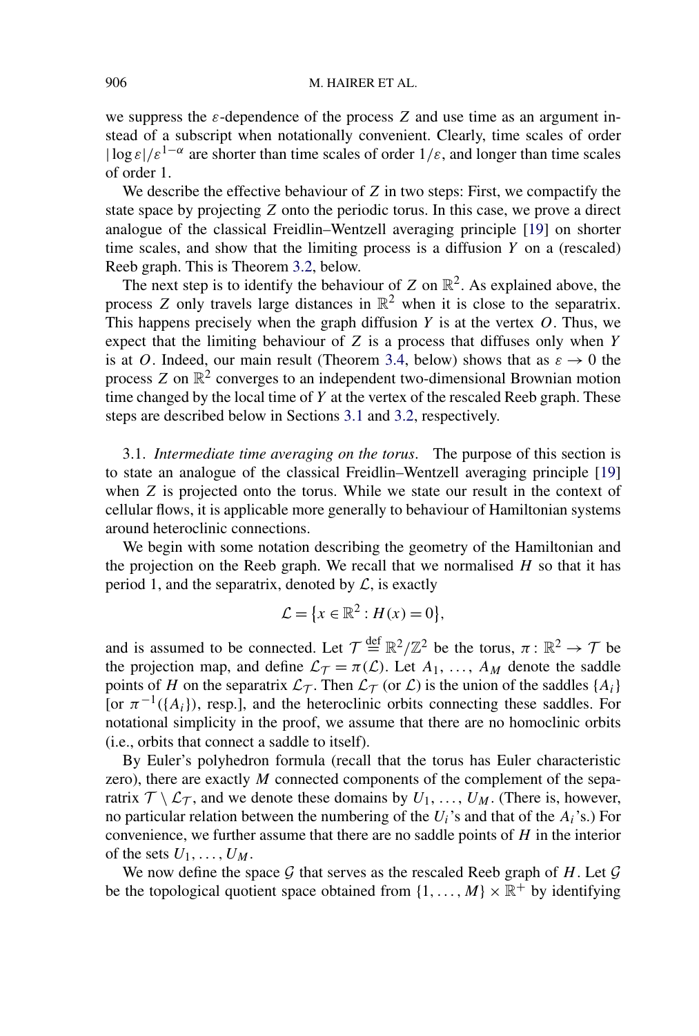<span id="page-9-0"></span>we suppress the  $\varepsilon$ -dependence of the process  $Z$  and use time as an argument instead of a subscript when notationally convenient. Clearly, time scales of order  $|\log \varepsilon|/\varepsilon^{1-\alpha}$  are shorter than time scales of order  $1/\varepsilon$ , and longer than time scales of order 1.

We describe the effective behaviour of *Z* in two steps: First, we compactify the state space by projecting *Z* onto the periodic torus. In this case, we prove a direct analogue of the classical Freidlin–Wentzell averaging principle [\[19\]](#page-56-0) on shorter time scales, and show that the limiting process is a diffusion *Y* on a (rescaled) Reeb graph. This is Theorem [3.2,](#page-11-0) below.

The next step is to identify the behaviour of *Z* on  $\mathbb{R}^2$ . As explained above, the process *Z* only travels large distances in  $\mathbb{R}^2$  when it is close to the separatrix. This happens precisely when the graph diffusion *Y* is at the vertex *O*. Thus, we expect that the limiting behaviour of *Z* is a process that diffuses only when *Y* is at *O*. Indeed, our main result (Theorem [3.4,](#page-13-0) below) shows that as  $\varepsilon \to 0$  the process  $Z$  on  $\mathbb{R}^2$  converges to an independent two-dimensional Brownian motion time changed by the local time of *Y* at the vertex of the rescaled Reeb graph. These steps are described below in Sections 3.1 and [3.2,](#page-12-0) respectively.

3.1. *Intermediate time averaging on the torus*. The purpose of this section is to state an analogue of the classical Freidlin–Wentzell averaging principle [\[19\]](#page-56-0) when *Z* is projected onto the torus. While we state our result in the context of cellular flows, it is applicable more generally to behaviour of Hamiltonian systems around heteroclinic connections.

We begin with some notation describing the geometry of the Hamiltonian and the projection on the Reeb graph. We recall that we normalised *H* so that it has period 1, and the separatrix, denoted by  $\mathcal{L}$ , is exactly

$$
\mathcal{L} = \{x \in \mathbb{R}^2 : H(x) = 0\},\
$$

and is assumed to be connected. Let  $\mathcal{T} \stackrel{\text{def}}{=} \mathbb{R}^2/\mathbb{Z}^2$  be the torus,  $\pi \colon \mathbb{R}^2 \to \mathcal{T}$  be the projection map, and define  $\mathcal{L}_{\mathcal{T}} = \pi(\mathcal{L})$ . Let  $A_1, \ldots, A_M$  denote the saddle points of *H* on the separatrix  $\mathcal{L}_{\mathcal{T}}$ . Then  $\mathcal{L}_{\mathcal{T}}$  (or  $\mathcal{L}$ ) is the union of the saddles {*A<sub>i</sub>*} [or  $\pi^{-1}(\{A_i\})$ , resp.], and the heteroclinic orbits connecting these saddles. For notational simplicity in the proof, we assume that there are no homoclinic orbits (i.e., orbits that connect a saddle to itself).

By Euler's polyhedron formula (recall that the torus has Euler characteristic zero), there are exactly *M* connected components of the complement of the separatrix  $\mathcal{T} \setminus \mathcal{L}_{\mathcal{T}}$ , and we denote these domains by  $U_1, \ldots, U_M$ . (There is, however, no particular relation between the numbering of the *Ui*'s and that of the *Ai*'s.) For convenience, we further assume that there are no saddle points of *H* in the interior of the sets  $U_1, \ldots, U_M$ .

We now define the space  $G$  that serves as the rescaled Reeb graph of  $H$ . Let  $G$ be the topological quotient space obtained from  $\{1, \ldots, M\} \times \mathbb{R}^+$  by identifying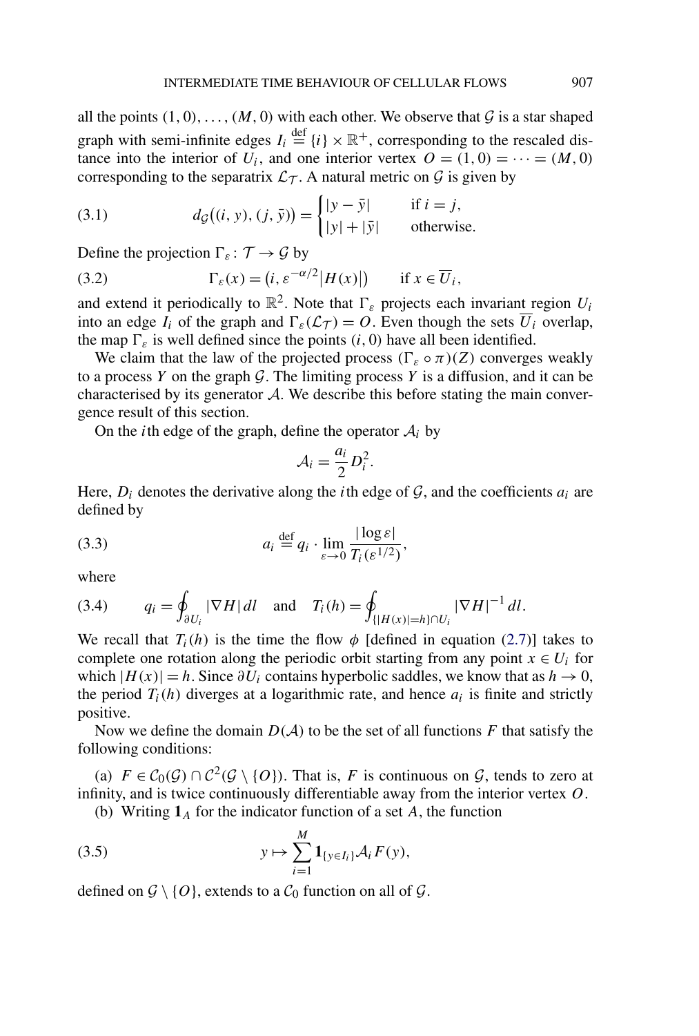<span id="page-10-0"></span>all the points  $(1, 0), \ldots, (M, 0)$  with each other. We observe that  $G$  is a star shaped graph with semi-infinite edges  $I_i \stackrel{\text{def}}{=} \{i\} \times \mathbb{R}^+$ , corresponding to the rescaled distance into the interior of  $U_i$ , and one interior vertex  $O = (1, 0) = \cdots = (M, 0)$ corresponding to the separatrix  $\mathcal{L}_{\mathcal{T}}$ . A natural metric on  $\mathcal{G}$  is given by

(3.1) 
$$
d_{\mathcal{G}}((i, y), (j, \bar{y})) = \begin{cases} |y - \bar{y}| & \text{if } i = j, \\ |y| + |\bar{y}| & \text{otherwise.} \end{cases}
$$

Define the projection  $\Gamma_{\varepsilon} : \mathcal{T} \to \mathcal{G}$  by

(3.2) 
$$
\Gamma_{\varepsilon}(x) = (i, \varepsilon^{-\alpha/2} |H(x)|) \quad \text{if } x \in \overline{U_i},
$$

and extend it periodically to  $\mathbb{R}^2$ . Note that  $\Gamma_{\varepsilon}$  projects each invariant region  $U_i$ into an edge  $I_i$  of the graph and  $\Gamma_{\varepsilon}(\mathcal{L}_T) = O$ . Even though the sets  $\overline{U}_i$  overlap, the map  $\Gamma_{\varepsilon}$  is well defined since the points  $(i, 0)$  have all been identified.

We claim that the law of the projected process  $(\Gamma_{\varepsilon} \circ \pi)(Z)$  converges weakly to a process  $Y$  on the graph  $G$ . The limiting process  $Y$  is a diffusion, and it can be characterised by its generator A. We describe this before stating the main convergence result of this section.

On the *i*th edge of the graph, define the operator  $A_i$  by

$$
\mathcal{A}_i = \frac{a_i}{2} D_i^2.
$$

Here,  $D_i$  denotes the derivative along the *i*th edge of  $G$ , and the coefficients  $a_i$  are defined by

(3.3) 
$$
a_i \stackrel{\text{def}}{=} q_i \cdot \lim_{\varepsilon \to 0} \frac{|\log \varepsilon|}{T_i(\varepsilon^{1/2})},
$$

where

(3.4) 
$$
q_i = \oint_{\partial U_i} |\nabla H| dl
$$
 and  $T_i(h) = \oint_{\{|H(x)| = h\} \cap U_i} |\nabla H|^{-1} dl$ .

We recall that  $T_i(h)$  is the time the flow  $\phi$  [defined in equation [\(2.7\)](#page-8-0)] takes to complete one rotation along the periodic orbit starting from any point  $x \in U_i$  for which  $|H(x)| = h$ . Since  $\partial U_i$  contains hyperbolic saddles, we know that as  $h \to 0$ , the period  $T_i(h)$  diverges at a logarithmic rate, and hence  $a_i$  is finite and strictly positive.

Now we define the domain  $D(A)$  to be the set of all functions F that satisfy the following conditions:

(a)  $F \in C_0(G) \cap C^2(G \setminus \{O\})$ . That is, *F* is continuous on *G*, tends to zero at infinity, and is twice continuously differentiable away from the interior vertex *O*.

(b) Writing **1***<sup>A</sup>* for the indicator function of a set *A*, the function

(3.5) 
$$
y \mapsto \sum_{i=1}^{M} \mathbf{1}_{\{y \in I_i\}} \mathcal{A}_i F(y),
$$

defined on  $\mathcal{G} \setminus \{O\}$ , extends to a  $\mathcal{C}_0$  function on all of  $\mathcal{G}$ .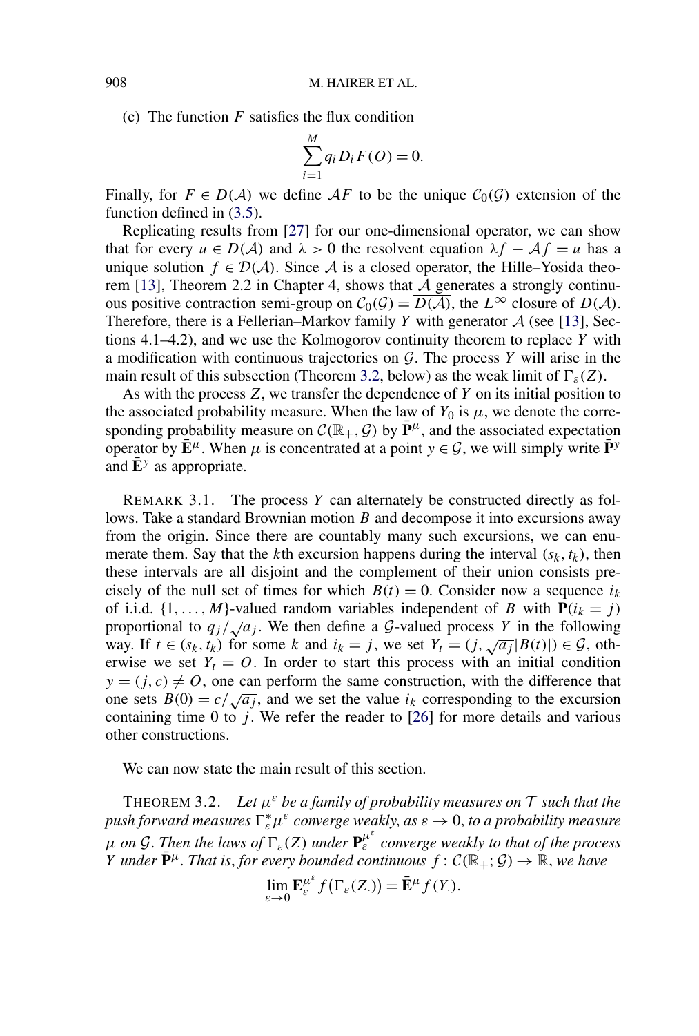(c) The function *F* satisfies the flux condition

$$
\sum_{i=1}^{M} q_i D_i F(O) = 0.
$$

Finally, for  $F \in D(\mathcal{A})$  we define  $\mathcal{A}F$  to be the unique  $C_0(\mathcal{G})$  extension of the function defined in [\(3.5\)](#page-10-0).

Replicating results from [\[27\]](#page-57-0) for our one-dimensional operator, we can show that for every  $u \in D(\mathcal{A})$  and  $\lambda > 0$  the resolvent equation  $\lambda f - \mathcal{A}f = u$  has a unique solution  $f \in \mathcal{D}(\mathcal{A})$ . Since A is a closed operator, the Hille–Yosida theo-rem [\[13\]](#page-56-0), Theorem 2.2 in Chapter 4, shows that  $A$  generates a strongly continuous positive contraction semi-group on  $C_0(G) = \overline{D(A)}$ , the  $L^{\infty}$  closure of  $D(A)$ . Therefore, there is a Fellerian–Markov family  $Y$  with generator  $A$  (see [\[13\]](#page-56-0), Sections 4.1–4.2), and we use the Kolmogorov continuity theorem to replace *Y* with a modification with continuous trajectories on G. The process *Y* will arise in the main result of this subsection (Theorem 3.2, below) as the weak limit of  $\Gamma_{\varepsilon}(Z)$ .

As with the process *Z*, we transfer the dependence of *Y* on its initial position to the associated probability measure. When the law of  $Y_0$  is  $\mu$ , we denote the corresponding probability measure on  $\mathcal{C}(\mathbb{R}_+, \mathcal{G})$  by  $\mathbf{P}^{\mu}$ , and the associated expectation operator by  $\mathbf{E}^{\mu}$ . When  $\mu$  is concentrated at a point  $y \in \mathcal{G}$ , we will simply write  $\mathbf{P}^{y}$ and  $\bar{\mathbf{E}}^y$  as appropriate.

REMARK 3.1. The process *Y* can alternately be constructed directly as follows. Take a standard Brownian motion *B* and decompose it into excursions away from the origin. Since there are countably many such excursions, we can enumerate them. Say that the *k*th excursion happens during the interval  $(s_k, t_k)$ , then these intervals are all disjoint and the complement of their union consists precisely of the null set of times for which  $B(t) = 0$ . Consider now a sequence  $i_k$ of i.i.d.  $\{1, \ldots, M\}$ -valued random variables independent of *B* with  $P(i_k = j)$ proportional to  $q_j / \sqrt{a_j}$ . We then define a G-valued process *Y* in the following way. If  $t \in (s_k, t_k)$  for some k and  $i_k = j$ , we set  $Y_t = (j, \sqrt{a_j} |B(t)|) \in \mathcal{G}$ , otherwise we set  $Y_t = 0$ . In order to start this process with an initial condition  $y = (j, c) \neq 0$ , one can perform the same construction, with the difference that one sets  $B(0) = c / \sqrt{a_i}$ , and we set the value  $i_k$  corresponding to the excursion containing time 0 to  $j$ . We refer the reader to  $[26]$  for more details and various other constructions.

We can now state the main result of this section.

THEOREM 3.2. Let  $\mu^{\varepsilon}$  *be a family of probability measures on*  $\mathcal{T}$  *such that the*  $p$ ush forward measures  $\Gamma_{\varepsilon}^*\mu^{\varepsilon}$  converge weakly, as  $\varepsilon\to 0$ , to a probability measure  $μ$  *on G*. Then the laws of  $\Gamma_{\varepsilon}(Z)$  *under*  $\mathbf{P}_{\varepsilon}^{\mu^{\varepsilon}}$  *converge weakly to that of the process Y under*  $\bar{\mathbf{P}}^{\mu}$ . *That is, for every bounded continuous*  $f: \mathcal{C}(\mathbb{R}_+; \mathcal{G}) \to \mathbb{R}$ *, we have* 

$$
\lim_{\varepsilon \to 0} \mathbf{E}_{\varepsilon}^{\mu^{\varepsilon}} f(\Gamma_{\varepsilon}(Z_{\cdot})) = \bar{\mathbf{E}}^{\mu} f(Y_{\cdot}).
$$

<span id="page-11-0"></span>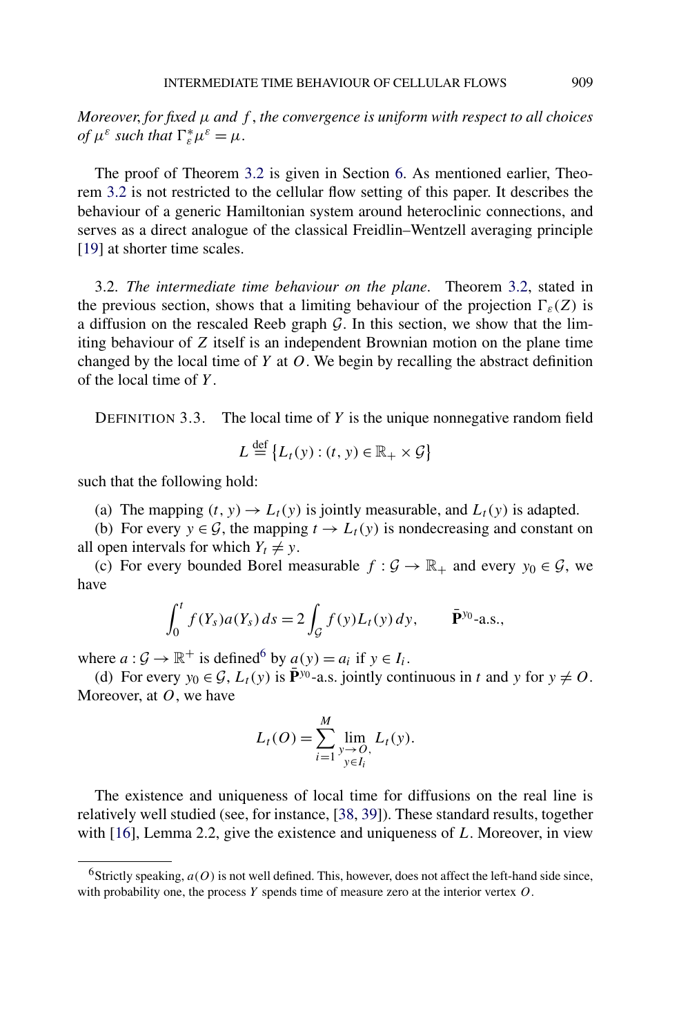<span id="page-12-0"></span>*Moreover*, *for fixed μ and f* , *the convergence is uniform with respect to all choices of*  $\mu^{\varepsilon}$  *such that*  $\Gamma_{\varepsilon}^* \mu^{\varepsilon} = \mu$ .

The proof of Theorem [3.2](#page-11-0) is given in Section [6.](#page-28-0) As mentioned earlier, Theorem [3.2](#page-11-0) is not restricted to the cellular flow setting of this paper. It describes the behaviour of a generic Hamiltonian system around heteroclinic connections, and serves as a direct analogue of the classical Freidlin–Wentzell averaging principle [\[19\]](#page-56-0) at shorter time scales.

3.2. *The intermediate time behaviour on the plane*. Theorem [3.2,](#page-11-0) stated in the previous section, shows that a limiting behaviour of the projection  $\Gamma_{\varepsilon}(Z)$  is a diffusion on the rescaled Reeb graph  $G$ . In this section, we show that the limiting behaviour of *Z* itself is an independent Brownian motion on the plane time changed by the local time of *Y* at *O*. We begin by recalling the abstract definition of the local time of *Y* .

DEFINITION 3.3. The local time of *Y* is the unique nonnegative random field

$$
L \stackrel{\text{def}}{=} \{L_t(y) : (t, y) \in \mathbb{R}_+ \times \mathcal{G}\}
$$

such that the following hold:

(a) The mapping  $(t, y) \rightarrow L_t(y)$  is jointly measurable, and  $L_t(y)$  is adapted.

(b) For every  $y \in \mathcal{G}$ , the mapping  $t \to L_t(y)$  is nondecreasing and constant on all open intervals for which  $Y_t \neq y$ .

(c) For every bounded Borel measurable  $f : \mathcal{G} \to \mathbb{R}_+$  and every  $y_0 \in \mathcal{G}$ , we have

$$
\int_0^t f(Y_s) a(Y_s) \, ds = 2 \int_{\mathcal{G}} f(y) L_t(y) \, dy, \qquad \bar{\mathbf{P}}^{y_0} \text{-a.s.},
$$

where  $a: \mathcal{G} \to \mathbb{R}^+$  is defined<sup>6</sup> by  $a(y) = a_i$  if  $y \in I_i$ .

(d) For every  $y_0 \in \mathcal{G}$ ,  $L_t(y)$  is  $\mathbf{P}^{y_0}$ -a.s. jointly continuous in *t* and *y* for  $y \neq 0$ . Moreover, at *O*, we have

$$
L_t(O) = \sum_{i=1}^{M} \lim_{\substack{y \to O, \\ y \in I_i}} L_t(y).
$$

The existence and uniqueness of local time for diffusions on the real line is relatively well studied (see, for instance, [\[38,](#page-57-0) [39\]](#page-57-0)). These standard results, together with [\[16\]](#page-56-0), Lemma 2.2, give the existence and uniqueness of *L*. Moreover, in view

<sup>&</sup>lt;sup>6</sup>Strictly speaking,  $a(0)$  is not well defined. This, however, does not affect the left-hand side since, with probability one, the process *Y* spends time of measure zero at the interior vertex *O*.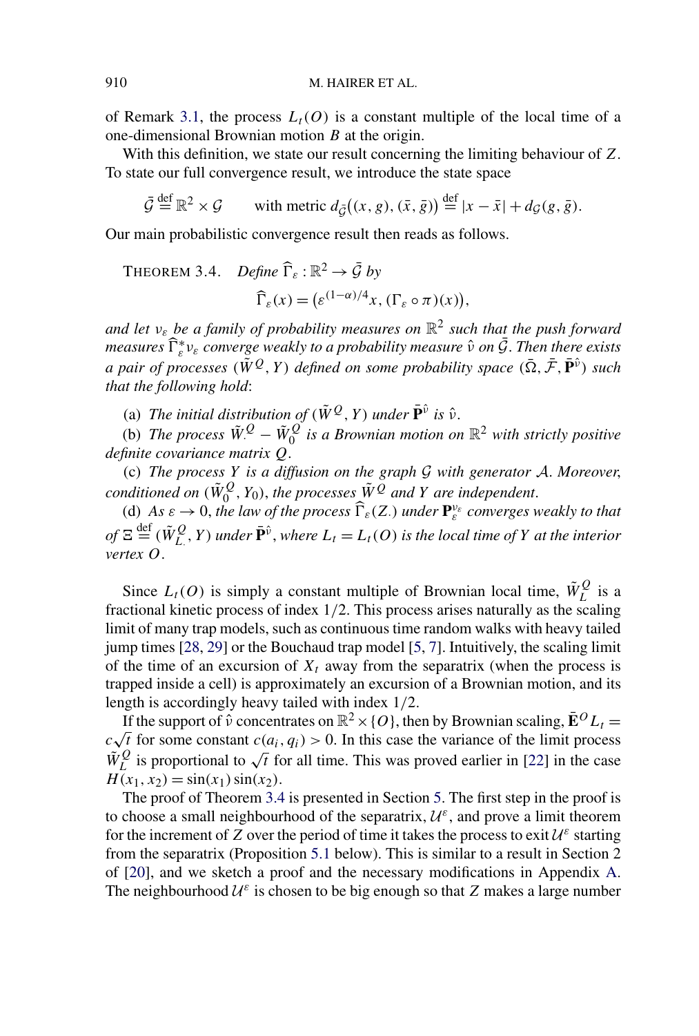<span id="page-13-0"></span>of Remark [3.1,](#page-11-0) the process  $L_t(0)$  is a constant multiple of the local time of a one-dimensional Brownian motion *B* at the origin.

With this definition, we state our result concerning the limiting behaviour of *Z*. To state our full convergence result, we introduce the state space

 $\bar{G} \stackrel{\text{def}}{=} \mathbb{R}^2 \times G$  $\stackrel{\text{def}}{=} \mathbb{R}^2 \times \mathcal{G}$  with metric  $d_{\bar{\mathcal{G}}}((x, g), (\bar{x}, \bar{g})) \stackrel{\text{def}}{=} |x - \bar{x}| + d_{\mathcal{G}}(g, \bar{g}).$ 

Our main probabilistic convergence result then reads as follows.

THEOREM 3.4. *Define*  $\widehat{\Gamma}_{\varepsilon} : \mathbb{R}^2 \to \overline{\mathcal{G}}$  *by*  $\widehat{\Gamma}_{\varepsilon}(x) = \left( \varepsilon^{(1-\alpha)/4} x, (\Gamma_{\varepsilon} \circ \pi)(x) \right),$ 

*and let νε be a family of probability measures on* R<sup>2</sup> *such that the push forward measures* ∗ *<sup>ε</sup> νε converge weakly to a probability measure <sup>ν</sup>*<sup>ˆ</sup> *on* <sup>G</sup>¯. *Then there exists a pair of processes*  $(\tilde{W}^Q, Y)$  *defined on some probability space*  $(\bar{\Omega}, \bar{\mathcal{F}}, \bar{\mathbf{P}}^{\hat{\nu}})$  *such that the following hold*:

(a) *The initial distribution of*  $(\tilde{W}^Q, Y)$  *under*  $\tilde{P}^{\hat{v}}$  *is*  $\hat{v}$ *.* 

(b) The process  $\tilde{W}^Q$  –  $\tilde{W}^Q_0$  is a Brownian motion on  $\mathbb{R}^2$  with strictly positive *definite covariance matrix Q*.

(c) *The process Y is a diffusion on the graph* G *with generator* A. *Moreover*, *conditioned on*  $(\tilde{W}_0^Q, Y_0)$ , the processes  $\tilde{W}^Q$  and  $Y$  are independent.

(d) As  $\varepsilon \to 0$ , the law of the process  $\widehat{\Gamma}_{\varepsilon}(Z)$  *under*  $\mathbf{P}_{\varepsilon}^{\nu_{\varepsilon}}$  *converges weakly to that*  $of E \stackrel{\text{def}}{=} (\tilde{W}_{L}^{Q}, Y)$  *under*  $\tilde{P}^{\hat{v}}$ *, where*  $L_t = L_t(O)$  *is the local time of Y at the interior vertex O*.

Since  $L_t(O)$  is simply a constant multiple of Brownian local time,  $\tilde{W}_L^Q$  is a fractional kinetic process of index 1*/*2. This process arises naturally as the scaling limit of many trap models, such as continuous time random walks with heavy tailed jump times [\[28,](#page-57-0) [29\]](#page-57-0) or the Bouchaud trap model [\[5,](#page-56-0) [7\]](#page-56-0). Intuitively, the scaling limit of the time of an excursion of  $X_t$  away from the separatrix (when the process is trapped inside a cell) is approximately an excursion of a Brownian motion, and its length is accordingly heavy tailed with index 1*/*2.

If the support of  $\hat{v}$  concentrates on  $\mathbb{R}^2 \times \{O\}$ , then by Brownian scaling,  $\bar{\mathbf{E}}^O L_t =$ If the support of v concentrates on  $\mathbb{R}^2 \times \{0\}$ , then by Brownian scaling,  $\mathbf{E}^{\circ} L_t = c\sqrt{t}$  for some constant  $c(a_i, q_i) > 0$ . In this case the variance of the limit process  $W_L^Q$  is proportional to  $\sqrt{t}$  for all time. This was proved earlier in [\[22\]](#page-57-0) in the case  $H(x_1, x_2) = \sin(x_1) \sin(x_2)$ .

The proof of Theorem 3.4 is presented in Section [5.](#page-19-0) The first step in the proof is to choose a small neighbourhood of the separatrix,  $\mathcal{U}^{\varepsilon}$ , and prove a limit theorem for the increment of *Z* over the period of time it takes the process to exit  $\mathcal{U}^{\varepsilon}$  starting from the separatrix (Proposition [5.1](#page-20-0) below). This is similar to a result in Section 2 of [\[20\]](#page-56-0), and we sketch a proof and the necessary modifications in Appendix [A.](#page-46-0) The neighbourhood  $U^{\varepsilon}$  is chosen to be big enough so that *Z* makes a large number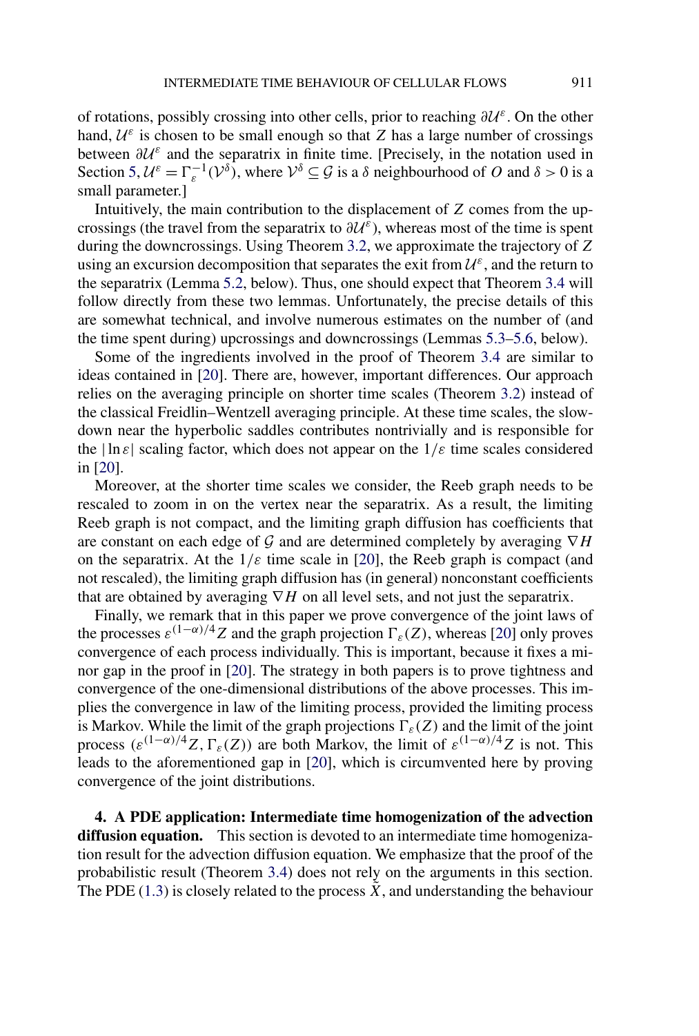<span id="page-14-0"></span>of rotations, possibly crossing into other cells, prior to reaching *<sup>∂</sup>*U*ε*. On the other hand,  $U^{\varepsilon}$  is chosen to be small enough so that *Z* has a large number of crossings between *<sup>∂</sup>*U*<sup>ε</sup>* and the separatrix in finite time. [Precisely, in the notation used in Section [5,](#page-19-0)  $\mathcal{U}^{\varepsilon} = \Gamma_{\varepsilon}^{-1}(\mathcal{V}^{\delta})$ , where  $\mathcal{V}^{\delta} \subseteq \mathcal{G}$  is a  $\delta$  neighbourhood of *O* and  $\delta > 0$  is a small parameter.]

Intuitively, the main contribution to the displacement of *Z* comes from the upcrossings (the travel from the separatrix to  $\partial U^{\varepsilon}$ ), whereas most of the time is spent during the downcrossings. Using Theorem [3.2,](#page-11-0) we approximate the trajectory of *Z* using an excursion decomposition that separates the exit from  $\mathcal{U}^{\varepsilon}$ , and the return to the separatrix (Lemma [5.2,](#page-21-0) below). Thus, one should expect that Theorem [3.4](#page-13-0) will follow directly from these two lemmas. Unfortunately, the precise details of this are somewhat technical, and involve numerous estimates on the number of (and the time spent during) upcrossings and downcrossings (Lemmas [5.3–](#page-23-0)[5.6,](#page-24-0) below).

Some of the ingredients involved in the proof of Theorem [3.4](#page-13-0) are similar to ideas contained in [\[20\]](#page-56-0). There are, however, important differences. Our approach relies on the averaging principle on shorter time scales (Theorem [3.2\)](#page-11-0) instead of the classical Freidlin–Wentzell averaging principle. At these time scales, the slowdown near the hyperbolic saddles contributes nontrivially and is responsible for the  $|\ln \varepsilon|$  scaling factor, which does not appear on the  $1/\varepsilon$  time scales considered in [\[20\]](#page-56-0).

Moreover, at the shorter time scales we consider, the Reeb graph needs to be rescaled to zoom in on the vertex near the separatrix. As a result, the limiting Reeb graph is not compact, and the limiting graph diffusion has coefficients that are constant on each edge of G and are determined completely by averaging ∇*H* on the separatrix. At the  $1/\varepsilon$  time scale in [\[20\]](#page-56-0), the Reeb graph is compact (and not rescaled), the limiting graph diffusion has (in general) nonconstant coefficients that are obtained by averaging ∇*H* on all level sets, and not just the separatrix.

Finally, we remark that in this paper we prove convergence of the joint laws of the processes  $\varepsilon^{(1-\alpha)/4}Z$  and the graph projection  $\Gamma_{\varepsilon}(Z)$ , whereas [\[20\]](#page-56-0) only proves convergence of each process individually. This is important, because it fixes a minor gap in the proof in [\[20\]](#page-56-0). The strategy in both papers is to prove tightness and convergence of the one-dimensional distributions of the above processes. This implies the convergence in law of the limiting process, provided the limiting process is Markov. While the limit of the graph projections  $\Gamma_{\varepsilon}(Z)$  and the limit of the joint process  $(\varepsilon^{(1-\alpha)/4}Z, \Gamma_{\varepsilon}(Z))$  are both Markov, the limit of  $\varepsilon^{(1-\alpha)/4}Z$  is not. This leads to the aforementioned gap in [\[20\]](#page-56-0), which is circumvented here by proving convergence of the joint distributions.

**4. A PDE application: Intermediate time homogenization of the advection diffusion equation.** This section is devoted to an intermediate time homogenization result for the advection diffusion equation. We emphasize that the proof of the probabilistic result (Theorem [3.4\)](#page-13-0) does not rely on the arguments in this section. The PDE [\(1.3\)](#page-3-0) is closely related to the process  $\tilde{X}$ , and understanding the behaviour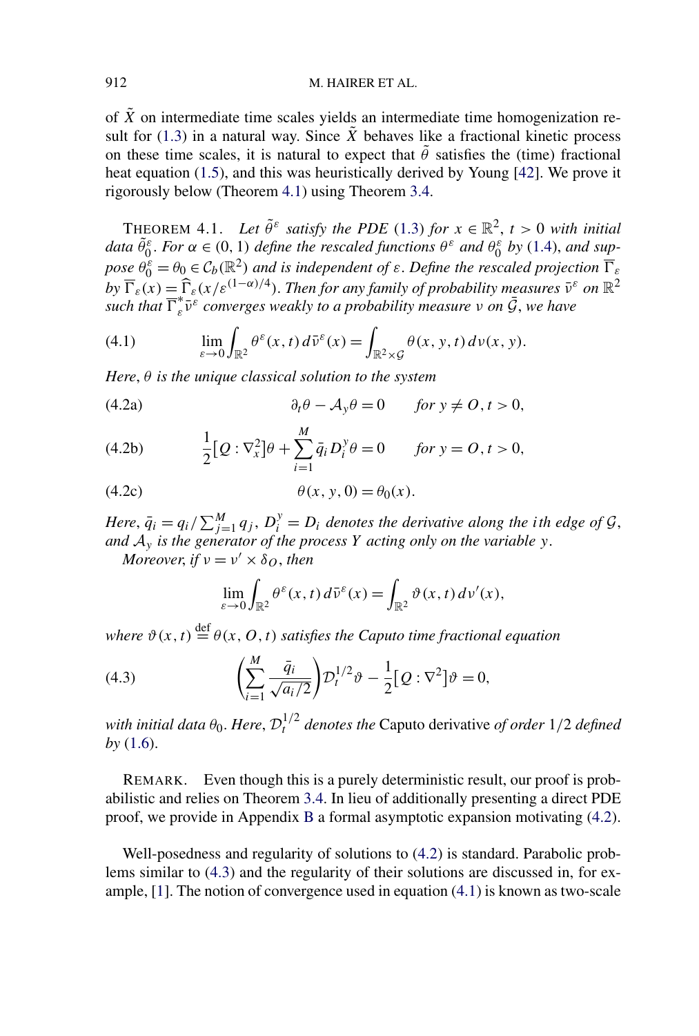<span id="page-15-0"></span>of  $\tilde{X}$  on intermediate time scales yields an intermediate time homogenization result for  $(1.3)$  in a natural way. Since  $\tilde{X}$  behaves like a fractional kinetic process on these time scales, it is natural to expect that  $\tilde{\theta}$  satisfies the (time) fractional heat equation [\(1.5\)](#page-3-0), and this was heuristically derived by Young [\[42\]](#page-57-0). We prove it rigorously below (Theorem 4.1) using Theorem [3.4.](#page-13-0)

THEOREM 4.1. *Let*  $\tilde{\theta}^{\varepsilon}$  *satisfy the PDE* [\(1.3\)](#page-3-0) *for*  $x \in \mathbb{R}^2$ ,  $t > 0$  *with initial* data  $\tilde{\theta}_0^{\varepsilon}$ . For  $\alpha \in (0, 1)$  define the rescaled functions  $\theta^{\varepsilon}$  and  $\theta_0^{\varepsilon}$  by [\(1.4\)](#page-3-0), and sup*pose*  $\theta_0^{\varepsilon} = \theta_0 \in C_b(\mathbb{R}^2)$  *and is independent of*  $\varepsilon$ . *Define the rescaled projection*  $\overline{\Gamma}_{\varepsilon}$  $by \ \overline{\Gamma}_{\varepsilon}(x) = \widehat{\Gamma}_{\varepsilon}(x/\varepsilon^{(1-\alpha)/4})$ . *Then for any family of probability measures*  $\bar{v}^{\varepsilon}$  *on*  $\mathbb{R}^2$  $\sum_{i=1}^{n} e_i(x) = \sum_{i=1}^{n} e_i(x) e_i(x)$  *such that*  $\overline{\Gamma}_\varepsilon^* \overline{\nu}^\varepsilon$  *converges weakly to a probability measure v* on  $\overline{\mathcal{G}}$ *, we have* 

(4.1) 
$$
\lim_{\varepsilon \to 0} \int_{\mathbb{R}^2} \theta^{\varepsilon}(x, t) d\bar{v}^{\varepsilon}(x) = \int_{\mathbb{R}^2 \times \mathcal{G}} \theta(x, y, t) d\nu(x, y).
$$

*Here*, *θ is the unique classical solution to the system*

(4.2a) 
$$
\partial_t \theta - \mathcal{A}_y \theta = 0 \quad \text{for } y \neq 0, t > 0,
$$

(4.2b) 
$$
\frac{1}{2}[Q:\nabla_x^2]\theta + \sum_{i=1}^M \bar{q}_i D_i^y \theta = 0 \quad \text{for } y = 0, t > 0,
$$

$$
(4.2c)\qquad \theta(x, y, 0) = \theta_0(x).
$$

*Here*,  $\bar{q}_i = q_i / \sum_{j=1}^{M} q_j$ ,  $D_i^y = D_i$  *denotes the derivative along the ith edge of*  $G$ , *and* A*<sup>y</sup> is the generator of the process Y acting only on the variable y*.

*Moreover, if*  $v = v' \times \delta_O$ *, then* 

$$
\lim_{\varepsilon \to 0} \int_{\mathbb{R}^2} \theta^\varepsilon(x, t) d\bar{\nu}^\varepsilon(x) = \int_{\mathbb{R}^2} \vartheta(x, t) d\nu'(x),
$$

*where*  $\vartheta(x, t) \stackrel{\text{def}}{=} \theta(x, 0, t)$  *satisfies the Caputo time fractional equation* 

(4.3) 
$$
\left(\sum_{i=1}^{M} \frac{\bar{q}_i}{\sqrt{a_i/2}}\right) D_t^{1/2} \vartheta - \frac{1}{2} [Q : \nabla^2] \vartheta = 0,
$$

*with initial data*  $\theta_0$ . *Here,*  $\mathcal{D}_t^{1/2}$  *denotes the* Caputo derivative *of order* 1/2 *defined by* [\(1.6\)](#page-4-0).

REMARK. Even though this is a purely deterministic result, our proof is probabilistic and relies on Theorem [3.4.](#page-13-0) In lieu of additionally presenting a direct PDE proof, we provide in Appendix [B](#page-51-0) a formal asymptotic expansion motivating (4.2).

Well-posedness and regularity of solutions to (4.2) is standard. Parabolic problems similar to (4.3) and the regularity of their solutions are discussed in, for example, [\[1\]](#page-56-0). The notion of convergence used in equation (4.1) is known as two-scale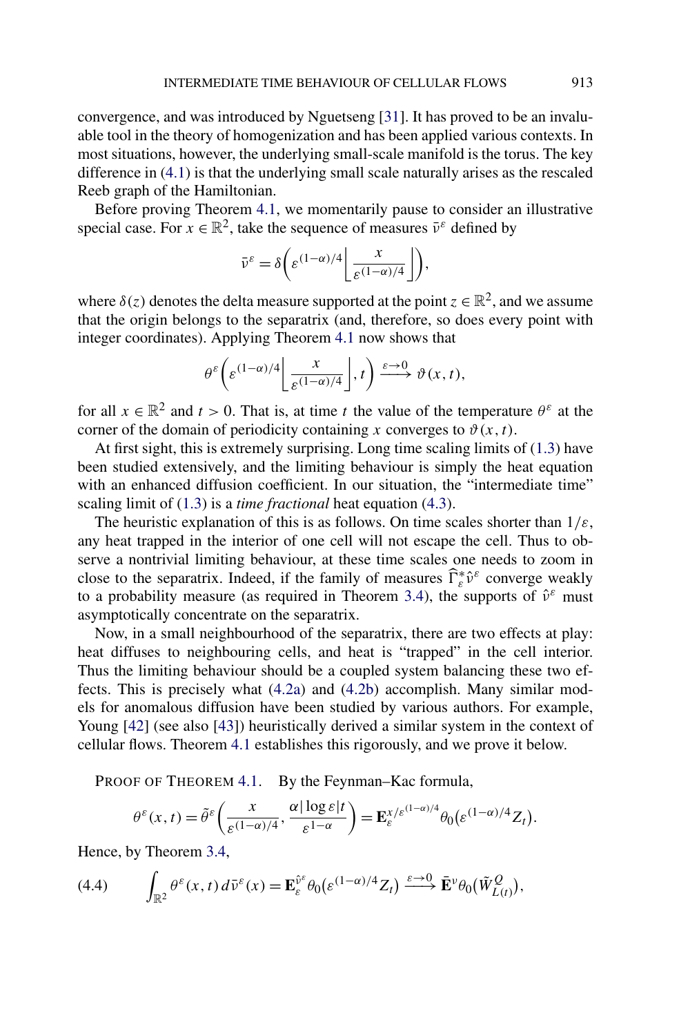<span id="page-16-0"></span>convergence, and was introduced by Nguetseng [\[31\]](#page-57-0). It has proved to be an invaluable tool in the theory of homogenization and has been applied various contexts. In most situations, however, the underlying small-scale manifold is the torus. The key difference in [\(4.1\)](#page-15-0) is that the underlying small scale naturally arises as the rescaled Reeb graph of the Hamiltonian.

Before proving Theorem [4.1,](#page-15-0) we momentarily pause to consider an illustrative special case. For  $x \in \mathbb{R}^2$ , take the sequence of measures  $\bar{v}^{\varepsilon}$  defined by

$$
\bar{\nu}^{\varepsilon} = \delta \bigg( \varepsilon^{(1-\alpha)/4} \bigg( \frac{x}{\varepsilon^{(1-\alpha)/4}} \bigg) \bigg),
$$

where  $\delta(z)$  denotes the delta measure supported at the point  $z \in \mathbb{R}^2$ , and we assume that the origin belongs to the separatrix (and, therefore, so does every point with integer coordinates). Applying Theorem [4.1](#page-15-0) now shows that

$$
\theta^{\varepsilon}\bigg(\varepsilon^{(1-\alpha)/4}\bigg\lfloor \frac{x}{\varepsilon^{(1-\alpha)/4}}\bigg\rfloor,t\bigg) \xrightarrow{\varepsilon \to 0} \vartheta(x,t),
$$

for all  $x \in \mathbb{R}^2$  and  $t > 0$ . That is, at time *t* the value of the temperature  $\theta^{\varepsilon}$  at the corner of the domain of periodicity containing *x* converges to  $\vartheta(x, t)$ .

At first sight, this is extremely surprising. Long time scaling limits of [\(1.3\)](#page-3-0) have been studied extensively, and the limiting behaviour is simply the heat equation with an enhanced diffusion coefficient. In our situation, the "intermediate time" scaling limit of [\(1.3\)](#page-3-0) is a *time fractional* heat equation [\(4.3\)](#page-15-0).

The heuristic explanation of this is as follows. On time scales shorter than 1*/ε*, any heat trapped in the interior of one cell will not escape the cell. Thus to observe a nontrivial limiting behaviour, at these time scales one needs to zoom in close to the separatrix. Indeed, if the family of measures  $\widehat{\Gamma}_{\varepsilon}^* \widehat{\nu}^{\varepsilon}$  converge weakly to a probability measure (as required in Theorem [3.4\)](#page-13-0), the supports of  $\hat{v}^{\varepsilon}$  must asymptotically concentrate on the separatrix.

Now, in a small neighbourhood of the separatrix, there are two effects at play: heat diffuses to neighbouring cells, and heat is "trapped" in the cell interior. Thus the limiting behaviour should be a coupled system balancing these two effects. This is precisely what [\(4.2a\)](#page-15-0) and [\(4.2b\)](#page-15-0) accomplish. Many similar models for anomalous diffusion have been studied by various authors. For example, Young [\[42\]](#page-57-0) (see also [\[43\]](#page-58-0)) heuristically derived a similar system in the context of cellular flows. Theorem [4.1](#page-15-0) establishes this rigorously, and we prove it below.

PROOF OF THEOREM [4.1.](#page-15-0) By the Feynman–Kac formula,

$$
\theta^{\varepsilon}(x,t) = \tilde{\theta}^{\varepsilon}\bigg(\frac{x}{\varepsilon^{(1-\alpha)/4}}, \frac{\alpha |\log \varepsilon|t}{\varepsilon^{1-\alpha}}\bigg) = \mathbf{E}_{\varepsilon}^{x/\varepsilon^{(1-\alpha)/4}} \theta_0(\varepsilon^{(1-\alpha)/4} Z_t).
$$

Hence, by Theorem [3.4,](#page-13-0)

(4.4) 
$$
\int_{\mathbb{R}^2} \theta^{\varepsilon}(x,t) d\bar{v}^{\varepsilon}(x) = \mathbf{E}_{\varepsilon}^{\hat{v}^{\varepsilon}} \theta_0(\varepsilon^{(1-\alpha)/4} Z_t) \xrightarrow{\varepsilon \to 0} \mathbf{E}^{\nu} \theta_0(\tilde{W}_{L(t)}^Q),
$$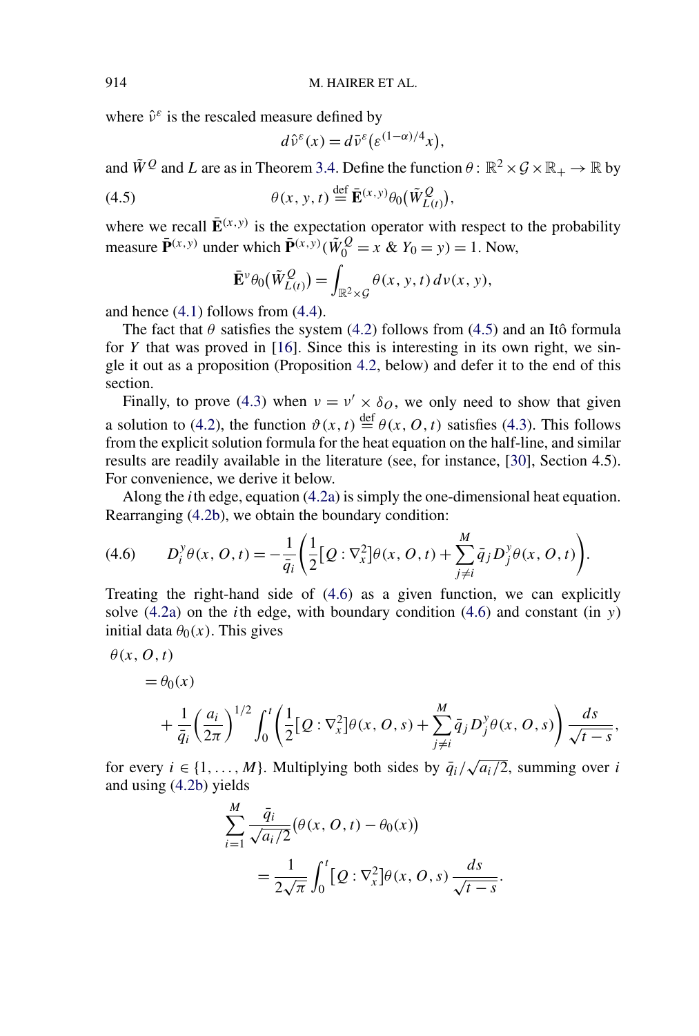where  $\hat{v}^{\varepsilon}$  is the rescaled measure defined by

$$
d\hat{v}^{\varepsilon}(x) = d\bar{v}^{\varepsilon}(\varepsilon^{(1-\alpha)/4}x),
$$

and  $\tilde{W}^Q$  and *L* are as in Theorem [3.4.](#page-13-0) Define the function  $\theta$ :  $\mathbb{R}^2 \times \mathcal{G} \times \mathbb{R}_+ \to \mathbb{R}$  by

(4.5) 
$$
\theta(x, y, t) \stackrel{\text{def}}{=} \bar{\mathbf{E}}^{(x, y)} \theta_0(\tilde{W}_{L(t)}^Q),
$$

where we recall  $\mathbf{\bar{E}}^{(x,y)}$  is the expectation operator with respect to the probability measure  $\bar{\mathbf{P}}^{(x,y)}$  under which  $\bar{\mathbf{P}}^{(x,y)}(\tilde{W}_0^Q = x \& Y_0 = y) = 1$ . Now,

$$
\bar{\mathbf{E}}^{\nu}\theta_0(\tilde{W}_{L(t)}^Q) = \int_{\mathbb{R}^2 \times \mathcal{G}} \theta(x, y, t) d\nu(x, y),
$$

and hence [\(4.1\)](#page-15-0) follows from [\(4.4\)](#page-16-0).

The fact that  $\theta$  satisfies the system [\(4.2\)](#page-15-0) follows from (4.5) and an Itô formula for *Y* that was proved in [\[16\]](#page-56-0). Since this is interesting in its own right, we single it out as a proposition (Proposition [4.2,](#page-18-0) below) and defer it to the end of this section.

Finally, to prove [\(4.3\)](#page-15-0) when  $v = v' \times \delta_O$ , we only need to show that given a solution to [\(4.2\)](#page-15-0), the function  $\vartheta(x, t) \stackrel{\text{def}}{=} \theta(x, 0, t)$  satisfies [\(4.3\)](#page-15-0). This follows from the explicit solution formula for the heat equation on the half-line, and similar results are readily available in the literature (see, for instance, [\[30\]](#page-57-0), Section 4.5). For convenience, we derive it below.

Along the *i*th edge, equation [\(4.2a\)](#page-15-0) is simply the one-dimensional heat equation. Rearranging [\(4.2b\)](#page-15-0), we obtain the boundary condition:

(4.6) 
$$
D_i^y \theta(x, 0, t) = -\frac{1}{\bar{q}_i} \left( \frac{1}{2} [Q : \nabla_x^2] \theta(x, 0, t) + \sum_{j \neq i}^M \bar{q}_j D_j^y \theta(x, 0, t) \right).
$$

Treating the right-hand side of (4.6) as a given function, we can explicitly solve [\(4.2a\)](#page-15-0) on the *i*th edge, with boundary condition (4.6) and constant (in *y*) initial data  $\theta_0(x)$ . This gives

$$
= \theta_0(x)
$$
  
+  $\frac{1}{\bar{q}_i} \left(\frac{a_i}{2\pi}\right)^{1/2} \int_0^t \left(\frac{1}{2} [Q:\nabla_x^2] \theta(x, 0, s) + \sum_{j \neq i}^M \bar{q}_j D_j^y \theta(x, 0, s)\right) \frac{ds}{\sqrt{t-s}}$ 

for every  $i \in \{1, ..., M\}$ . Multiplying both sides by  $\overline{q_i}/\sqrt{a_i/2}$ , summing over *i* and using [\(4.2b\)](#page-15-0) yields

$$
\sum_{i=1}^{M} \frac{\bar{q}_i}{\sqrt{a_i/2}} (\theta(x, 0, t) - \theta_0(x))
$$
  
= 
$$
\frac{1}{2\sqrt{\pi}} \int_0^t [Q : \nabla_x^2] \theta(x, 0, s) \frac{ds}{\sqrt{t - s}}.
$$

<span id="page-17-0"></span>

*θ(x,O,t)*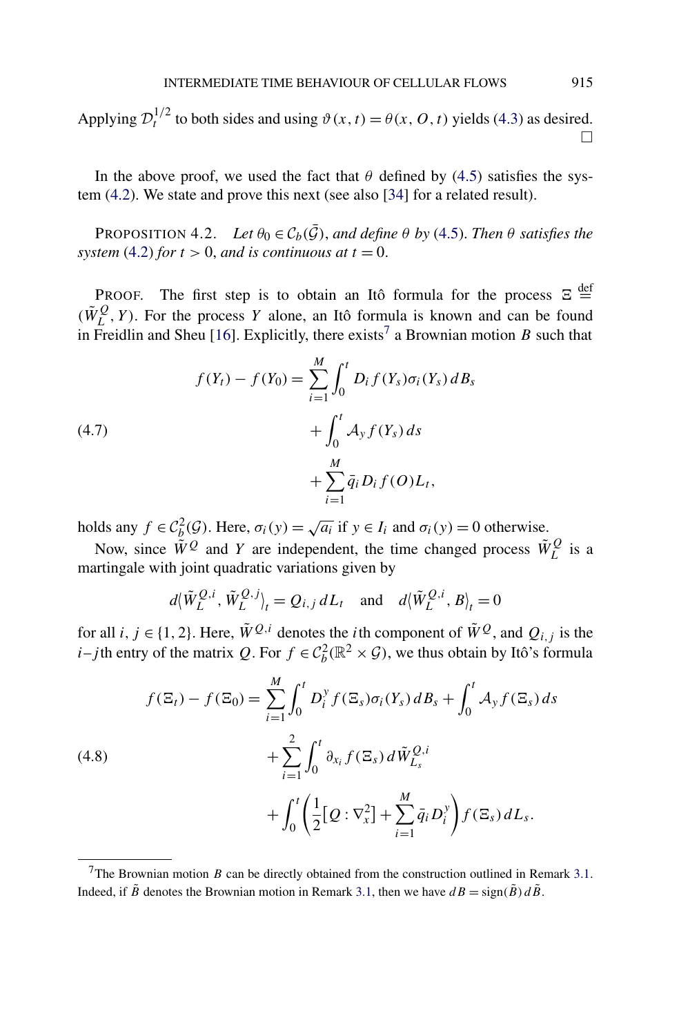<span id="page-18-0"></span>Applying  $\mathcal{D}_t^{1/2}$  to both sides and using  $\vartheta(x, t) = \theta(x, 0, t)$  yields [\(4.3\)](#page-15-0) as desired.  $\Box$ 

In the above proof, we used the fact that  $\theta$  defined by [\(4.5\)](#page-17-0) satisfies the system [\(4.2\)](#page-15-0). We state and prove this next (see also [\[34\]](#page-57-0) for a related result).

PROPOSITION 4.2. *Let*  $\theta_0 \in C_b(\bar{G})$ , *and define*  $\theta$  *by* [\(4.5\)](#page-17-0). *Then*  $\theta$  *satisfies the system* [\(4.2\)](#page-15-0) *for*  $t > 0$ *, and is continuous at*  $t = 0$ *.* 

PROOF. The first step is to obtain an Itô formula for the process  $\Xi \stackrel{\text{def}}{=}$  $(\tilde{W}_L^Q, Y)$ . For the process *Y* alone, an Itô formula is known and can be found in Freidlin and Sheu [\[16\]](#page-56-0). Explicitly, there exists<sup>7</sup> a Brownian motion *B* such that

(4.7)  

$$
f(Y_t) - f(Y_0) = \sum_{i=1}^{M} \int_0^t D_i f(Y_s) \sigma_i(Y_s) dB_s
$$

$$
+ \int_0^t A_y f(Y_s) ds + \sum_{i=1}^{M} \bar{q}_i D_i f(O) L_t,
$$

holds any  $f \in C_b^2(\mathcal{G})$ . Here,  $\sigma_i(y) = \sqrt{a_i}$  if  $y \in I_i$  and  $\sigma_i(y) = 0$  otherwise.

Now, since  $\tilde{W}^Q$  and *Y* are independent, the time changed process  $\tilde{W}^Q_L$  is a martingale with joint quadratic variations given by

$$
d\langle \tilde{W}_L^{Q,i}, \tilde{W}_L^{Q,j} \rangle_t = Q_{i,j} dL_t
$$
 and  $d\langle \tilde{W}_L^{Q,i}, B \rangle_t = 0$ 

for all *i*,  $j \in \{1, 2\}$ . Here,  $\tilde{W}^{Q,i}$  denotes the *i*th component of  $\tilde{W}^{Q}$ , and  $Q_{i,j}$  is the *i*–*j*th entry of the matrix *Q*. For  $f \in C_b^2(\mathbb{R}^2 \times \mathcal{G})$ , we thus obtain by Itô's formula

$$
f(\Xi_t) - f(\Xi_0) = \sum_{i=1}^{M} \int_0^t D_i^y f(\Xi_s) \sigma_i(Y_s) \, dB_s + \int_0^t A_y f(\Xi_s) \, ds + \sum_{i=1}^{2} \int_0^t \partial_{x_i} f(\Xi_s) \, d\tilde{W}_{L_s}^{Q,i} + \int_0^t \left( \frac{1}{2} [Q : \nabla_x^2] + \sum_{i=1}^{M} \bar{q}_i D_i^y \right) f(\Xi_s) \, dL_s.
$$

 $(4)$ 

<sup>&</sup>lt;sup>7</sup>The Brownian motion *B* can be directly obtained from the construction outlined in Remark [3.1.](#page-11-0) Indeed, if  $\tilde{B}$  denotes the Brownian motion in Remark [3.1,](#page-11-0) then we have  $dB = sign(\tilde{B})d\tilde{B}$ .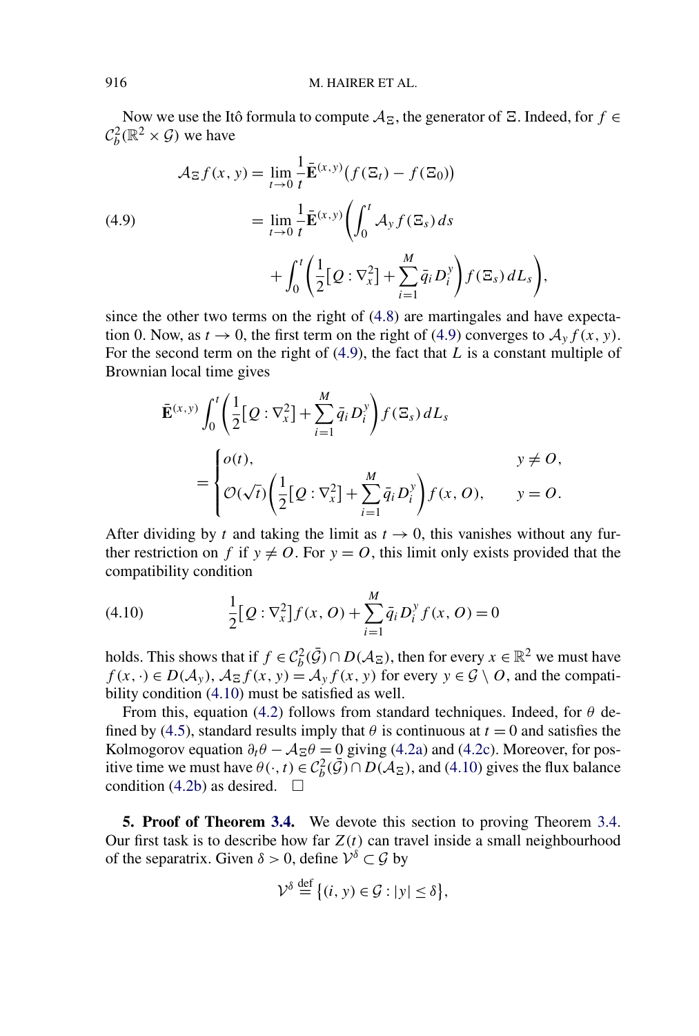<span id="page-19-0"></span>Now we use the Itô formula to compute  $A_{\Xi}$ , the generator of  $\Xi$ . Indeed, for  $f \in$  $C_b^2(\mathbb{R}^2 \times \mathcal{G})$  we have

(4.9)  
\n
$$
\mathcal{A}_{\Xi} f(x, y) = \lim_{t \to 0} \frac{1}{t} \bar{\mathbf{E}}^{(x, y)} (f(\Xi_t) - f(\Xi_0))
$$
\n
$$
= \lim_{t \to 0} \frac{1}{t} \bar{\mathbf{E}}^{(x, y)} \bigg( \int_0^t \mathcal{A}_y f(\Xi_s) ds + \int_0^t \bigg( \frac{1}{2} [\mathcal{Q} : \nabla_x^2] + \sum_{i=1}^M \bar{q}_i D_i^y \bigg) f(\Xi_s) dL_s \bigg),
$$

since the other two terms on the right of [\(4.8\)](#page-18-0) are martingales and have expectation 0. Now, as  $t \to 0$ , the first term on the right of (4.9) converges to  $A_y f(x, y)$ . For the second term on the right of (4.9), the fact that *L* is a constant multiple of Brownian local time gives

$$
\bar{\mathbf{E}}^{(x,y)}\int_0^t \left(\frac{1}{2}[\mathcal{Q}:\nabla_x^2] + \sum_{i=1}^M \bar{q}_i D_i^y\right) f(\Xi_s) dL_s
$$
\n
$$
= \begin{cases}\n o(t), & y \neq O, \\
 \mathcal{O}(\sqrt{t}) \left(\frac{1}{2}[\mathcal{Q}:\nabla_x^2] + \sum_{i=1}^M \bar{q}_i D_i^y\right) f(x, O), & y = O.\n\end{cases}
$$

After dividing by *t* and taking the limit as  $t \to 0$ , this vanishes without any further restriction on *f* if  $y \neq 0$ . For  $y = 0$ , this limit only exists provided that the compatibility condition

(4.10) 
$$
\frac{1}{2} [Q : \nabla_x^2] f(x, 0) + \sum_{i=1}^M \bar{q}_i D_i^y f(x, 0) = 0
$$

holds. This shows that if  $f \in C_b^2(\bar{G}) \cap D(\mathcal{A}_{\Xi})$ , then for every  $x \in \mathbb{R}^2$  we must have  $f(x, \cdot) \in D(\mathcal{A}_y)$ ,  $\mathcal{A}_{\Xi} f(x, y) = \mathcal{A}_y f(x, y)$  for every  $y \in \mathcal{G} \setminus O$ , and the compatibility condition (4.10) must be satisfied as well.

From this, equation [\(4.2\)](#page-15-0) follows from standard techniques. Indeed, for *θ* de-fined by [\(4.5\)](#page-17-0), standard results imply that  $\theta$  is continuous at  $t = 0$  and satisfies the Kolmogorov equation  $\partial_t \theta - A_{\Xi} \theta = 0$  giving [\(4.2a\)](#page-15-0) and [\(4.2c\)](#page-15-0). Moreover, for positive time we must have  $\theta(\cdot,t) \in C_b^2(\bar{\mathcal{G}}) \cap D(\bar{\mathcal{A}}_{\Xi})$ , and (4.10) gives the flux balance condition [\(4.2b\)](#page-15-0) as desired.  $\Box$ 

**5. Proof of Theorem [3.4.](#page-13-0)** We devote this section to proving Theorem [3.4.](#page-13-0) Our first task is to describe how far  $Z(t)$  can travel inside a small neighbourhood of the separatrix. Given  $\delta > 0$ , define  $\mathcal{V}^{\delta} \subset \mathcal{G}$  by

$$
\mathcal{V}^{\delta} \stackrel{\text{def}}{=} \big\{ (i, y) \in \mathcal{G} : |y| \le \delta \big\},\
$$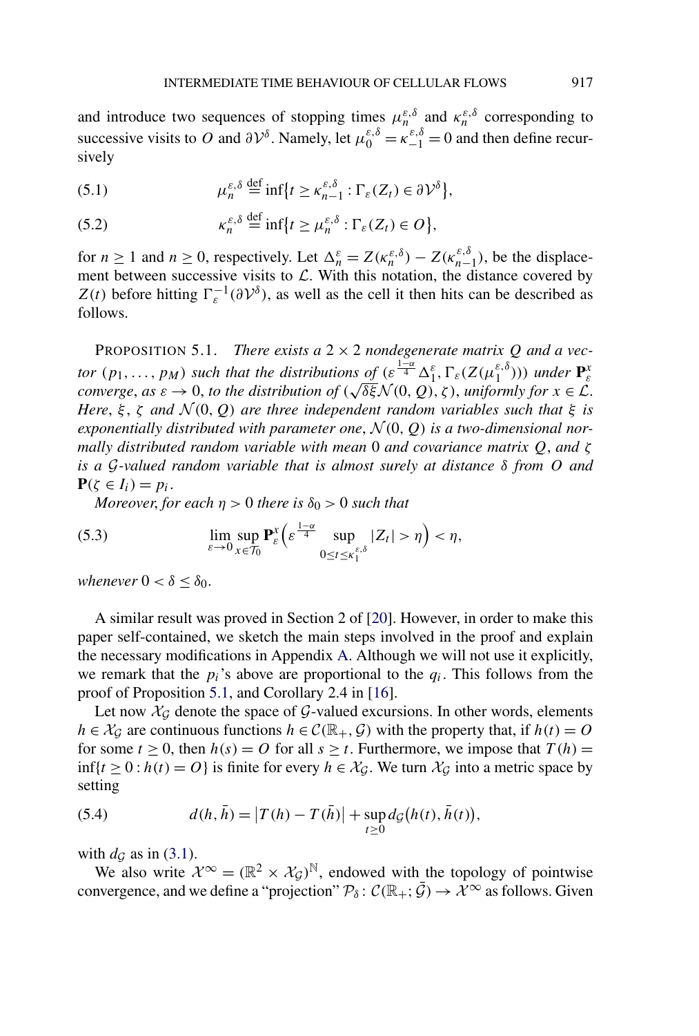<span id="page-20-0"></span>and introduce two sequences of stopping times  $\mu_n^{\varepsilon,\delta}$  and  $\kappa_n^{\varepsilon,\delta}$  corresponding to successive visits to *O* and  $\partial V^{\delta}$ . Namely, let  $\mu_0^{\varepsilon,\delta} = \kappa_{-1}^{\varepsilon,\delta} = 0$  and then define recursively

(5.1) 
$$
\mu_n^{\varepsilon,\delta} \stackrel{\text{def}}{=} \inf \{ t \ge \kappa_{n-1}^{\varepsilon,\delta} : \Gamma_{\varepsilon}(Z_t) \in \partial \mathcal{V}^{\delta} \},
$$

(5.2) 
$$
\kappa_n^{\varepsilon,\delta} \stackrel{\text{def}}{=} \inf \{ t \ge \mu_n^{\varepsilon,\delta} : \Gamma_{\varepsilon}(Z_t) \in O \},
$$

for  $n \ge 1$  and  $n \ge 0$ , respectively. Let  $\Delta_n^{\varepsilon} = Z(\kappa_n^{\varepsilon,\delta}) - Z(\kappa_{n-1}^{\varepsilon,\delta})$ , be the displacement between successive visits to  $\mathcal{L}$ . With this notation, the distance covered by *Z(t)* before hitting  $\Gamma_{\varepsilon}^{-1}(\partial \mathcal{V}^{\delta})$ , as well as the cell it then hits can be described as follows.

PROPOSITION 5.1. *There exists a*  $2 \times 2$  *nondegenerate matrix Q and a vector*  $(p_1, \ldots, p_M)$  *such that the distributions of*  $(\varepsilon^{\frac{1-\alpha}{4}} \Delta_1^{\varepsilon}, \Gamma_{\varepsilon}(Z(\mu_1^{\varepsilon,\delta})))$  *under*  $\mathbf{P}_{\varepsilon}^x$ *converge, as*  $\varepsilon \to 0$ *, to the distribution of*  $(\sqrt{\delta \xi} \mathcal{N}(0, Q), \zeta)$ *, uniformly for*  $x \in \mathcal{L}$ . *Here*, *ξ* , *ζ and* N *(*0*,Q) are three independent random variables such that ξ is* exponentially distributed with parameter one,  $\mathcal{N}(0, Q)$  is a two-dimensional nor*mally distributed random variable with mean* 0 *and covariance matrix Q*, *and ζ is a* G*-valued random variable that is almost surely at distance δ from O and*  $P(\zeta \in I_i) = p_i$ .

*Moreover, for each*  $\eta > 0$  *there is*  $\delta_0 > 0$  *such that* 

(5.3) 
$$
\lim_{\varepsilon \to 0} \sup_{x \in \mathcal{T}_0} \mathbf{P}_{\varepsilon}^x \Big( \varepsilon^{\frac{1-\alpha}{4}} \sup_{0 \le t \le \kappa_1^{\varepsilon,\delta}} |Z_t| > \eta \Big) < \eta,
$$

*whenever*  $0 < \delta \leq \delta_0$ *.* 

A similar result was proved in Section 2 of [\[20\]](#page-56-0). However, in order to make this paper self-contained, we sketch the main steps involved in the proof and explain the necessary modifications in Appendix [A.](#page-46-0) Although we will not use it explicitly, we remark that the  $p_i$ 's above are proportional to the  $q_i$ . This follows from the proof of Proposition 5.1, and Corollary 2.4 in [\[16\]](#page-56-0).

Let now  $\mathcal{X}_{\mathcal{G}}$  denote the space of  $\mathcal{G}\text{-valued extensions.}$  In other words, elements *h* ∈  $X$ <sup>*G*</sup> are continuous functions *h* ∈  $C$ ( $\mathbb{R}_+$ ,  $\mathcal{G}$ ) with the property that, if *h(t)* = *O* for some  $t \geq 0$ , then  $h(s) = O$  for all  $s \geq t$ . Furthermore, we impose that  $T(h) =$ inf{*t* ≥ 0 : *h*(*t*) = *O*} is finite for every *h* ∈  $X_G$ . We turn  $X_G$  into a metric space by setting

(5.4) 
$$
d(h, \bar{h}) = |T(h) - T(\bar{h})| + \sup_{t \ge 0} d_{\mathcal{G}}(h(t), \bar{h}(t)),
$$

with  $d_G$  as in [\(3.1\)](#page-10-0).

We also write  $\mathcal{X}^{\infty} = (\mathbb{R}^2 \times \mathcal{X}_{\mathcal{G}})^{\mathbb{N}}$ , endowed with the topology of pointwise convergence, and we define a "projection"  $\mathcal{P}_{\delta}$ :  $\mathcal{C}(\mathbb{R}_+;\bar{\mathcal{G}}) \to \mathcal{X}^{\infty}$  as follows. Given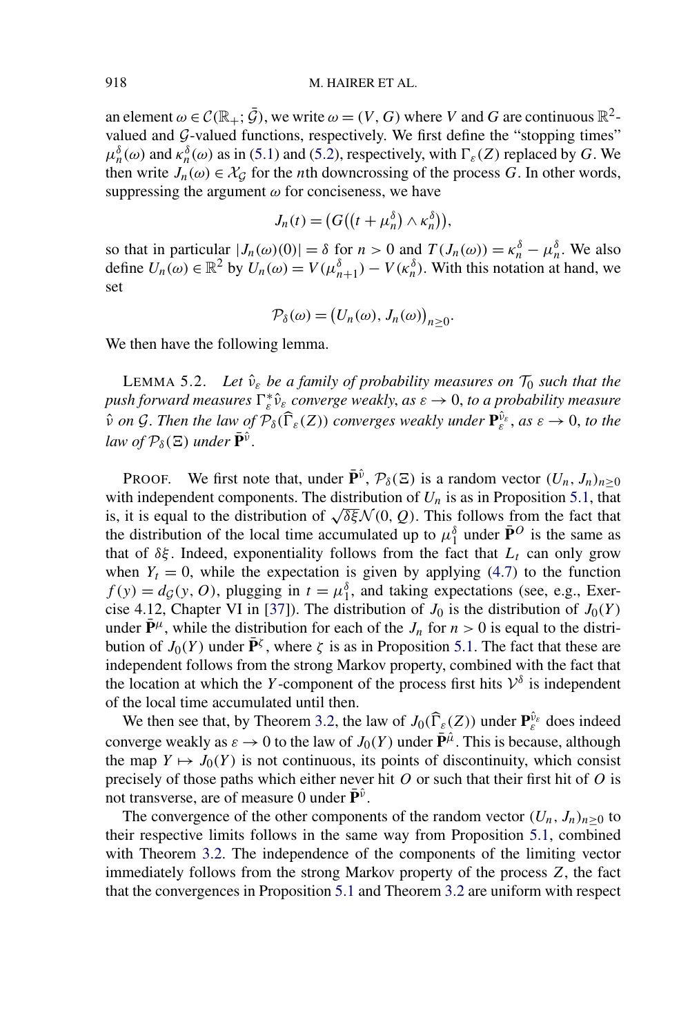<span id="page-21-0"></span>an element  $\omega \in \mathcal{C}(\mathbb{R}_+;\bar{\mathcal{G}})$ , we write  $\omega = (V,G)$  where *V* and *G* are continuous  $\mathbb{R}^2$ valued and  $G$ -valued functions, respectively. We first define the "stopping times"  $\mu_n^{\delta}(\omega)$  and  $\kappa_n^{\delta}(\omega)$  as in [\(5.1\)](#page-20-0) and [\(5.2\)](#page-20-0), respectively, with  $\Gamma_{\varepsilon}(Z)$  replaced by *G*. We then write  $J_n(\omega) \in \mathcal{X}_{\mathcal{G}}$  for the *n*th downcrossing of the process *G*. In other words, suppressing the argument  $\omega$  for conciseness, we have

$$
J_n(t) = (G((t + \mu_n^{\delta}) \wedge \kappa_n^{\delta})),
$$

so that in particular  $|J_n(\omega)(0)| = \delta$  for  $n > 0$  and  $T(J_n(\omega)) = \kappa_n^{\delta} - \mu_n^{\delta}$ . We also define  $U_n(\omega) \in \mathbb{R}^2$  by  $U_n(\omega) = V(\mu_{n+1}^{\delta}) - V(\kappa_n^{\delta})$ . With this notation at hand, we set

$$
\mathcal{P}_{\delta}(\omega) = (U_n(\omega), J_n(\omega))_{n \geq 0}.
$$

We then have the following lemma.

LEMMA 5.2. *Let*  $\hat{v}_{\varepsilon}$  *be a family of probability measures on*  $\mathcal{T}_0$  *such that the*  $p$ ush forward measures  $\Gamma_{\varepsilon}^* \hat{\nu}_{\varepsilon}$  converge weakly, as  $\varepsilon \to 0$ , to a probability measure  $\hat{v}$  *on* G. Then the law of  $\mathcal{P}_{\delta}(\widehat{\Gamma}_{\varepsilon}(Z))$  converges weakly under  $\mathbf{P}_{\varepsilon}^{\hat{v}_{\varepsilon}}$ , as  $\varepsilon \to 0$ , to the *law of*  $\mathcal{P}_{\delta}(\Xi)$  *under*  $\bar{\mathbf{P}}^{\hat{\nu}}$ .

**PROOF.** We first note that, under  $\bar{\mathbf{P}}^{\hat{\nu}}$ ,  $\mathcal{P}_{\delta}(\Xi)$  is a random vector  $(U_n, J_n)_{n>0}$ with independent components. The distribution of  $U_n$  is as in Proposition [5.1,](#page-20-0) that is, it is equal to the distribution of  $\sqrt{\delta \xi} \mathcal{N}(0, Q)$ . This follows from the fact that the distribution of the local time accumulated up to  $\mu_1^{\delta}$  under  $\bar{P}^O$  is the same as that of  $\delta \xi$ . Indeed, exponentiality follows from the fact that  $L_t$  can only grow when  $Y_t = 0$ , while the expectation is given by applying [\(4.7\)](#page-18-0) to the function  $f(y) = dg(y, 0)$ , plugging in  $t = \mu_1^{\delta}$ , and taking expectations (see, e.g., Exer-cise 4.12, Chapter VI in [\[37\]](#page-57-0)). The distribution of  $J_0$  is the distribution of  $J_0(Y)$ under  $\bar{\mathbf{P}}^{\mu}$ , while the distribution for each of the *J<sub>n</sub>* for  $n > 0$  is equal to the distribution of *J*<sub>0</sub>(*Y*) under  $\mathbf{P}^{\zeta}$ , where *ζ* is as in Proposition [5.1.](#page-20-0) The fact that these are independent follows from the strong Markov property, combined with the fact that the location at which the *Y*-component of the process first hits  $V^{\delta}$  is independent of the local time accumulated until then.

We then see that, by Theorem [3.2,](#page-11-0) the law of  $J_0(\hat{\Gamma}_{\varepsilon}(Z))$  under  $\mathbf{P}_{\varepsilon}^{\hat{\nu}_{\varepsilon}}$  does indeed converge weakly as  $\varepsilon \to 0$  to the law of  $J_0(Y)$  under  $\bar{\mathbf{P}}^{\hat{\mu}}$ . This is because, although the map  $Y \mapsto J_0(Y)$  is not continuous, its points of discontinuity, which consist precisely of those paths which either never hit *O* or such that their first hit of *O* is not transverse, are of measure 0 under  $\mathbf{P}^{\hat{\nu}}$ .

The convergence of the other components of the random vector  $(U_n, J_n)_{n>0}$  to their respective limits follows in the same way from Proposition [5.1,](#page-20-0) combined with Theorem [3.2.](#page-11-0) The independence of the components of the limiting vector immediately follows from the strong Markov property of the process *Z*, the fact that the convergences in Proposition [5.1](#page-20-0) and Theorem [3.2](#page-11-0) are uniform with respect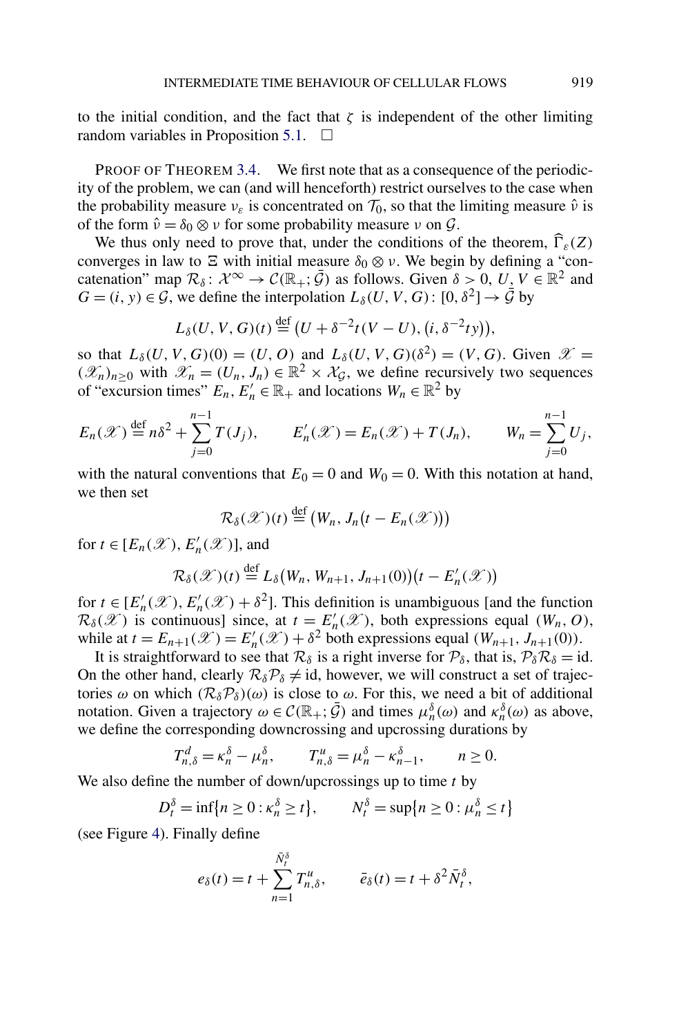to the initial condition, and the fact that  $\zeta$  is independent of the other limiting random variables in Proposition [5.1.](#page-20-0)  $\Box$ 

PROOF OF THEOREM [3.4.](#page-13-0) We first note that as a consequence of the periodicity of the problem, we can (and will henceforth) restrict ourselves to the case when the probability measure  $v_{\varepsilon}$  is concentrated on  $\mathcal{T}_0$ , so that the limiting measure  $\hat{v}$  is of the form  $\hat{v} = \delta_0 \otimes v$  for some probability measure *v* on  $\mathcal{G}$ .

We thus only need to prove that, under the conditions of the theorem,  $\Gamma_{\varepsilon}(Z)$ converges in law to  $\Xi$  with initial measure  $\delta_0 \otimes \nu$ . We begin by defining a "concatenation" map  $\mathcal{R}_\delta$ :  $\mathcal{X}^\infty \to \mathcal{C}(\mathbb{R}_+;\bar{\mathcal{G}})$  as follows. Given  $\delta > 0$ ,  $U, V \in \mathbb{R}^2$  and  $G = (i, y) \in \mathcal{G}$ , we define the interpolation  $L_{\delta}(U, V, G)$ :  $[0, \delta^2] \rightarrow \bar{\mathcal{G}}$  by

$$
L_{\delta}(U, V, G)(t) \stackrel{\text{def}}{=} (U + \delta^{-2}t(V - U), (i, \delta^{-2}ty)),
$$

so that  $L_{\delta}(U, V, G)(0) = (U, O)$  and  $L_{\delta}(U, V, G)(\delta^2) = (V, G)$ . Given  $\mathscr{X} =$  $(\mathscr{X}_n)_{n\geq 0}$  with  $\mathscr{X}_n = (U_n, J_n) \in \mathbb{R}^2 \times \mathcal{X}_\mathcal{G}$ , we define recursively two sequences of "excursion times"  $E_n$ ,  $E'_n \in \mathbb{R}_+$  and locations  $W_n \in \mathbb{R}^2$  by

$$
E_n(\mathscr{X}) \stackrel{\text{def}}{=} n\delta^2 + \sum_{j=0}^{n-1} T(J_j), \qquad E'_n(\mathscr{X}) = E_n(\mathscr{X}) + T(J_n), \qquad W_n = \sum_{j=0}^{n-1} U_j,
$$

with the natural conventions that  $E_0 = 0$  and  $W_0 = 0$ . With this notation at hand, we then set

$$
\mathcal{R}_{\delta}(\mathscr{X})(t) \stackrel{\text{def}}{=} (W_n, J_n(t - E_n(\mathscr{X})))
$$

for  $t \in [E_n(\mathscr{X}), E'_n(\mathscr{X})]$ , and

$$
\mathcal{R}_{\delta}(\mathscr{X})(t) \stackrel{\text{def}}{=} L_{\delta}\big(W_n, W_{n+1}, J_{n+1}(0)\big)\big(t - E'_n(\mathscr{X})\big)
$$

for  $t \in [E'_n(\mathcal{X}), E'_n(\mathcal{X}) + \delta^2]$ . This definition is unambiguous [and the function  $\mathcal{R}_{\delta}(\mathscr{X})$  is continuous] since, at  $t = E'_n(\mathscr{X})$ , both expressions equal  $(W_n, O)$ , while at  $t = E_{n+1}(\mathcal{X}) = E'_n(\mathcal{X}) + \delta^2$  both expressions equal  $(W_{n+1}, J_{n+1}(0))$ .

It is straightforward to see that  $\mathcal{R}_{\delta}$  is a right inverse for  $\mathcal{P}_{\delta}$ , that is,  $\mathcal{P}_{\delta}\mathcal{R}_{\delta} = id$ . On the other hand, clearly  $\mathcal{R}_{\delta} \mathcal{P}_{\delta} \neq id$ , however, we will construct a set of trajectories  $\omega$  on which  $(R_{\delta}P_{\delta})(\omega)$  is close to  $\omega$ . For this, we need a bit of additional notation. Given a trajectory  $\omega \in C(\mathbb{R}_+;\bar{\mathcal{G}})$  and times  $\mu_n^{\delta}(\omega)$  and  $\kappa_n^{\delta}(\omega)$  as above, we define the corresponding downcrossing and upcrossing durations by

$$
T_{n,\delta}^d = \kappa_n^{\delta} - \mu_n^{\delta}, \qquad T_{n,\delta}^u = \mu_n^{\delta} - \kappa_{n-1}^{\delta}, \qquad n \ge 0.
$$

We also define the number of down/upcrossings up to time *t* by

$$
D_t^{\delta} = \inf\{n \ge 0 : \kappa_n^{\delta} \ge t\}, \qquad N_t^{\delta} = \sup\{n \ge 0 : \mu_n^{\delta} \le t\}
$$

(see Figure [4\)](#page-23-0). Finally define

$$
e_{\delta}(t) = t + \sum_{n=1}^{\bar{N}^{\delta}_{t}} T^{u}_{n,\delta}, \qquad \bar{e}_{\delta}(t) = t + \delta^{2} \bar{N}^{\delta}_{t},
$$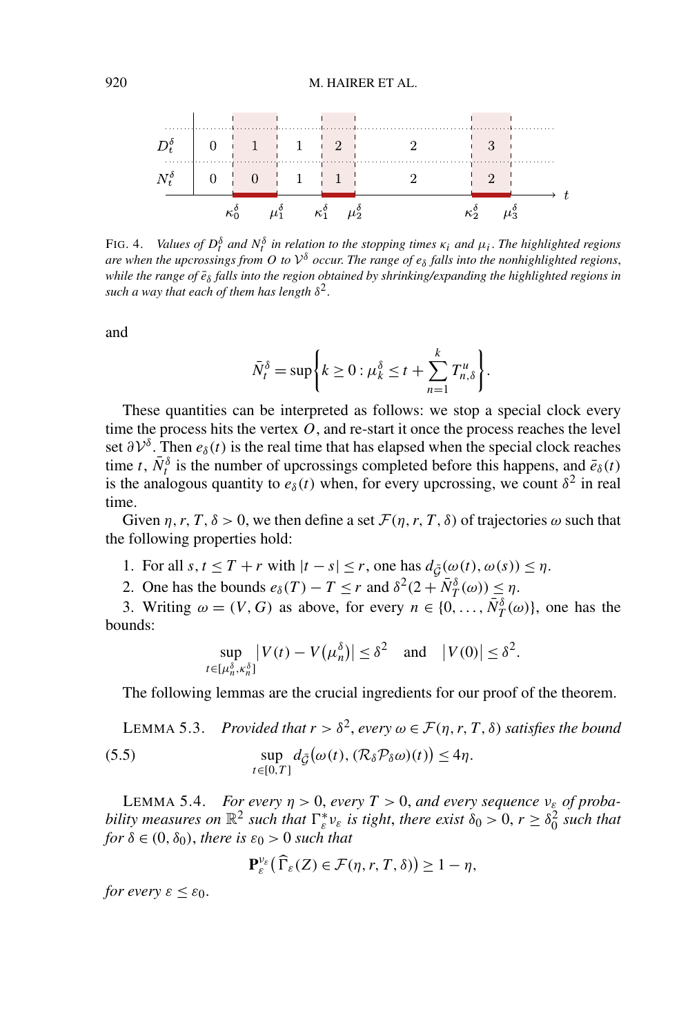#### <span id="page-23-0"></span>920 M. HAIRER ET AL.



FIG. 4. *Values of*  $D_t^{\delta}$  *and*  $N_t^{\delta}$  *in relation to the stopping times*  $\kappa_i$  *and*  $\mu_i$ *. The highlighted regions are when the upcrossings from O to*  $V^{\delta}$  *occur. The range of*  $e_{\delta}$  *falls into the nonhighlighted regions, while the range of*  $\bar{e}_{\delta}$  *falls into the region obtained by shrinking/expanding the highlighted regions in such a way that each of them has length δ*2.

and

$$
\bar{N}_t^{\delta} = \sup \bigg\{ k \geq 0 : \mu_k^{\delta} \leq t + \sum_{n=1}^k T_{n,\delta}^u \bigg\}.
$$

These quantities can be interpreted as follows: we stop a special clock every time the process hits the vertex  $O$ , and re-start it once the process reaches the level set  $\partial V^{\delta}$ . Then  $e_{\delta}(t)$  is the real time that has elapsed when the special clock reaches time *t*,  $\bar{N}_t^{\delta}$  is the number of upcrossings completed before this happens, and  $\bar{e}_{\delta}(t)$ is the analogous quantity to  $e_{\delta}(t)$  when, for every upcrossing, we count  $\delta^2$  in real time.

Given  $\eta$ ,  $r, T, \delta > 0$ , we then define a set  $\mathcal{F}(\eta, r, T, \delta)$  of trajectories  $\omega$  such that the following properties hold:

- 1. For all  $s, t \leq T + r$  with  $|t s| \leq r$ , one has  $d_{\tilde{G}}(\omega(t), \omega(s)) \leq \eta$ .
- 2. One has the bounds  $e_{\delta}(T) T \leq r$  and  $\delta^2(2 + N_T^{\delta}(\omega)) \leq \eta$ .

3. Writing  $\omega = (V, G)$  as above, for every  $n \in \{0, \ldots, \bar{N}_T^{\delta}(\omega)\}\)$ , one has the bounds:

$$
\sup_{t\in[\mu_n^{\delta},\kappa_n^{\delta}]} |V(t) - V(\mu_n^{\delta})| \leq \delta^2 \quad \text{and} \quad |V(0)| \leq \delta^2.
$$

The following lemmas are the crucial ingredients for our proof of the theorem.

LEMMA 5.3. Provided that 
$$
r > \delta^2
$$
, every  $\omega \in \mathcal{F}(\eta, r, T, \delta)$  satisfies the bound  
(5.5) 
$$
\sup_{t \in [0, T]} d_{\tilde{G}}(\omega(t), (\mathcal{R}_{\delta} \mathcal{P}_{\delta} \omega)(t)) \leq 4\eta.
$$

LEMMA 5.4. *For every*  $η > 0$ , *every*  $T > 0$ , *and every sequence*  $ν<sub>ε</sub>$  *of probability measures on*  $\mathbb{R}^2$  *such that*  $\Gamma_{\varepsilon}^* v_{\varepsilon}$  *is tight, there exist*  $\delta_0 > 0$ ,  $r \geq \delta_0^2$  *such that for*  $\delta \in (0, \delta_0)$ *, there is*  $\varepsilon_0 > 0$  *such that* 

$$
\mathbf{P}_{\varepsilon}^{\nu_{\varepsilon}}(\widehat{\Gamma}_{\varepsilon}(Z)\in\mathcal{F}(\eta,r,T,\delta))\geq1-\eta,
$$

*for every*  $\varepsilon \leq \varepsilon_0$ *.*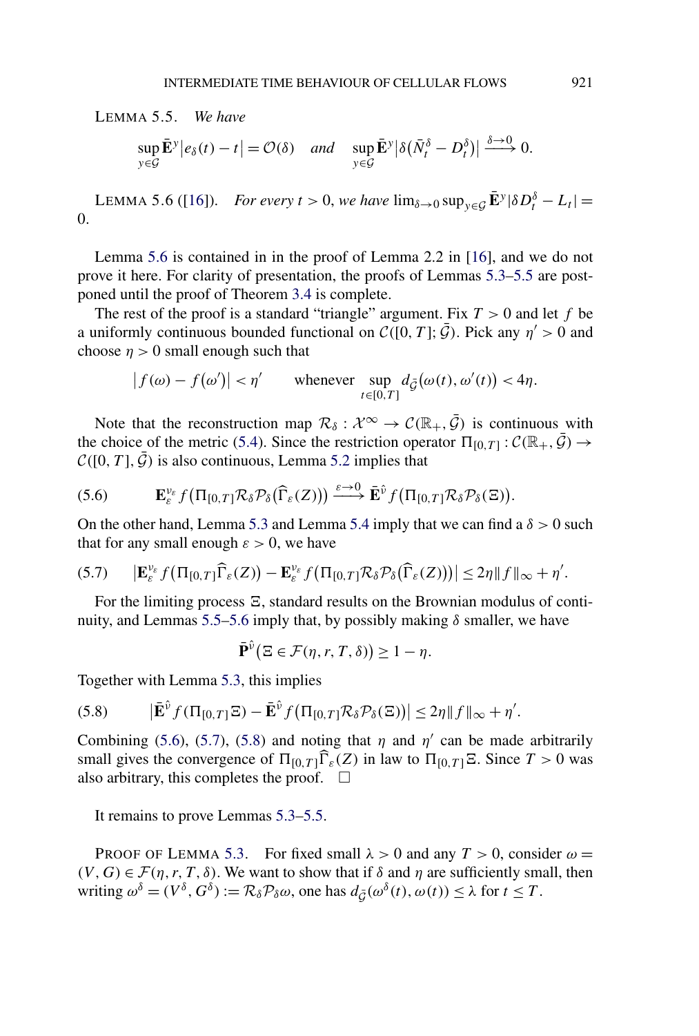<span id="page-24-0"></span>LEMMA 5.5. *We have*

$$
\sup_{y \in \mathcal{G}} \bar{\mathbf{E}}^y \big| e_\delta(t) - t \big| = \mathcal{O}(\delta) \quad \text{and} \quad \sup_{y \in \mathcal{G}} \bar{\mathbf{E}}^y \big| \delta \big( \bar{N}_t^\delta - D_t^\delta \big) \big| \xrightarrow{\delta \to 0} 0.
$$

LEMMA 5.6 ([\[16\]](#page-56-0)). *For every*  $t > 0$ , *we have*  $\lim_{\delta \to 0} \sup_{y \in \mathcal{G}} \bar{\mathbf{E}}^y |\delta D_t^{\delta} - L_t|$  = 0.

Lemma 5.6 is contained in in the proof of Lemma 2.2 in [\[16\]](#page-56-0), and we do not prove it here. For clarity of presentation, the proofs of Lemmas [5.3–](#page-23-0)5.5 are postponed until the proof of Theorem [3.4](#page-13-0) is complete.

The rest of the proof is a standard "triangle" argument. Fix  $T > 0$  and let f be a uniformly continuous bounded functional on  $C([0, T]; \overline{G})$ . Pick any  $\eta' > 0$  and choose  $\eta > 0$  small enough such that

$$
\left|f(\omega) - f(\omega')\right| < \eta' \qquad \text{whenever} \quad \sup_{t \in [0,T]} d_{\tilde{\mathcal{G}}}(\omega(t), \omega'(t)) < 4\eta.
$$

Note that the reconstruction map  $\mathcal{R}_{\delta}: \mathcal{X}^{\infty} \to \mathcal{C}(\mathbb{R}_{+}, \bar{\mathcal{G}})$  is continuous with the choice of the metric [\(5.4\)](#page-20-0). Since the restriction operator  $\Pi_{[0,T]} : \mathcal{C}(\mathbb{R}_+, \bar{\mathcal{G}}) \to$  $C([0, T], \overline{G})$  is also continuous, Lemma [5.2](#page-21-0) implies that

$$
(5.6) \qquad \mathbf{E}_{\varepsilon}^{\nu_{\varepsilon}} f\big(\Pi_{[0,T]} \mathcal{R}_{\delta} \mathcal{P}_{\delta}\big(\widehat{\Gamma}_{\varepsilon}(Z)\big)\big) \xrightarrow{\varepsilon \to 0} \mathbf{E}^{\hat{\nu}} f\big(\Pi_{[0,T]} \mathcal{R}_{\delta} \mathcal{P}_{\delta}(Z)\big).
$$

On the other hand, Lemma [5.3](#page-23-0) and Lemma [5.4](#page-23-0) imply that we can find a  $\delta > 0$  such that for any small enough  $\varepsilon > 0$ , we have

$$
(5.7) \qquad \left| \mathbf{E}_{\varepsilon}^{\nu_{\varepsilon}} f\big(\Pi_{[0,T]}\widehat{\Gamma}_{\varepsilon}(Z)\big) - \mathbf{E}_{\varepsilon}^{\nu_{\varepsilon}} f\big(\Pi_{[0,T]}\mathcal{R}_{\delta}\mathcal{P}_{\delta}(\widehat{\Gamma}_{\varepsilon}(Z))\big) \right| \leq 2\eta \|f\|_{\infty} + \eta'.
$$

For the limiting process  $E$ , standard results on the Brownian modulus of continuity, and Lemmas 5.5–5.6 imply that, by possibly making *δ* smaller, we have

$$
\bar{\mathbf{P}}^{\hat{\nu}}(\Xi \in \mathcal{F}(\eta, r, T, \delta)) \geq 1 - \eta.
$$

Together with Lemma [5.3,](#page-23-0) this implies

$$
(5.8) \qquad |\mathbf{\bar{E}}^{\hat{\nu}}f(\Pi_{[0,T]}\Xi)-\mathbf{\bar{E}}^{\hat{\nu}}f(\Pi_{[0,T]}\mathcal{R}_{\delta}\mathcal{P}_{\delta}(\Xi))|\leq 2\eta \|f\|_{\infty}+\eta'.
$$

Combining (5.6), (5.7), (5.8) and noting that  $\eta$  and  $\eta'$  can be made arbitrarily small gives the convergence of  $\Pi_{[0,T]} \Gamma_{\varepsilon}(Z)$  in law to  $\Pi_{[0,T]} \Xi$ . Since  $T > 0$  was also arbitrary, this completes the proof.  $\Box$ 

It remains to prove Lemmas [5.3–](#page-23-0)5.5.

PROOF OF LEMMA [5.3.](#page-23-0) For fixed small  $\lambda > 0$  and any  $T > 0$ , consider  $\omega =$  $(V, G) \in \mathcal{F}(\eta, r, T, \delta)$ . We want to show that if  $\delta$  and  $\eta$  are sufficiently small, then writing  $\omega^{\delta} = (V^{\delta}, G^{\delta}) := \mathcal{R}_{\delta} \mathcal{P}_{\delta} \omega$ , one has  $d_{\bar{G}}(\omega^{\delta}(t), \omega(t)) \leq \lambda$  for  $t \leq T$ .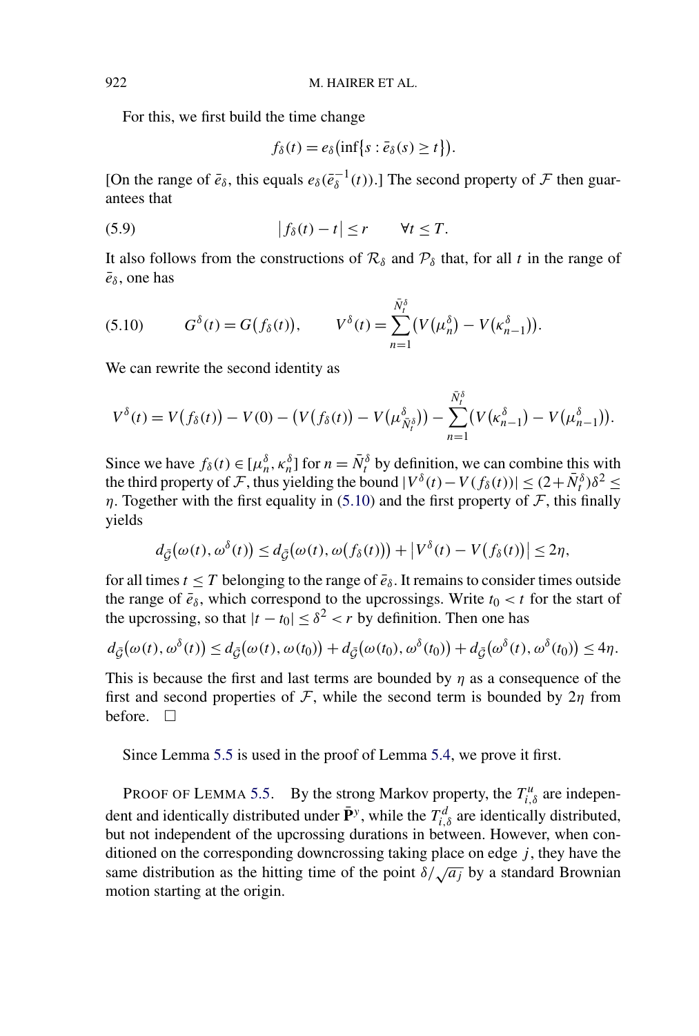For this, we first build the time change

$$
f_{\delta}(t) = e_{\delta}(\inf \{s : \bar{e}_{\delta}(s) \geq t\}).
$$

[On the range of  $\bar{e}_\delta$ , this equals  $e_\delta(\bar{e}_\delta^{-1}(t))$ .] The second property of  $\mathcal F$  then guarantees that

(5.9) 
$$
|f_{\delta}(t) - t| \leq r \qquad \forall t \leq T.
$$

It also follows from the constructions of  $\mathcal{R}_{\delta}$  and  $\mathcal{P}_{\delta}$  that, for all *t* in the range of  $\bar{e}_\delta$ , one has

(5.10) 
$$
G^{\delta}(t) = G(f_{\delta}(t)), \qquad V^{\delta}(t) = \sum_{n=1}^{\bar{N}_{t}^{\delta}} (V(\mu_{n}^{\delta}) - V(\kappa_{n-1}^{\delta})).
$$

We can rewrite the second identity as

$$
V^{\delta}(t) = V(f_{\delta}(t)) - V(0) - (V(f_{\delta}(t)) - V(\mu_{\tilde{N}^{\delta}_{t}}^{\delta})) - \sum_{n=1}^{\tilde{N}^{\delta}_{t}} (V(\kappa^{\delta}_{n-1}) - V(\mu^{\delta}_{n-1})).
$$

Since we have  $f_\delta(t) \in [\mu_n^{\delta}, \kappa_n^{\delta}]$  for  $n = \bar{N}_t^{\delta}$  by definition, we can combine this with the third property of F, thus yielding the bound  $|V^{\delta}(t) - V(f_{\delta}(t))| \leq (2 + \bar{N}^{\delta}_{t})\delta^{2} \leq$ *η*. Together with the first equality in (5.10) and the first property of  $\mathcal F$ , this finally yields

$$
d_{\tilde{\mathcal{G}}}(\omega(t),\omega^{\delta}(t)) \leq d_{\tilde{\mathcal{G}}}(\omega(t),\omega(f_{\delta}(t))) + |V^{\delta}(t) - V(f_{\delta}(t))| \leq 2\eta,
$$

for all times  $t \leq T$  belonging to the range of  $\bar{e}_\delta$ . It remains to consider times outside the range of  $\bar{e}_\delta$ , which correspond to the upcrossings. Write  $t_0 < t$  for the start of the upcrossing, so that  $|t - t_0| \leq \delta^2 < r$  by definition. Then one has

$$
d_{\bar{\mathcal{G}}}(\omega(t),\omega^{\delta}(t)) \leq d_{\bar{\mathcal{G}}}(\omega(t),\omega(t_0)) + d_{\bar{\mathcal{G}}}(\omega(t_0),\omega^{\delta}(t_0)) + d_{\bar{\mathcal{G}}}(\omega^{\delta}(t),\omega^{\delta}(t_0)) \leq 4\eta.
$$

This is because the first and last terms are bounded by *η* as a consequence of the first and second properties of F, while the second term is bounded by  $2\eta$  from before.  $\Box$ 

Since Lemma [5.5](#page-24-0) is used in the proof of Lemma [5.4,](#page-23-0) we prove it first.

PROOF OF LEMMA [5.5.](#page-24-0) By the strong Markov property, the  $T_{i,\delta}^u$  are independent and identically distributed under  $\bar{\mathbf{P}}^y$ , while the  $T_{i,\delta}^d$  are identically distributed, but not independent of the upcrossing durations in between. However, when conditioned on the corresponding downcrossing taking place on edge *j* , they have the same distribution as the hitting time of the point  $\delta/\sqrt{a_j}$  by a standard Brownian motion starting at the origin.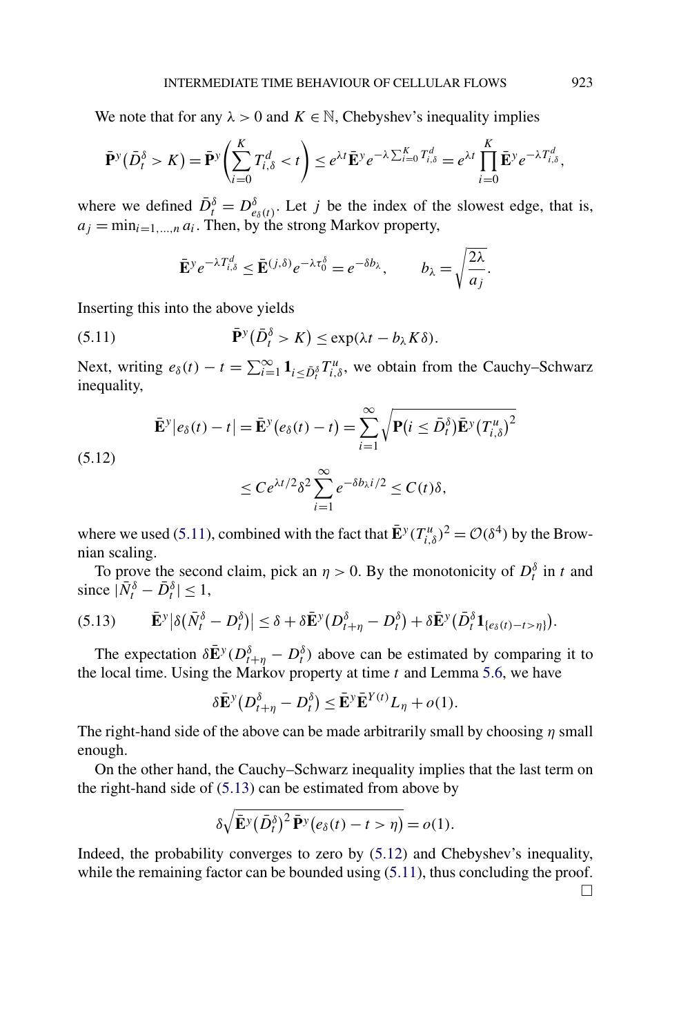We note that for any  $\lambda > 0$  and  $K \in \mathbb{N}$ , Chebyshev's inequality implies

$$
\bar{\mathbf{P}}^y(\bar{D}_t^{\delta} > K) = \bar{\mathbf{P}}^y\left(\sum_{i=0}^K T_{i,\delta}^d < t\right) \leq e^{\lambda t} \bar{\mathbf{E}}^y e^{-\lambda \sum_{i=0}^K T_{i,\delta}^d} = e^{\lambda t} \prod_{i=0}^K \bar{\mathbf{E}}^y e^{-\lambda T_{i,\delta}^d},
$$

where we defined  $\overline{D}_t^{\delta} = D_{e_{\delta}(t)}^{\delta}$ . Let *j* be the index of the slowest edge, that is,  $a_j = \min_{i=1,\dots,n} a_i$ . Then, by the strong Markov property,

$$
\bar{\mathbf{E}}^y e^{-\lambda T_{i,\delta}^d} \le \bar{\mathbf{E}}^{(j,\delta)} e^{-\lambda \tau_0^{\delta}} = e^{-\delta b_\lambda}, \qquad b_\lambda = \sqrt{\frac{2\lambda}{a_j}}.
$$

Inserting this into the above yields

(5.11) 
$$
\bar{\mathbf{P}}^y(\bar{D}_t^{\delta} > K) \leq \exp(\lambda t - b_{\lambda} K \delta).
$$

Next, writing  $e_{\delta}(t) - t = \sum_{i=1}^{\infty} \mathbf{1}_{i \leq \bar{D}_{i}^{\delta}} T_{i,\delta}^{u}$ , we obtain from the Cauchy–Schwarz inequality,

$$
\mathbf{\bar{E}}^{\mathbf{y}}|e_{\delta}(t)-t| = \mathbf{\bar{E}}^{\mathbf{y}}(e_{\delta}(t)-t) = \sum_{i=1}^{\infty} \sqrt{\mathbf{P}(i \leq \bar{D}_{t}^{\delta}) \mathbf{\bar{E}}^{\mathbf{y}}(T_{i,\delta}^{u})^2}
$$

(5.12)

$$
\leq Ce^{\lambda t/2}\delta^2\sum_{i=1}^{\infty}e^{-\delta b_{\lambda}i/2}\leq C(t)\delta,
$$

where we used (5.11), combined with the fact that  $\mathbf{E}^y(T_{i,\delta}^u)^2 = \mathcal{O}(\delta^4)$  by the Brownian scaling.

To prove the second claim, pick an  $\eta > 0$ . By the monotonicity of  $D_t^{\delta}$  in *t* and since  $|\bar{N}^{\delta}_{t} - \bar{D}^{\delta}_{t}| \leq 1$ ,

$$
(5.13) \qquad \mathbf{\bar{E}}^y\big|\delta(\bar{N}_t^{\delta}-D_t^{\delta})\big|\leq \delta+\delta\mathbf{\bar{E}}^y(D_{t+\eta}^{\delta}-D_t^{\delta})+\delta\mathbf{\bar{E}}^y(D_t^{\delta}\mathbf{1}_{\{e_{\delta}(t)-t>\eta\}}).
$$

The expectation  $\delta \bar{E}^y (D_{t+\eta}^{\delta} - D_t^{\delta})$  above can be estimated by comparing it to the local time. Using the Markov property at time *t* and Lemma [5.6,](#page-24-0) we have

$$
\delta \bar{\mathbf{E}}^{\mathcal{Y}}(D_{t+\eta}^{\delta} - D_t^{\delta}) \leq \bar{\mathbf{E}}^{\mathcal{Y}} \bar{\mathbf{E}}^{Y(t)} L_{\eta} + o(1).
$$

The right-hand side of the above can be made arbitrarily small by choosing *η* small enough.

On the other hand, the Cauchy–Schwarz inequality implies that the last term on the right-hand side of (5.13) can be estimated from above by

$$
\delta \sqrt{\bar{\mathbf{E}}^y (\bar{D}_t^{\delta})^2 \bar{\mathbf{P}}^y(e_{\delta}(t) - t > \eta)} = o(1).
$$

Indeed, the probability converges to zero by (5.12) and Chebyshev's inequality, while the remaining factor can be bounded using  $(5.11)$ , thus concluding the proof.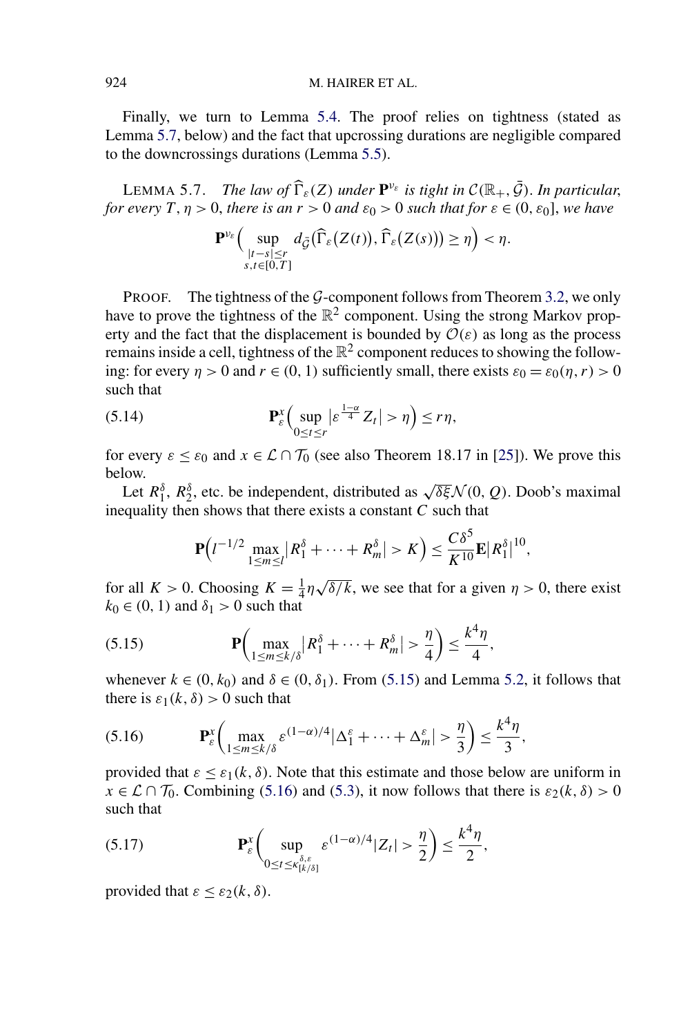<span id="page-27-0"></span>Finally, we turn to Lemma [5.4.](#page-23-0) The proof relies on tightness (stated as Lemma 5.7, below) and the fact that upcrossing durations are negligible compared to the downcrossings durations (Lemma [5.5\)](#page-24-0).

LEMMA 5.7. *The law of*  $\widehat{\Gamma}_{\varepsilon}(Z)$  *under*  $\mathbf{P}^{\nu_{\varepsilon}}$  *is tight in*  $\mathcal{C}(\mathbb{R}_+, \overline{\mathcal{G}})$ *. In particular, for every*  $T, \eta > 0$ , *there is an*  $r > 0$  *and*  $\varepsilon_0 > 0$  *such that for*  $\varepsilon \in (0, \varepsilon_0]$ , *we have* 

$$
\mathbf{P}^{\nu_{\varepsilon}}\Big(\sup_{\substack{|t-s|\leq r\\s,t\in[0,T]}}d_{\tilde{G}}(\widehat{\Gamma}_{\varepsilon}(Z(t)),\widehat{\Gamma}_{\varepsilon}(Z(s)))\geq\eta\Big)<\eta.
$$

PROOF. The tightness of the  $G$ -component follows from Theorem [3.2,](#page-11-0) we only have to prove the tightness of the  $\mathbb{R}^2$  component. Using the strong Markov property and the fact that the displacement is bounded by  $\mathcal{O}(\varepsilon)$  as long as the process remains inside a cell, tightness of the  $\mathbb{R}^2$  component reduces to showing the following: for every  $\eta > 0$  and  $r \in (0, 1)$  sufficiently small, there exists  $\varepsilon_0 = \varepsilon_0(\eta, r) > 0$ such that

(5.14) 
$$
\mathbf{P}_{\varepsilon}^{x}\Big(\sup_{0\leq t\leq r}|\varepsilon^{\frac{1-\alpha}{4}}Z_{t}|>\eta\Big)\leq r\eta,
$$

for every  $\varepsilon \leq \varepsilon_0$  and  $x \in \mathcal{L} \cap \mathcal{T}_0$  (see also Theorem 18.17 in [\[25\]](#page-57-0)). We prove this below.

Let *R<sup>δ</sup>* <sup>1</sup>, *<sup>R</sup><sup>δ</sup>* <sup>2</sup>, etc. be independent, distributed as <sup>√</sup>*δξ*<sup>N</sup> *(*0*,Q)*. Doob's maximal inequality then shows that there exists a constant *C* such that

$$
\mathbf{P}(l^{-1/2}\max_{1\leq m\leq l}|R_1^{\delta}+\cdots+R_m^{\delta}|>K)=\frac{C\delta^5}{K^{10}}\mathbf{E}|R_1^{\delta}|^{10},
$$

for all  $K > 0$ . Choosing  $K = \frac{1}{4}\eta \sqrt{\delta/k}$ , we see that for a given  $\eta > 0$ , there exist  $k_0 \in (0, 1)$  and  $\delta_1 > 0$  such that

(5.15) 
$$
\mathbf{P}\left(\max_{1 \leq m \leq k/\delta} |R_1^{\delta} + \cdots + R_m^{\delta}| > \frac{\eta}{4}\right) \leq \frac{k^4 \eta}{4},
$$

whenever  $k \in (0, k_0)$  and  $\delta \in (0, \delta_1)$ . From (5.15) and Lemma [5.2,](#page-21-0) it follows that there is  $\varepsilon_1(k,\delta) > 0$  such that

(5.16) **P***<sup>x</sup> ε* max 1≤*m*≤*k/δ ε(*1−*α)/*<sup>4</sup> *ε* <sup>1</sup> +···+ *ε m > η* 3 ≤ *k*4*η* 3 *,*

provided that  $\varepsilon \leq \varepsilon_1(k,\delta)$ . Note that this estimate and those below are uniform in  $x \in \mathcal{L} \cap \mathcal{T}_0$ . Combining (5.16) and [\(5.3\)](#page-20-0), it now follows that there is  $\varepsilon_2(k,\delta) > 0$ such that

(5.17) 
$$
\mathbf{P}_{\varepsilon}^{x}\bigg(\sup_{0\leq t\leq \kappa_{[k/\delta]}^{\delta,\varepsilon}}\varepsilon^{(1-\alpha)/4}|Z_{t}|>\frac{\eta}{2}\bigg)\leq \frac{k^{4}\eta}{2},
$$

provided that  $\varepsilon \leq \varepsilon_2(k,\delta)$ .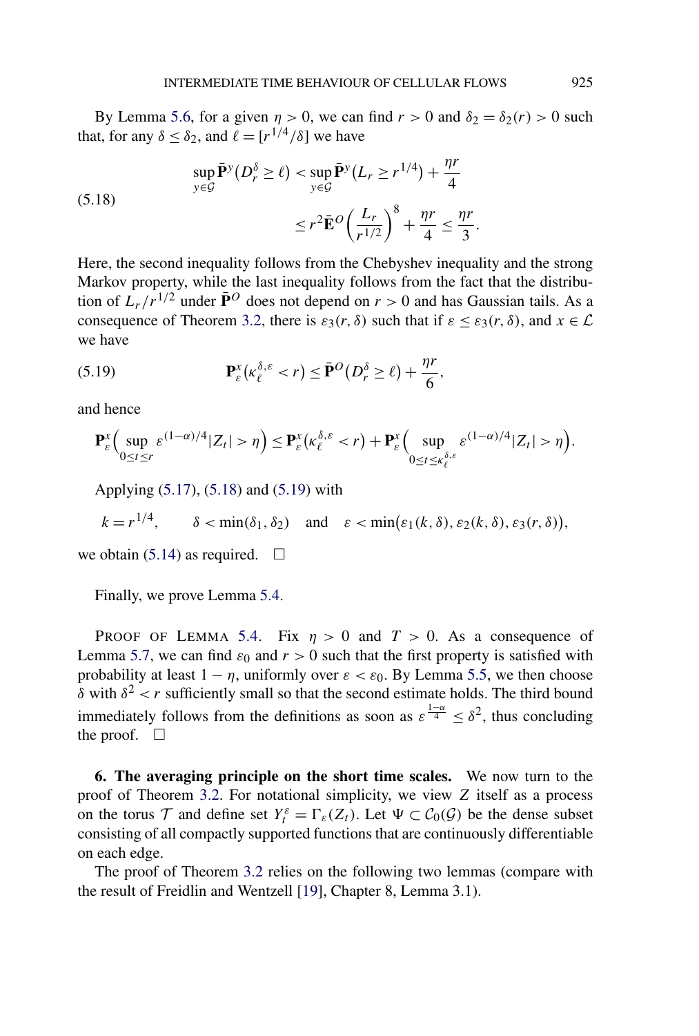<span id="page-28-0"></span>By Lemma [5.6,](#page-24-0) for a given  $\eta > 0$ , we can find  $r > 0$  and  $\delta_2 = \delta_2(r) > 0$  such that, for any  $\delta < \delta_2$ , and  $\ell = [r^{1/4}/\delta]$  we have

(5.18) 
$$
\sup_{y \in \mathcal{G}} \bar{\mathbf{P}}^y(D_r^{\delta} \ge \ell) < \sup_{y \in \mathcal{G}} \bar{\mathbf{P}}^y(L_r \ge r^{1/4}) + \frac{\eta r}{4} \\
 \le r^2 \bar{\mathbf{E}}^O \left(\frac{L_r}{r^{1/2}}\right)^8 + \frac{\eta r}{4} \le \frac{\eta r}{3}.
$$

Here, the second inequality follows from the Chebyshev inequality and the strong Markov property, while the last inequality follows from the fact that the distribution of  $L_r/r^{1/2}$  under  $\bar{P}^O$  does not depend on  $r > 0$  and has Gaussian tails. As a consequence of Theorem [3.2,](#page-11-0) there is  $\varepsilon_3(r,\delta)$  such that if  $\varepsilon \leq \varepsilon_3(r,\delta)$ , and  $x \in \mathcal{L}$ we have

(5.19) 
$$
\mathbf{P}_{\varepsilon}^{x}(\kappa_{\ell}^{\delta,\varepsilon} < r) \leq \bar{\mathbf{P}}^{O}(D_{r}^{\delta} \geq \ell) + \frac{\eta r}{6},
$$

and hence

$$
\mathbf{P}_{\varepsilon}^{x}\Big(\sup_{0\leq t\leq r}\varepsilon^{(1-\alpha)/4}|Z_{t}|>\eta\Big)\leq \mathbf{P}_{\varepsilon}^{x}\big(\kappa_{\ell}^{\delta,\varepsilon}\eta\Big).
$$

Applying [\(5.17\)](#page-27-0), (5.18) and (5.19) with

$$
k = r^{1/4}
$$
,  $\delta < \min(\delta_1, \delta_2)$  and  $\varepsilon < \min(\varepsilon_1(k, \delta), \varepsilon_2(k, \delta), \varepsilon_3(r, \delta))$ ,

we obtain [\(5.14\)](#page-27-0) as required.  $\Box$ 

Finally, we prove Lemma [5.4.](#page-23-0)

PROOF OF LEMMA [5.4.](#page-23-0) Fix  $\eta > 0$  and  $T > 0$ . As a consequence of Lemma [5.7,](#page-27-0) we can find  $\varepsilon_0$  and  $r > 0$  such that the first property is satisfied with probability at least  $1 - \eta$ , uniformly over  $\varepsilon < \varepsilon_0$ . By Lemma [5.5,](#page-24-0) we then choose *δ* with  $δ<sup>2</sup> < r$  sufficiently small so that the second estimate holds. The third bound immediately follows from the definitions as soon as  $\varepsilon^{\frac{1-\alpha}{4}} \leq \delta^2$ , thus concluding the proof.  $\Box$ 

**6. The averaging principle on the short time scales.** We now turn to the proof of Theorem [3.2.](#page-11-0) For notational simplicity, we view *Z* itself as a process on the torus  $\mathcal{T}$  and define set  $Y_t^{\varepsilon} = \Gamma_{\varepsilon}(Z_t)$ . Let  $\Psi \subset C_0(\mathcal{G})$  be the dense subset consisting of all compactly supported functions that are continuously differentiable on each edge.

The proof of Theorem [3.2](#page-11-0) relies on the following two lemmas (compare with the result of Freidlin and Wentzell [\[19\]](#page-56-0), Chapter 8, Lemma 3.1).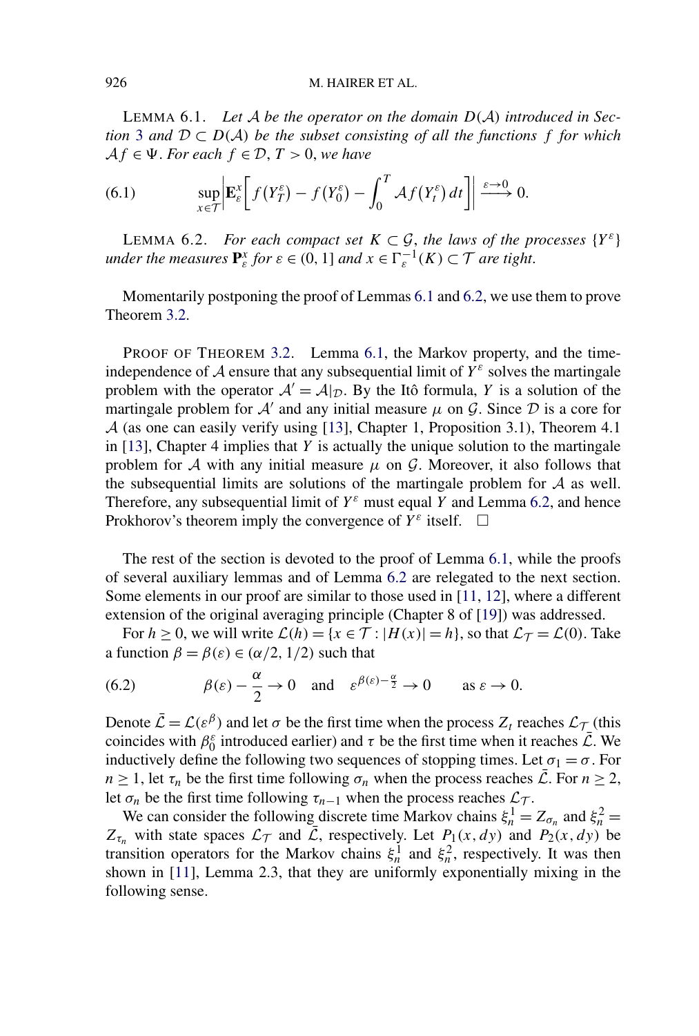<span id="page-29-0"></span>LEMMA 6.1. *Let* A *be the operator on the domain D(*A*) introduced in Section* [3](#page-8-0) and  $D \subset D(\mathcal{A})$  be the subset consisting of all the functions f for which  $Af \in \Psi$ *. For each*  $f \in \mathcal{D}$ ,  $T > 0$ *, we have* 

(6.1) 
$$
\sup_{x \in \mathcal{T}} \left| \mathbf{E}_{\varepsilon}^{x} \left[ f(Y_{T}^{\varepsilon}) - f(Y_{0}^{\varepsilon}) - \int_{0}^{T} \mathcal{A} f(Y_{t}^{\varepsilon}) dt \right] \right| \xrightarrow{\varepsilon \to 0} 0.
$$

LEMMA 6.2. *For each compact set*  $K \subset \mathcal{G}$ , the laws of the processes  $\{Y^{\varepsilon}\}\$ *under the measures*  $\mathbf{P}_{\varepsilon}^x$  *for*  $\varepsilon \in (0, 1]$  *and*  $x \in \Gamma_{\varepsilon}^{-1}(K) \subset \mathcal{T}$  *are tight.* 

Momentarily postponing the proof of Lemmas 6.1 and 6.2, we use them to prove Theorem [3.2.](#page-11-0)

PROOF OF THEOREM [3.2.](#page-11-0) Lemma 6.1, the Markov property, and the timeindependence of  $A$  ensure that any subsequential limit of  $Y^{\varepsilon}$  solves the martingale problem with the operator  $A' = A|_{\mathcal{D}}$ . By the Itô formula, *Y* is a solution of the martingale problem for  $A'$  and any initial measure  $\mu$  on  $G$ . Since  $D$  is a core for A (as one can easily verify using [\[13\]](#page-56-0), Chapter 1, Proposition 3.1), Theorem 4.1 in [\[13\]](#page-56-0), Chapter 4 implies that *Y* is actually the unique solution to the martingale problem for A with any initial measure  $\mu$  on G. Moreover, it also follows that the subsequential limits are solutions of the martingale problem for  $A$  as well. Therefore, any subsequential limit of  $Y^{\varepsilon}$  must equal *Y* and Lemma 6.2, and hence Prokhorov's theorem imply the convergence of  $Y^{\varepsilon}$  itself.  $\Box$ 

The rest of the section is devoted to the proof of Lemma 6.1, while the proofs of several auxiliary lemmas and of Lemma 6.2 are relegated to the next section. Some elements in our proof are similar to those used in [\[11,](#page-56-0) [12\]](#page-56-0), where a different extension of the original averaging principle (Chapter 8 of [\[19\]](#page-56-0)) was addressed.

For  $h \ge 0$ , we will write  $\mathcal{L}(h) = \{x \in \mathcal{T} : |H(x)| = h\}$ , so that  $\mathcal{L}_{\mathcal{T}} = \mathcal{L}(0)$ . Take a function  $\beta = \beta(\varepsilon) \in (\alpha/2, 1/2)$  such that

(6.2) 
$$
\beta(\varepsilon) - \frac{\alpha}{2} \to 0
$$
 and  $\varepsilon^{\beta(\varepsilon) - \frac{\alpha}{2}} \to 0$  as  $\varepsilon \to 0$ .

Denote  $\bar{\mathcal{L}} = \mathcal{L}(\varepsilon^{\beta})$  and let  $\sigma$  be the first time when the process  $Z_t$  reaches  $\mathcal{L}_{\mathcal{T}}$  (this coincides with  $\beta_0^{\varepsilon}$  introduced earlier) and  $\tau$  be the first time when it reaches  $\overline{\mathcal{L}}$ . We inductively define the following two sequences of stopping times. Let  $\sigma_1 = \sigma$ . For *n*  $\geq$  1, let  $\tau_n$  be the first time following  $\sigma_n$  when the process reaches  $\overline{L}$ . For  $n \geq 2$ , let  $\sigma_n$  be the first time following  $\tau_{n-1}$  when the process reaches  $\mathcal{L}_{\mathcal{T}}$ .

We can consider the following discrete time Markov chains  $\xi_n^1 = Z_{\sigma_n}$  and  $\xi_n^2 =$  $Z_{\tau_n}$  with state spaces  $\mathcal{L}_{\mathcal{T}}$  and  $\bar{\mathcal{L}}$ , respectively. Let  $P_1(x,dy)$  and  $P_2(x,dy)$  be transition operators for the Markov chains  $\xi_n^1$  and  $\xi_n^2$ , respectively. It was then shown in [\[11\]](#page-56-0), Lemma 2.3, that they are uniformly exponentially mixing in the following sense.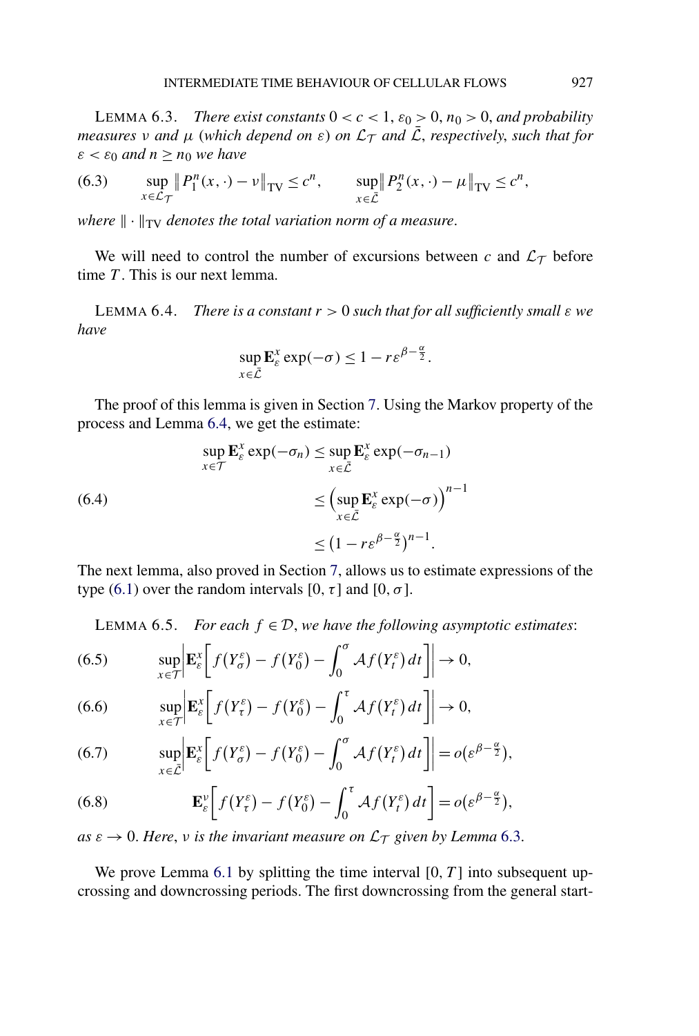<span id="page-30-0"></span>LEMMA 6.3. *There exist constants*  $0 < c < 1$ ,  $\varepsilon_0 > 0$ ,  $n_0 > 0$ , and probability *measures v and*  $\mu$  (*which depend on*  $\varepsilon$ ) *on*  $\mathcal{L}_\mathcal{T}$  *and*  $\overline{\mathcal{L}}$ *, respectively, such that for*  $\varepsilon < \varepsilon_0$  *and*  $n > n_0$  *we have* 

(6.3) 
$$
\sup_{x \in \mathcal{L}_{\mathcal{T}}} \| P_1^n(x, \cdot) - \nu \|_{TV} \leq c^n, \qquad \sup_{x \in \bar{\mathcal{L}}} \| P_2^n(x, \cdot) - \mu \|_{TV} \leq c^n,
$$

*where*  $\|\cdot\|_{TV}$  *denotes the total variation norm of a measure.* 

We will need to control the number of excursions between  $c$  and  $\mathcal{L}_{\mathcal{T}}$  before time *T* . This is our next lemma.

LEMMA 6.4. *There is a constant*  $r > 0$  *such that for all sufficiently small*  $ε$  *we have*

$$
\sup_{x \in \bar{\mathcal{L}}} \mathbf{E}_{\varepsilon}^x \exp(-\sigma) \le 1 - r \varepsilon^{\beta - \frac{\alpha}{2}}.
$$

The proof of this lemma is given in Section [7.](#page-33-0) Using the Markov property of the process and Lemma 6.4, we get the estimate:

(6.4)  
\n
$$
\sup_{x \in \mathcal{T}} \mathbf{E}_{\varepsilon}^{x} \exp(-\sigma_{n}) \leq \sup_{x \in \bar{\mathcal{L}}} \mathbf{E}_{\varepsilon}^{x} \exp(-\sigma_{n-1})
$$
\n
$$
\leq \left(\sup_{x \in \bar{\mathcal{L}}} \mathbf{E}_{\varepsilon}^{x} \exp(-\sigma)\right)^{n-1}
$$
\n
$$
\leq (1 - r\varepsilon^{\beta - \frac{\alpha}{2}})^{n-1}.
$$

The next lemma, also proved in Section [7,](#page-33-0) allows us to estimate expressions of the type [\(6.1\)](#page-29-0) over the random intervals [0,  $\tau$ ] and [0,  $\sigma$ ].

LEMMA 6.5. *For each*  $f \in \mathcal{D}$ , *we have the following asymptotic estimates:* 

(6.5) 
$$
\sup_{x \in \mathcal{T}} \left| \mathbf{E}_{\varepsilon}^{x} \left[ f(Y_{\sigma}^{\varepsilon}) - f(Y_{0}^{\varepsilon}) - \int_{0}^{\sigma} \mathcal{A} f(Y_{t}^{\varepsilon}) dt \right] \right| \to 0,
$$

(6.6) 
$$
\sup_{x \in \mathcal{T}} \left| \mathbf{E}_{\varepsilon}^{x} \left[ f(Y_{\tau}^{\varepsilon}) - f(Y_{0}^{\varepsilon}) - \int_{0}^{\tau} \mathcal{A} f(Y_{t}^{\varepsilon}) dt \right] \right| \to 0,
$$

(6.7) 
$$
\sup_{x \in \bar{\mathcal{L}}} \left| \mathbf{E}_{\varepsilon}^{x} \left[ f(Y_{\sigma}^{\varepsilon}) - f(Y_{0}^{\varepsilon}) - \int_{0}^{\sigma} \mathcal{A} f(Y_{t}^{\varepsilon}) dt \right] \right| = o(\varepsilon^{\beta - \frac{\alpha}{2}}),
$$

(6.8) 
$$
\mathbf{E}_{\varepsilon}^{\nu}\bigg[f(Y_{\tau}^{\varepsilon})-f(Y_{0}^{\varepsilon})-\int_{0}^{\tau}\mathcal{A}f(Y_{t}^{\varepsilon})dt\bigg]=o(\varepsilon^{\beta-\frac{\alpha}{2}}),
$$

 $as \varepsilon \to 0$ . Here, *v* is the invariant measure on  $\mathcal{L}_\mathcal{T}$  given by Lemma 6.3.

We prove Lemma [6.1](#page-29-0) by splitting the time interval  $[0, T]$  into subsequent upcrossing and downcrossing periods. The first downcrossing from the general start-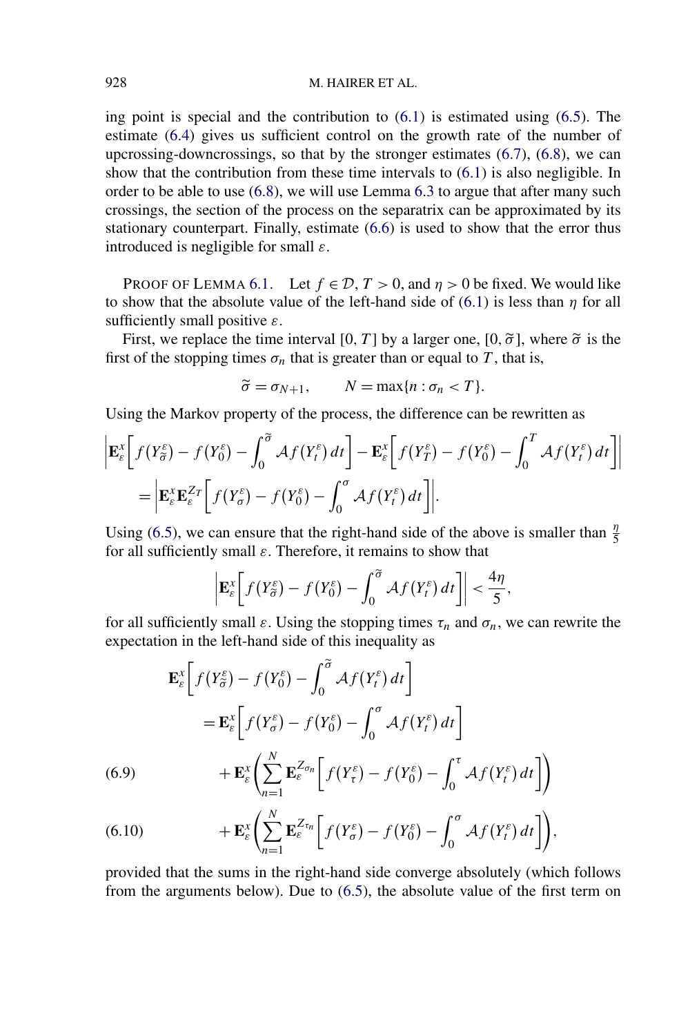### <span id="page-31-0"></span>928 M. HAIRER ET AL.

ing point is special and the contribution to [\(6.1\)](#page-29-0) is estimated using [\(6.5\)](#page-30-0). The estimate [\(6.4\)](#page-30-0) gives us sufficient control on the growth rate of the number of upcrossing-downcrossings, so that by the stronger estimates [\(6.7\)](#page-30-0), [\(6.8\)](#page-30-0), we can show that the contribution from these time intervals to [\(6.1\)](#page-29-0) is also negligible. In order to be able to use [\(6.8\)](#page-30-0), we will use Lemma [6.3](#page-30-0) to argue that after many such crossings, the section of the process on the separatrix can be approximated by its stationary counterpart. Finally, estimate [\(6.6\)](#page-30-0) is used to show that the error thus introduced is negligible for small *ε*.

PROOF OF LEMMA [6.1.](#page-29-0) Let  $f \in \mathcal{D}$ ,  $T > 0$ , and  $\eta > 0$  be fixed. We would like to show that the absolute value of the left-hand side of [\(6.1\)](#page-29-0) is less than *η* for all sufficiently small positive *ε*.

First, we replace the time interval [0, T] by a larger one, [0,  $\tilde{\sigma}$ ], where  $\tilde{\sigma}$  is the first of the stopping times  $\sigma_n$  that is greater than or equal to *T*, that is,

$$
\widetilde{\sigma} = \sigma_{N+1}, \qquad N = \max\{n : \sigma_n < T\}.
$$

Using the Markov property of the process, the difference can be rewritten as

$$
\begin{split} \left| \mathbf{E}_{\varepsilon}^{x} \bigg[ f(Y_{\sigma}^{\varepsilon}) - f(Y_{0}^{\varepsilon}) - \int_{0}^{\widetilde{\sigma}} \mathcal{A} f(Y_{t}^{\varepsilon}) dt \bigg] - \mathbf{E}_{\varepsilon}^{x} \bigg[ f(Y_{T}^{\varepsilon}) - f(Y_{0}^{\varepsilon}) - \int_{0}^{T} \mathcal{A} f(Y_{t}^{\varepsilon}) dt \bigg] \right| \\ &= \left| \mathbf{E}_{\varepsilon}^{x} \mathbf{E}_{\varepsilon}^{Z_{T}} \bigg[ f(Y_{\sigma}^{\varepsilon}) - f(Y_{0}^{\varepsilon}) - \int_{0}^{\sigma} \mathcal{A} f(Y_{t}^{\varepsilon}) dt \bigg] \right|. \end{split}
$$

Using [\(6.5\)](#page-30-0), we can ensure that the right-hand side of the above is smaller than  $\frac{\eta}{5}$ for all sufficiently small *ε*. Therefore, it remains to show that

$$
\left|\mathbf{E}_{\varepsilon}^{x}\bigg[f(Y_{\widetilde{\sigma}}^{\varepsilon})-f(Y_{0}^{\varepsilon})-\int_{0}^{\widetilde{\sigma}}\mathcal{A}f(Y_{t}^{\varepsilon})dt\bigg]\right|<\frac{4\eta}{5},
$$

for all sufficiently small  $\varepsilon$ . Using the stopping times  $\tau_n$  and  $\sigma_n$ , we can rewrite the expectation in the left-hand side of this inequality as

$$
\mathbf{E}_{\varepsilon}^{x} \bigg[ f(Y_{\tilde{\sigma}}^{\varepsilon}) - f(Y_{0}^{\varepsilon}) - \int_{0}^{\tilde{\sigma}} \mathcal{A} f(Y_{t}^{\varepsilon}) dt \bigg]
$$
\n
$$
= \mathbf{E}_{\varepsilon}^{x} \bigg[ f(Y_{\sigma}^{\varepsilon}) - f(Y_{0}^{\varepsilon}) - \int_{0}^{\sigma} \mathcal{A} f(Y_{t}^{\varepsilon}) dt \bigg]
$$
\n(6.9)\n
$$
+ \mathbf{E}_{\varepsilon}^{x} \bigg( \sum_{n=1}^{N} \mathbf{E}_{\varepsilon}^{Z_{\sigma n}} \bigg[ f(Y_{\tau}^{\varepsilon}) - f(Y_{0}^{\varepsilon}) - \int_{0}^{\tau} \mathcal{A} f(Y_{t}^{\varepsilon}) dt \bigg] \bigg)
$$
\n(6.10)

(6.10) 
$$
+\mathbf{E}_{\varepsilon}^{x}\bigg(\sum_{n=1}^{N}\mathbf{E}_{\varepsilon}^{Z_{\tau n}}\bigg[f(Y_{\sigma}^{\varepsilon})-f(Y_{0}^{\varepsilon})-\int_{0}^{\sigma}\mathcal{A}f(Y_{t}^{\varepsilon})dt\bigg]\bigg),
$$

provided that the sums in the right-hand side converge absolutely (which follows from the arguments below). Due to [\(6.5\)](#page-30-0), the absolute value of the first term on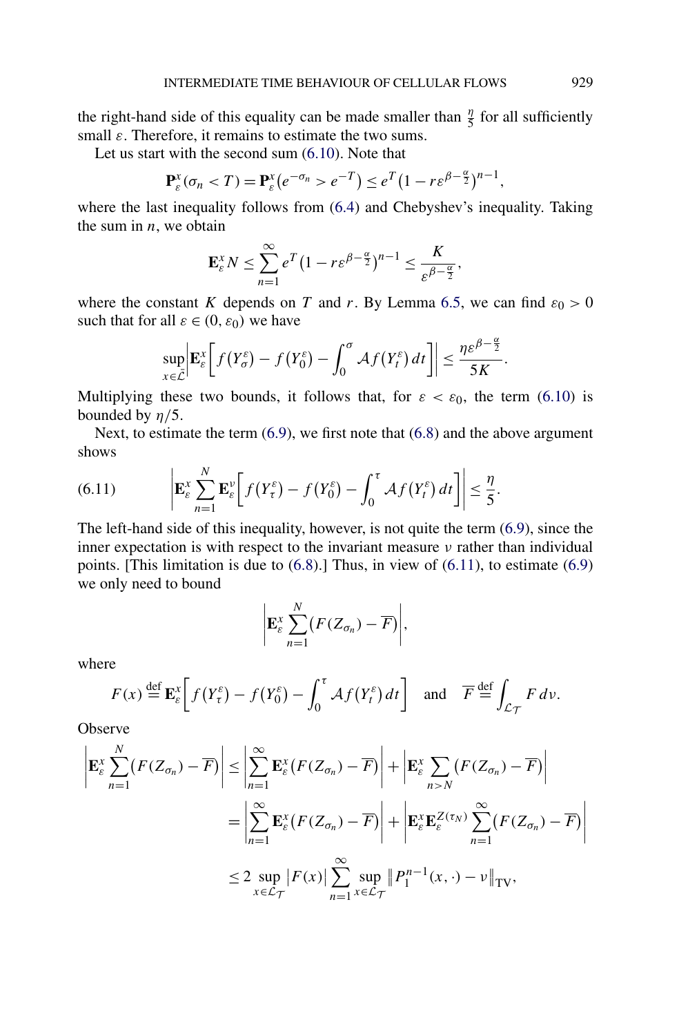the right-hand side of this equality can be made smaller than  $\frac{\eta}{5}$  for all sufficiently small *ε*. Therefore, it remains to estimate the two sums.

Let us start with the second sum [\(6.10\)](#page-31-0). Note that

$$
\mathbf{P}_{\varepsilon}^{x}(\sigma_{n} < T) = \mathbf{P}_{\varepsilon}^{x} (e^{-\sigma_{n}} > e^{-T}) \leq e^{T} (1 - r\varepsilon^{\beta - \frac{\alpha}{2}})^{n-1},
$$

where the last inequality follows from [\(6.4\)](#page-30-0) and Chebyshev's inequality. Taking the sum in *n*, we obtain

$$
\mathbf{E}_{\varepsilon}^{x} N \leq \sum_{n=1}^{\infty} e^{T} \left( 1 - r \varepsilon^{\beta - \frac{\alpha}{2}} \right)^{n-1} \leq \frac{K}{\varepsilon^{\beta - \frac{\alpha}{2}}},
$$

where the constant *K* depends on *T* and *r*. By Lemma [6.5,](#page-30-0) we can find  $\varepsilon_0 > 0$ such that for all  $\varepsilon \in (0, \varepsilon_0)$  we have

$$
\sup_{x\in\bar{\mathcal{L}}} \left| \mathbf{E}_{\varepsilon}^x \left[ f(Y_{\sigma}^{\varepsilon}) - f(Y_0^{\varepsilon}) - \int_0^{\sigma} \mathcal{A} f(Y_t^{\varepsilon}) dt \right] \right| \leq \frac{\eta \varepsilon^{\beta-\frac{\alpha}{2}}}{5K}.
$$

Multiplying these two bounds, it follows that, for  $\varepsilon < \varepsilon_0$ , the term [\(6.10\)](#page-31-0) is bounded by  $\eta/5$ .

Next, to estimate the term  $(6.9)$ , we first note that  $(6.8)$  and the above argument shows

(6.11) 
$$
\left| \mathbf{E}_{\varepsilon}^{x} \sum_{n=1}^{N} \mathbf{E}_{\varepsilon}^{v} \left[ f(Y_{\tau}^{\varepsilon}) - f(Y_{0}^{\varepsilon}) - \int_{0}^{\tau} \mathcal{A} f(Y_{t}^{\varepsilon}) dt \right] \right| \leq \frac{\eta}{5}.
$$

The left-hand side of this inequality, however, is not quite the term [\(6.9\)](#page-31-0), since the inner expectation is with respect to the invariant measure *ν* rather than individual points. [This limitation is due to  $(6.8)$ .] Thus, in view of  $(6.11)$ , to estimate  $(6.9)$ we only need to bound

$$
\bigg|\mathbf{E}_{\varepsilon}^{x}\sum_{n=1}^{N}(F(Z_{\sigma_{n}})-\overline{F})\bigg|,
$$

where

$$
F(x) \stackrel{\text{def}}{=} \mathbf{E}_{\varepsilon}^{x} \bigg[ f(Y_{\tau}^{\varepsilon}) - f(Y_{0}^{\varepsilon}) - \int_{0}^{\tau} \mathcal{A} f(Y_{t}^{\varepsilon}) dt \bigg] \quad \text{and} \quad \overline{F} \stackrel{\text{def}}{=} \int_{\mathcal{L}_{\mathcal{T}}} F dv.
$$

Observe

$$
\left| \mathbf{E}_{\varepsilon}^{x} \sum_{n=1}^{N} (F(Z_{\sigma_{n}}) - \overline{F}) \right| \leq \left| \sum_{n=1}^{\infty} \mathbf{E}_{\varepsilon}^{x} (F(Z_{\sigma_{n}}) - \overline{F}) \right| + \left| \mathbf{E}_{\varepsilon}^{x} \sum_{n>N} (F(Z_{\sigma_{n}}) - \overline{F}) \right|
$$
  
\n
$$
= \left| \sum_{n=1}^{\infty} \mathbf{E}_{\varepsilon}^{x} (F(Z_{\sigma_{n}}) - \overline{F}) \right| + \left| \mathbf{E}_{\varepsilon}^{x} \mathbf{E}_{\varepsilon}^{Z(\tau_{N})} \sum_{n=1}^{\infty} (F(Z_{\sigma_{n}}) - \overline{F}) \right|
$$
  
\n
$$
\leq 2 \sup_{x \in \mathcal{L}_{\mathcal{T}}} |F(x)| \sum_{n=1}^{\infty} \sup_{x \in \mathcal{L}_{\mathcal{T}}} \|P_{1}^{n-1}(x, \cdot) - \nu\|_{\text{TV}},
$$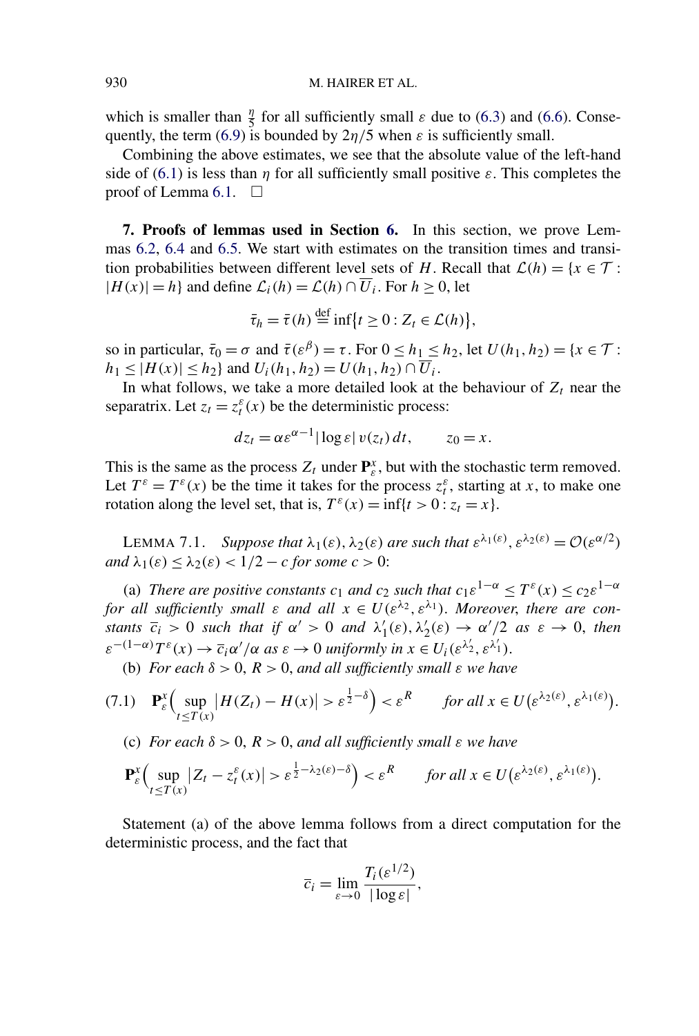<span id="page-33-0"></span>which is smaller than  $\frac{\eta}{5}$  for all sufficiently small  $\varepsilon$  due to [\(6.3\)](#page-30-0) and [\(6.6\)](#page-30-0). Conse-quently, the term [\(6.9\)](#page-31-0) is bounded by  $2\eta/5$  when  $\varepsilon$  is sufficiently small.

Combining the above estimates, we see that the absolute value of the left-hand side of [\(6.1\)](#page-29-0) is less than *η* for all sufficiently small positive  $\varepsilon$ . This completes the proof of Lemma [6.1.](#page-29-0)  $\Box$ 

**7. Proofs of lemmas used in Section [6.](#page-28-0)** In this section, we prove Lemmas [6.2,](#page-29-0) [6.4](#page-30-0) and [6.5.](#page-30-0) We start with estimates on the transition times and transition probabilities between different level sets of *H*. Recall that  $\mathcal{L}(h) = \{x \in \mathcal{T} :$  $|H(x)| = h$  and define  $\mathcal{L}_i(h) = \mathcal{L}(h) \cap \overline{U}_i$ . For  $h \ge 0$ , let

$$
\bar{\tau}_h = \bar{\tau}(h) \stackrel{\text{def}}{=} \inf \{ t \ge 0 : Z_t \in \mathcal{L}(h) \},
$$

so in particular,  $\bar{\tau}_0 = \sigma$  and  $\bar{\tau}(\varepsilon^{\beta}) = \tau$ . For  $0 \le h_1 \le h_2$ , let  $U(h_1, h_2) = \{x \in \mathcal{T} :$  $h_1 \le |H(x)| \le h_2$  and  $U_i(h_1, h_2) = U(h_1, h_2) \cap \overline{U_i}$ .

In what follows, we take a more detailed look at the behaviour of  $Z_t$  near the separatrix. Let  $z_t = z_t^{\varepsilon}(x)$  be the deterministic process:

$$
dz_t = \alpha \varepsilon^{\alpha - 1} |\log \varepsilon| v(z_t) dt, \qquad z_0 = x.
$$

This is the same as the process  $Z_t$  under  $\mathbf{P}_{\varepsilon}^x$ , but with the stochastic term removed. Let  $T^{\varepsilon} = T^{\varepsilon}(x)$  be the time it takes for the process  $z_t^{\varepsilon}$ , starting at *x*, to make one rotation along the level set, that is,  $T^{\varepsilon}(x) = \inf\{t > 0 : z_t = x\}.$ 

LEMMA 7.1. *Suppose that*  $\lambda_1(\varepsilon)$ ,  $\lambda_2(\varepsilon)$  *are such that*  $\varepsilon^{\lambda_1(\varepsilon)}$ ,  $\varepsilon^{\lambda_2(\varepsilon)} = \mathcal{O}(\varepsilon^{\alpha/2})$ *and*  $\lambda_1(\varepsilon) \leq \lambda_2(\varepsilon) < 1/2 - c$  *for some*  $c > 0$ :

(a) *There are positive constants*  $c_1$  *and*  $c_2$  *such that*  $c_1 \varepsilon^{1-\alpha} \leq T^{\varepsilon}(x) \leq c_2 \varepsilon^{1-\alpha}$ *for all sufficiently small*  $\varepsilon$  *and all*  $x \in U(\varepsilon^{\lambda_2}, \varepsilon^{\lambda_1})$ *. Moreover, there are constants*  $\overline{c_i} > 0$  *such that if*  $\alpha' > 0$  *and*  $\lambda'_1(\varepsilon), \lambda'_2(\varepsilon) \to \alpha'/2$  *as*  $\varepsilon \to 0$ , *then*  $\varepsilon^{-(1-\alpha)}T^{\varepsilon}(x) \to \overline{c}_i\alpha'/\alpha$  *as*  $\varepsilon \to 0$  *uniformly in*  $x \in U_i(\varepsilon^{\lambda'_2}, \varepsilon^{\lambda'_1})$ .

(b) *For each*  $\delta > 0$ ,  $R > 0$ , *and all sufficiently small*  $\varepsilon$  *we have* 

$$
(7.1) \quad \mathbf{P}_{\varepsilon}^{x} \Big( \sup_{t \leq T(x)} \big| H(Z_{t}) - H(x) \big| > \varepsilon^{\frac{1}{2} - \delta} \Big) < \varepsilon^{R} \qquad \text{for all } x \in U(\varepsilon^{\lambda_{2}(\varepsilon)}, \varepsilon^{\lambda_{1}(\varepsilon)}).
$$

(c) *For each δ >* 0, *R >* 0, *and all sufficiently small ε we have*

$$
\mathbf{P}_{\varepsilon}^{x}\Big(\sup_{t\leq T(x)}|Z_{t}-z_{t}^{\varepsilon}(x)|>\varepsilon^{\frac{1}{2}-\lambda_{2}(\varepsilon)-\delta}\Big)<\varepsilon^{R}\qquad\text{for all }x\in U(\varepsilon^{\lambda_{2}(\varepsilon)},\varepsilon^{\lambda_{1}(\varepsilon)}).
$$

Statement (a) of the above lemma follows from a direct computation for the deterministic process, and the fact that

$$
\overline{c}_i = \lim_{\varepsilon \to 0} \frac{T_i(\varepsilon^{1/2})}{|\log \varepsilon|},
$$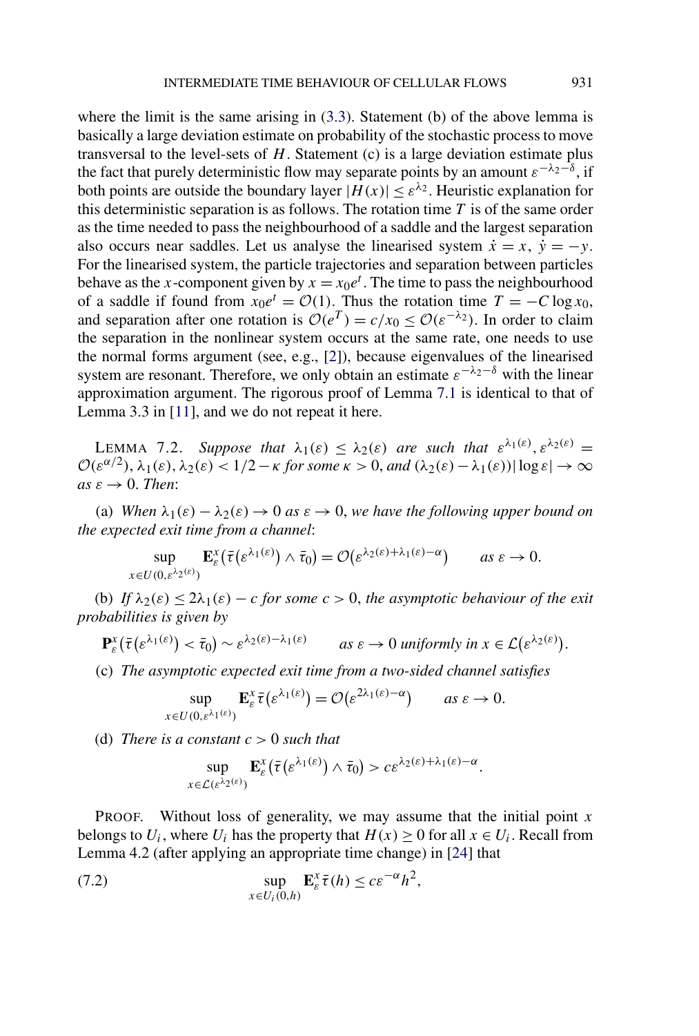<span id="page-34-0"></span>where the limit is the same arising in  $(3.3)$ . Statement (b) of the above lemma is basically a large deviation estimate on probability of the stochastic process to move transversal to the level-sets of *H*. Statement (c) is a large deviation estimate plus the fact that purely deterministic flow may separate points by an amount  $\varepsilon^{-\lambda_2-\delta}$ , if both points are outside the boundary layer  $|H(x)| \leq \varepsilon^{\lambda_2}$ . Heuristic explanation for this deterministic separation is as follows. The rotation time *T* is of the same order as the time needed to pass the neighbourhood of a saddle and the largest separation also occurs near saddles. Let us analyse the linearised system  $\dot{x} = x$ ,  $\dot{y} = -y$ . For the linearised system, the particle trajectories and separation between particles behave as the *x*-component given by  $x = x_0 e^t$ . The time to pass the neighbourhood of a saddle if found from  $x_0e^t = \mathcal{O}(1)$ . Thus the rotation time  $T = -C \log x_0$ , and separation after one rotation is  $\mathcal{O}(e^T) = c/x_0 \leq \mathcal{O}(e^{-\lambda_2})$ . In order to claim the separation in the nonlinear system occurs at the same rate, one needs to use the normal forms argument (see, e.g., [\[2\]](#page-56-0)), because eigenvalues of the linearised system are resonant. Therefore, we only obtain an estimate  $\varepsilon^{-\lambda_2-\delta}$  with the linear approximation argument. The rigorous proof of Lemma [7.1](#page-33-0) is identical to that of Lemma 3.3 in [\[11\]](#page-56-0), and we do not repeat it here.

**LEMMA** 7.2. *Suppose that*  $\lambda_1(\varepsilon) < \lambda_2(\varepsilon)$  *are such that*  $\varepsilon^{\lambda_1(\varepsilon)}$ ,  $\varepsilon^{\lambda_2(\varepsilon)}$  =  $\mathcal{O}(\varepsilon^{\alpha/2})$ ,  $\lambda_1(\varepsilon)$ ,  $\lambda_2(\varepsilon) < 1/2 - \kappa$  for some  $\kappa > 0$ , and  $(\lambda_2(\varepsilon) - \lambda_1(\varepsilon)) |\log \varepsilon| \to \infty$  $as \varepsilon \rightarrow 0$ . *Then*:

(a) *When*  $\lambda_1(\varepsilon) - \lambda_2(\varepsilon) \to 0$  *as*  $\varepsilon \to 0$ *, we have the following upper bound on the expected exit time from a channel*:

$$
\sup_{x \in U(0,\varepsilon^{\lambda_2(\varepsilon)})} \mathbf{E}_{\varepsilon}^x(\bar{\tau}(\varepsilon^{\lambda_1(\varepsilon)}) \wedge \bar{\tau}_0) = \mathcal{O}(\varepsilon^{\lambda_2(\varepsilon) + \lambda_1(\varepsilon) - \alpha}) \qquad \text{as } \varepsilon \to 0.
$$

(b) *If*  $\lambda_2(\varepsilon) \leq 2\lambda_1(\varepsilon) - c$  *for some*  $c > 0$ *, the asymptotic behaviour of the exit probabilities is given by*

$$
\mathbf{P}_{\varepsilon}^{x}(\bar{\tau}(\varepsilon^{\lambda_{1}(\varepsilon)}) < \bar{\tau}_{0}) \sim \varepsilon^{\lambda_{2}(\varepsilon)-\lambda_{1}(\varepsilon)} \qquad \text{as } \varepsilon \to 0 \text{ uniformly in } x \in \mathcal{L}(\varepsilon^{\lambda_{2}(\varepsilon)}).
$$

(c) *The asymptotic expected exit time from a two-sided channel satisfies*

$$
\sup_{x \in U(0,\varepsilon^{\lambda_1(\varepsilon)})} \mathbf{E}_{\varepsilon}^x \overline{\tau}(\varepsilon^{\lambda_1(\varepsilon)}) = \mathcal{O}(\varepsilon^{2\lambda_1(\varepsilon)-\alpha}) \qquad \text{as } \varepsilon \to 0.
$$

(d) *There is a constant c >* 0 *such that*

$$
\sup_{x \in \mathcal{L}(\varepsilon^{\lambda_2(\varepsilon)})} \mathbf{E}_{\varepsilon}^x(\bar{\tau}(\varepsilon^{\lambda_1(\varepsilon)}) \wedge \bar{\tau}_0) > c \varepsilon^{\lambda_2(\varepsilon) + \lambda_1(\varepsilon) - \alpha}.
$$

PROOF. Without loss of generality, we may assume that the initial point *x* belongs to  $U_i$ , where  $U_i$  has the property that  $H(x) \ge 0$  for all  $x \in U_i$ . Recall from Lemma 4.2 (after applying an appropriate time change) in [\[24\]](#page-57-0) that

(7.2) 
$$
\sup_{x \in U_i(0,h)} \mathbf{E}_{\varepsilon}^x \overline{\tau}(h) \leq c \varepsilon^{-\alpha} h^2,
$$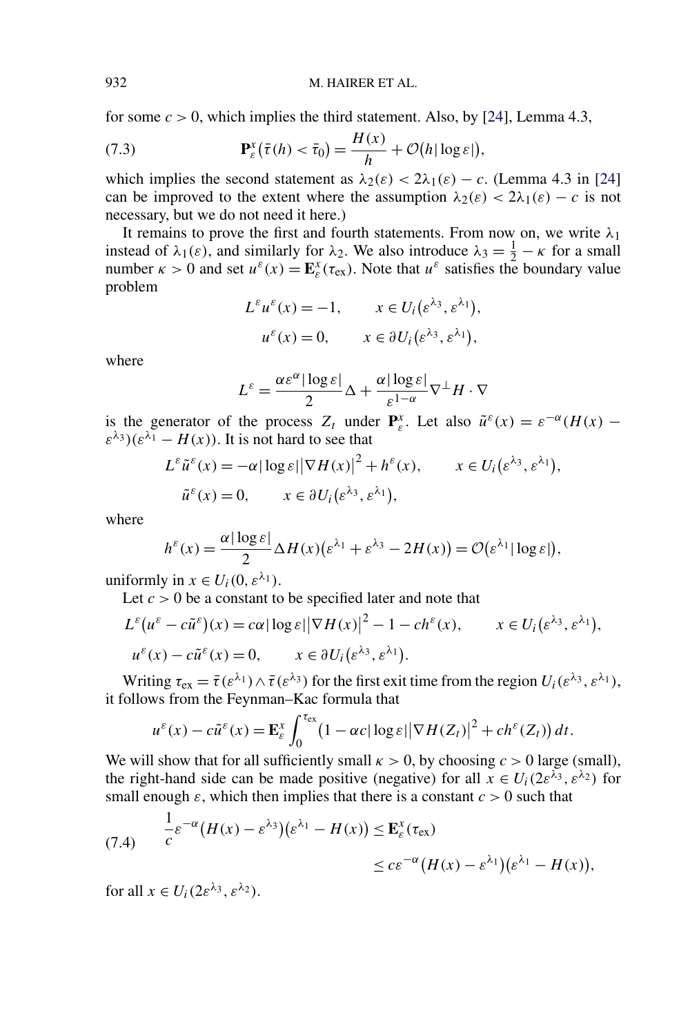<span id="page-35-0"></span>for some  $c > 0$ , which implies the third statement. Also, by [\[24\]](#page-57-0), Lemma 4.3,

(7.3) 
$$
\mathbf{P}_{\varepsilon}^{x}(\bar{\tau}(h) < \bar{\tau}_{0}) = \frac{H(x)}{h} + \mathcal{O}(h|\log \varepsilon|),
$$

which implies the second statement as  $\lambda_2(\varepsilon) < 2\lambda_1(\varepsilon) - c$ . (Lemma 4.3 in [\[24\]](#page-57-0) can be improved to the extent where the assumption  $\lambda_2(\varepsilon) < 2\lambda_1(\varepsilon) - c$  is not necessary, but we do not need it here.)

It remains to prove the first and fourth statements. From now on, we write  $\lambda_1$ instead of  $\lambda_1(\varepsilon)$ , and similarly for  $\lambda_2$ . We also introduce  $\lambda_3 = \frac{1}{2} - \kappa$  for a small number  $\kappa > 0$  and set  $u^{\varepsilon}(x) = \mathbf{E}_{\varepsilon}^{x}(\tau_{ex})$ . Note that  $u^{\varepsilon}$  satisfies the boundary value problem

$$
L^{\varepsilon}u^{\varepsilon}(x) = -1, \qquad x \in U_i(\varepsilon^{\lambda_3}, \varepsilon^{\lambda_1}),
$$
  

$$
u^{\varepsilon}(x) = 0, \qquad x \in \partial U_i(\varepsilon^{\lambda_3}, \varepsilon^{\lambda_1}),
$$

where

$$
L^{\varepsilon} = \frac{\alpha \varepsilon^{\alpha} |\log \varepsilon|}{2} \Delta + \frac{\alpha |\log \varepsilon|}{\varepsilon^{1-\alpha}} \nabla^{\perp} H \cdot \nabla
$$

is the generator of the process  $Z_t$  under  $P_{\varepsilon}^x$ . Let also  $\tilde{u}^{\varepsilon}(x) = \varepsilon^{-\alpha}(H(x))$  $\varepsilon^{\lambda_3}$ )( $\varepsilon^{\lambda_1}$  – *H(x)*). It is not hard to see that

$$
L^{\varepsilon} \tilde{u}^{\varepsilon}(x) = -\alpha |\log \varepsilon| |\nabla H(x)|^2 + h^{\varepsilon}(x), \qquad x \in U_i(\varepsilon^{\lambda_3}, \varepsilon^{\lambda_1}),
$$
  

$$
\tilde{u}^{\varepsilon}(x) = 0, \qquad x \in \partial U_i(\varepsilon^{\lambda_3}, \varepsilon^{\lambda_1}),
$$

where

$$
h^{\varepsilon}(x) = \frac{\alpha |\log \varepsilon|}{2} \Delta H(x) \big( \varepsilon^{\lambda_1} + \varepsilon^{\lambda_3} - 2H(x) \big) = \mathcal{O}(\varepsilon^{\lambda_1} |\log \varepsilon|),
$$

uniformly in  $x \in U_i(0, \varepsilon^{\lambda_1})$ .

Let  $c > 0$  be a constant to be specified later and note that

$$
L^{\varepsilon} (u^{\varepsilon} - c\tilde{u}^{\varepsilon}) (x) = c\alpha |\log \varepsilon| |\nabla H(x)|^2 - 1 - ch^{\varepsilon}(x), \qquad x \in U_i(\varepsilon^{\lambda_3}, \varepsilon^{\lambda_1}),
$$
  

$$
u^{\varepsilon}(x) - c\tilde{u}^{\varepsilon}(x) = 0, \qquad x \in \partial U_i(\varepsilon^{\lambda_3}, \varepsilon^{\lambda_1}).
$$

Writing  $\tau_{ex} = \bar{\tau}(\varepsilon^{\lambda_1}) \wedge \bar{\tau}(\varepsilon^{\lambda_3})$  for the first exit time from the region  $U_i(\varepsilon^{\lambda_3}, \varepsilon^{\lambda_1})$ , it follows from the Feynman–Kac formula that

$$
u^{\varepsilon}(x)-c\tilde{u}^{\varepsilon}(x)=\mathbf{E}_{\varepsilon}^{x}\int_{0}^{\tau_{\text{ex}}}\left(1-\alpha c|\log\varepsilon||\nabla H(Z_{t})|^{2}+ch^{\varepsilon}(Z_{t})\right)dt.
$$

We will show that for all sufficiently small  $\kappa > 0$ , by choosing  $c > 0$  large (small), the right-hand side can be made positive (negative) for all  $x \in U_i(2\varepsilon^{\lambda_3}, \varepsilon^{\lambda_2})$  for small enough  $\varepsilon$ , which then implies that there is a constant  $c > 0$  such that

(7.4) 
$$
\frac{1}{c}\varepsilon^{-\alpha}(H(x)-\varepsilon^{\lambda_3})(\varepsilon^{\lambda_1}-H(x)) \leq \mathbf{E}_{\varepsilon}^x(\tau_{\text{ex}})
$$

$$
\leq c\varepsilon^{-\alpha}(H(x)-\varepsilon^{\lambda_1})(\varepsilon^{\lambda_1}-H(x)),
$$

for all  $x \in U_i(2\varepsilon^{\lambda_3}, \varepsilon^{\lambda_2})$ .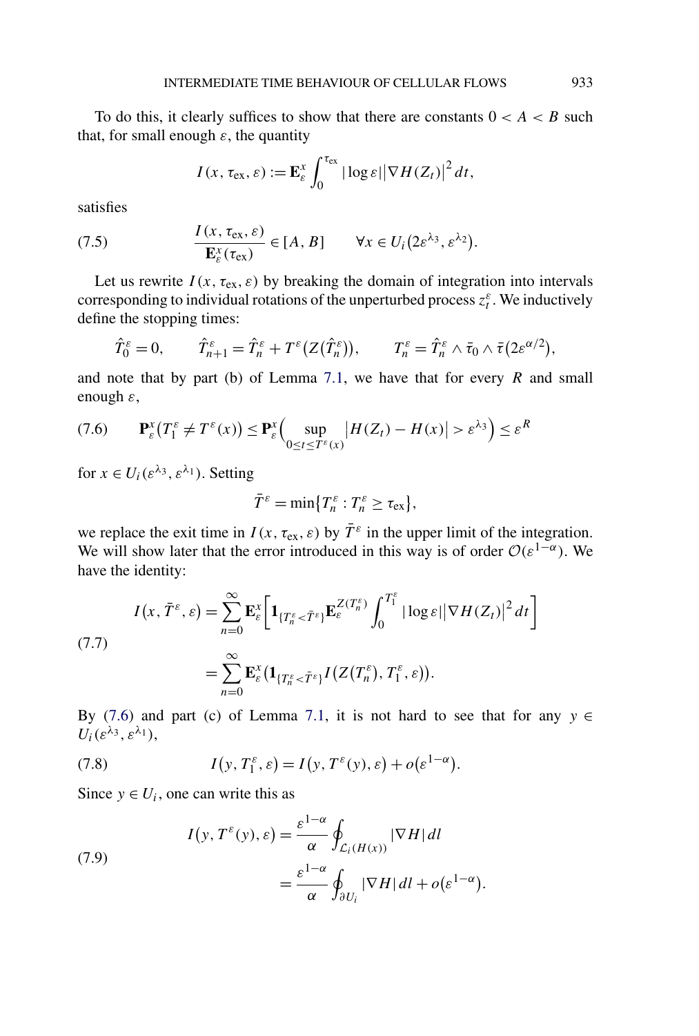<span id="page-36-0"></span>To do this, it clearly suffices to show that there are constants  $0 < A < B$  such that, for small enough  $\varepsilon$ , the quantity

$$
I(x, \tau_{\text{ex}}, \varepsilon) := \mathbf{E}_{\varepsilon}^{x} \int_{0}^{\tau_{\text{ex}}} |\log \varepsilon| |\nabla H(Z_t)|^2 dt,
$$

satisfies

(7.5) 
$$
\frac{I(x, \tau_{\text{ex}}, \varepsilon)}{\mathbf{E}_{\varepsilon}^{x}(\tau_{\text{ex}})} \in [A, B] \qquad \forall x \in U_{i}(2\varepsilon^{\lambda_{3}}, \varepsilon^{\lambda_{2}}).
$$

Let us rewrite  $I(x, \tau_{ex}, \varepsilon)$  by breaking the domain of integration into intervals corresponding to individual rotations of the unperturbed process  $z_t^{\varepsilon}$ . We inductively define the stopping times:

$$
\hat{T}_0^{\varepsilon} = 0, \qquad \hat{T}_{n+1}^{\varepsilon} = \hat{T}_n^{\varepsilon} + T^{\varepsilon} (Z(\hat{T}_n^{\varepsilon})), \qquad T_n^{\varepsilon} = \hat{T}_n^{\varepsilon} \wedge \bar{\tau}_0 \wedge \bar{\tau} (2\varepsilon^{\alpha/2}),
$$

and note that by part (b) of Lemma [7.1,](#page-33-0) we have that for every *R* and small enough *ε*,

$$
(7.6) \qquad \mathbf{P}_{\varepsilon}^{x}(T_{1}^{\varepsilon} \neq T^{\varepsilon}(x)) \leq \mathbf{P}_{\varepsilon}^{x}\Big(\sup_{0 \leq t \leq T^{\varepsilon}(x)}|H(Z_{t}) - H(x)| > \varepsilon^{\lambda_{3}}\Big) \leq \varepsilon^{R}
$$

for  $x \in U_i(\varepsilon^{\lambda_3}, \varepsilon^{\lambda_1})$ . Setting

$$
\bar{T}^{\varepsilon} = \min\{T_n^{\varepsilon} : T_n^{\varepsilon} \geq \tau_{\text{ex}}\},\
$$

we replace the exit time in  $I(x, \tau_{ex}, \varepsilon)$  by  $\overline{T}^{\varepsilon}$  in the upper limit of the integration. We will show later that the error introduced in this way is of order  $\mathcal{O}(\varepsilon^{1-\alpha})$ . We have the identity:

$$
I(x, \overline{T}^{\varepsilon}, \varepsilon) = \sum_{n=0}^{\infty} \mathbf{E}_{\varepsilon}^{x} \bigg[ \mathbf{1}_{\{T^{\varepsilon}_{n} < \overline{T}^{\varepsilon}\}} \mathbf{E}_{\varepsilon}^{Z(T^{\varepsilon}_{n})} \int_{0}^{T^{\varepsilon}_{1}} |\log \varepsilon| |\nabla H(Z_{t})|^{2} dt \bigg]
$$
\n
$$
= \sum_{n=0}^{\infty} \mathbf{E}_{\varepsilon}^{x} \big( \mathbf{1}_{\{T^{\varepsilon}_{n} < \overline{T}^{\varepsilon}\}} I(Z(T^{\varepsilon}_{n}), T^{\varepsilon}_{1}, \varepsilon) \big).
$$

By (7.6) and part (c) of Lemma [7.1,](#page-33-0) it is not hard to see that for any  $y \in$  $U_i(\varepsilon^{\lambda_3}, \varepsilon^{\lambda_1}),$ 

(7.8) 
$$
I(y, T_1^{\varepsilon}, \varepsilon) = I(y, T^{\varepsilon}(y), \varepsilon) + o(\varepsilon^{1-\alpha}).
$$

Since  $y \in U_i$ , one can write this as

(7.9)  

$$
I(y, T^{\varepsilon}(y), \varepsilon) = \frac{\varepsilon^{1-\alpha}}{\alpha} \oint_{\mathcal{L}_i(H(x))} |\nabla H| dl
$$

$$
= \frac{\varepsilon^{1-\alpha}}{\alpha} \oint_{\partial U_i} |\nabla H| dl + o(\varepsilon^{1-\alpha}).
$$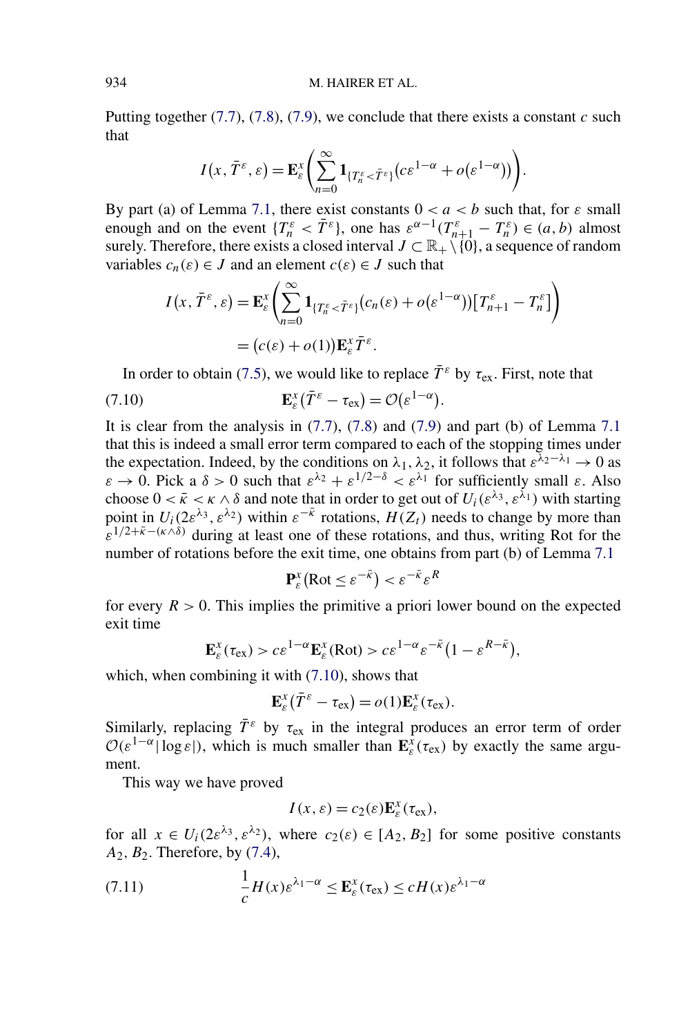Putting together  $(7.7)$ ,  $(7.8)$ ,  $(7.9)$ , we conclude that there exists a constant *c* such that

$$
I(x, \overline{T}^{\varepsilon}, \varepsilon) = \mathbf{E}_{\varepsilon}^{x} \left( \sum_{n=0}^{\infty} \mathbf{1}_{\{T^{\varepsilon}_n < \overline{T}^{\varepsilon}\}} (c \varepsilon^{1-\alpha} + o(\varepsilon^{1-\alpha})) \right).
$$

By part (a) of Lemma [7.1,](#page-33-0) there exist constants  $0 < a < b$  such that, for  $\varepsilon$  small enough and on the event  ${T_n^{\varepsilon}} < \overline{T}^{\varepsilon}$ , one has  $\varepsilon^{\alpha-1}(T_{n+1}^{\varepsilon} - T_n^{\varepsilon}) \in (a, b)$  almost surely. Therefore, there exists a closed interval  $J \subset \mathbb{R}_+ \setminus \{0\}$ , a sequence of random variables  $c_n(\varepsilon) \in J$  and an element  $c(\varepsilon) \in J$  such that

$$
I(x, \bar{T}^{\varepsilon}, \varepsilon) = \mathbf{E}_{\varepsilon}^{x} \left( \sum_{n=0}^{\infty} \mathbf{1}_{\{T^{\varepsilon}_{n} < \bar{T}^{\varepsilon}\}} (c_{n}(\varepsilon) + o(\varepsilon^{1-\alpha})) \left[ T^{\varepsilon}_{n+1} - T^{\varepsilon}_{n} \right] \right)
$$

$$
= (c(\varepsilon) + o(1)) \mathbf{E}_{\varepsilon}^{x} \bar{T}^{\varepsilon}.
$$

In order to obtain [\(7.5\)](#page-36-0), we would like to replace  $\bar{T}^{\varepsilon}$  by  $\tau_{ex}$ . First, note that

(7.10) 
$$
\mathbf{E}_{\varepsilon}^{x}(\bar{T}^{\varepsilon}-\tau_{\text{ex}})=\mathcal{O}(\varepsilon^{1-\alpha}).
$$

It is clear from the analysis in  $(7.7)$ ,  $(7.8)$  and  $(7.9)$  and part (b) of Lemma [7.1](#page-33-0) that this is indeed a small error term compared to each of the stopping times under the expectation. Indeed, by the conditions on  $\lambda_1$ ,  $\lambda_2$ , it follows that  $\varepsilon^{\lambda_2-\lambda_1} \to 0$  as *ε* → 0. Pick a *δ* > 0 such that  $ε^{\lambda_2} + ε^{1/2-\delta} < ε^{\lambda_1}$  for sufficiently small *ε*. Also choose  $0 < \bar{k} < \kappa \land \delta$  and note that in order to get out of  $U_i(\varepsilon^{\lambda_3}, \varepsilon^{\lambda_1})$  with starting point in  $U_i(2\varepsilon^{\lambda_3}, \varepsilon^{\lambda_2})$  within  $\varepsilon^{-\bar{\kappa}}$  rotations,  $H(Z_t)$  needs to change by more than  $\hat{\epsilon}^{1/2+\bar{k}-(k\wedge\delta)}$  during at least one of these rotations, and thus, writing Rot for the number of rotations before the exit time, one obtains from part (b) of Lemma [7.1](#page-33-0)

$$
\mathbf{P}_{\varepsilon}^{x}(\text{Rot} \le \varepsilon^{-\bar{\kappa}}) < \varepsilon^{-\bar{\kappa}} \varepsilon^{R}
$$

for every  $R > 0$ . This implies the primitive a priori lower bound on the expected exit time

$$
\mathbf{E}_{\varepsilon}^{x}(\tau_{\text{ex}}) > c \varepsilon^{1-\alpha} \mathbf{E}_{\varepsilon}^{x}(\text{Rot}) > c \varepsilon^{1-\alpha} \varepsilon^{-\bar{\kappa}} \big(1 - \varepsilon^{R-\bar{\kappa}}\big),
$$

which, when combining it with  $(7.10)$ , shows that

$$
\mathbf{E}_{\varepsilon}^x(\bar{T}^{\varepsilon}-\tau_{\text{ex}})=o(1)\mathbf{E}_{\varepsilon}^x(\tau_{\text{ex}}).
$$

Similarly, replacing  $\bar{T}^{\varepsilon}$  by  $\tau_{ex}$  in the integral produces an error term of order  $\mathcal{O}(\varepsilon^{1-\alpha} |\log \varepsilon|)$ , which is much smaller than  $\mathbf{E}_{\varepsilon}^{\hat{x}}(\tau_{\text{ex}})$  by exactly the same argument.

This way we have proved

$$
I(x,\varepsilon)=c_2(\varepsilon)\mathbf{E}_{\varepsilon}^x(\tau_{\text{ex}}),
$$

for all  $x \in U_i(2\varepsilon^{\lambda_3}, \varepsilon^{\lambda_2})$ , where  $c_2(\varepsilon) \in [A_2, B_2]$  for some positive constants *A*2*,B*2. Therefore, by [\(7.4\)](#page-35-0),

(7.11) 
$$
\frac{1}{c}H(x)\varepsilon^{\lambda_1-\alpha} \leq \mathbf{E}_{\varepsilon}^x(\tau_{\text{ex}}) \leq cH(x)\varepsilon^{\lambda_1-\alpha}
$$

<span id="page-37-0"></span>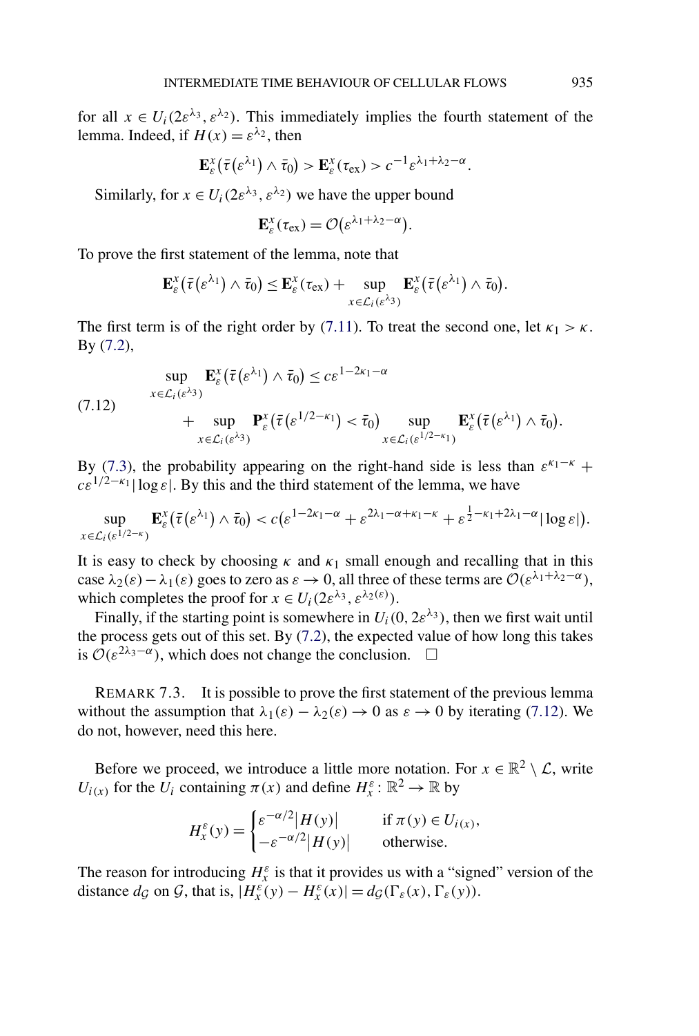for all  $x \in U_i(2\varepsilon^{\lambda_3}, \varepsilon^{\lambda_2})$ . This immediately implies the fourth statement of the lemma. Indeed, if  $H(x) = \varepsilon^{\lambda_2}$ , then

$$
\mathbf{E}_{\varepsilon}^{x}(\bar{\tau}(\varepsilon^{\lambda_1})\wedge \bar{\tau}_0) > \mathbf{E}_{\varepsilon}^{x}(\tau_{\text{ex}}) > c^{-1}\varepsilon^{\lambda_1+\lambda_2-\alpha}.
$$

Similarly, for  $x \in U_i(2\varepsilon^{\lambda_3}, \varepsilon^{\lambda_2})$  we have the upper bound

$$
\mathbf{E}_{\varepsilon}^{x}(\tau_{ex})=\mathcal{O}(\varepsilon^{\lambda_{1}+\lambda_{2}-\alpha}).
$$

To prove the first statement of the lemma, note that

$$
\mathbf{E}_{\varepsilon}^{x}(\bar{\tau}(\varepsilon^{\lambda_1})\wedge \bar{\tau}_0) \leq \mathbf{E}_{\varepsilon}^{x}(\tau_{\rm ex}) + \sup_{x\in \mathcal{L}_i(\varepsilon^{\lambda_3})}\mathbf{E}_{\varepsilon}^{x}(\bar{\tau}(\varepsilon^{\lambda_1})\wedge \bar{\tau}_0).
$$

The first term is of the right order by [\(7.11\)](#page-37-0). To treat the second one, let  $\kappa_1 > \kappa$ . By [\(7.2\)](#page-34-0),

(7.12) 
$$
\sup_{x \in \mathcal{L}_i(\varepsilon^{\lambda_3})} \mathbf{E}_{\varepsilon}^x(\bar{\tau}(\varepsilon^{\lambda_1}) \wedge \bar{\tau}_0) \leq c \varepsilon^{1-2\kappa_1-\alpha} + \sup_{x \in \mathcal{L}_i(\varepsilon^{\lambda_3})} \mathbf{P}_{\varepsilon}^x(\bar{\tau}(\varepsilon^{1/2-\kappa_1}) < \bar{\tau}_0) \sup_{x \in \mathcal{L}_i(\varepsilon^{1/2-\kappa_1})} \mathbf{E}_{\varepsilon}^x(\bar{\tau}(\varepsilon^{\lambda_1}) \wedge \bar{\tau}_0).
$$

By [\(7.3\)](#page-35-0), the probability appearing on the right-hand side is less than  $\varepsilon^{k_1-k}$  +  $c\epsilon^{1/2-\kappa_1}$  | log  $\epsilon$ |. By this and the third statement of the lemma, we have

$$
\sup_{x\in\mathcal{L}_i(\varepsilon^{1/2-\kappa})}\mathbf{E}_{\varepsilon}^x(\bar{\tau}(\varepsilon^{\lambda_1})\wedge\bar{\tau}_0)
$$

It is easy to check by choosing  $\kappa$  and  $\kappa_1$  small enough and recalling that in this case  $\lambda_2(\varepsilon) - \lambda_1(\varepsilon)$  goes to zero as  $\varepsilon \to 0$ , all three of these terms are  $\mathcal{O}(\varepsilon^{\lambda_1 + \lambda_2 - \alpha})$ , which completes the proof for  $x \in U_i(2\varepsilon^{\lambda_3}, \varepsilon^{\lambda_2(\varepsilon)})$ .

Finally, if the starting point is somewhere in  $U_i(0, 2\varepsilon^{\lambda_3})$ , then we first wait until the process gets out of this set. By [\(7.2\)](#page-34-0), the expected value of how long this takes is  $\mathcal{O}(\varepsilon^{2\lambda_3-\alpha})$ , which does not change the conclusion.  $\Box$ 

REMARK 7.3. It is possible to prove the first statement of the previous lemma without the assumption that  $\lambda_1(\varepsilon) - \lambda_2(\varepsilon) \to 0$  as  $\varepsilon \to 0$  by iterating (7.12). We do not, however, need this here.

Before we proceed, we introduce a little more notation. For  $x \in \mathbb{R}^2 \setminus \mathcal{L}$ , write *U<sub>i(x)</sub>* for the  $\overline{U_i}$  containing  $\pi(x)$  and define  $H_x^{\varepsilon}$ :  $\mathbb{R}^2 \to \mathbb{R}$  by

$$
H_x^{\varepsilon}(y) = \begin{cases} \varepsilon^{-\alpha/2} |H(y)| & \text{if } \pi(y) \in U_{i(x)}, \\ -\varepsilon^{-\alpha/2} |H(y)| & \text{otherwise.} \end{cases}
$$

The reason for introducing  $H_x^{\varepsilon}$  is that it provides us with a "signed" version of the distance  $d_g$  on  $\mathcal{G}$ , that is,  $|H_x^{\varepsilon}(y) - H_x^{\varepsilon}(x)| = d_{\mathcal{G}}(\Gamma_{\varepsilon}(x), \Gamma_{\varepsilon}(y)).$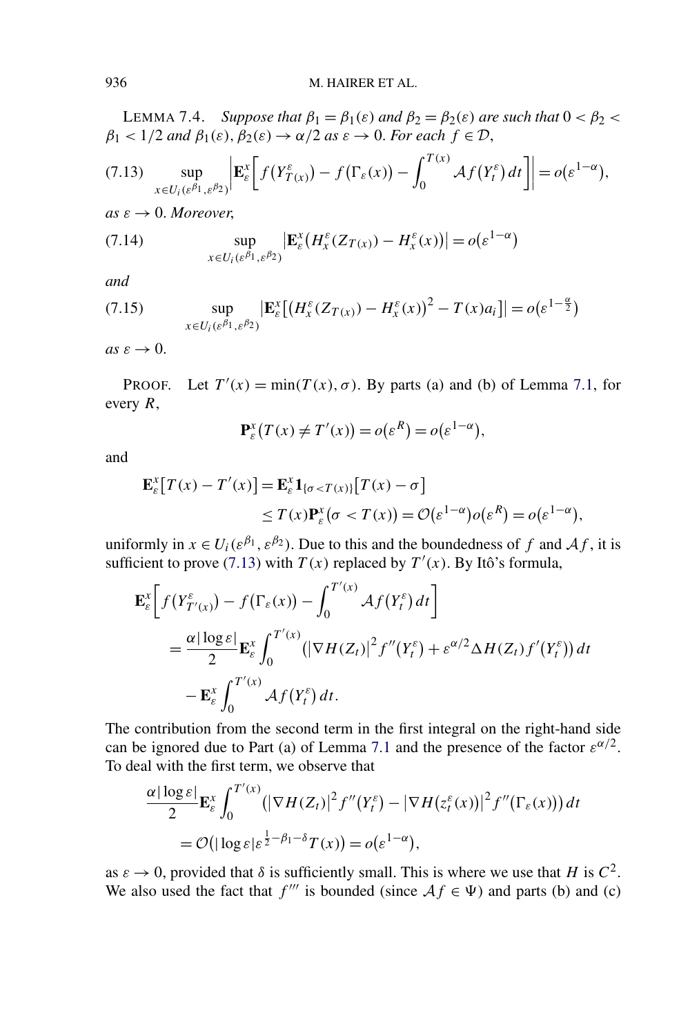LEMMA 7.4. *Suppose that*  $β_1 = β_1(ε)$  *and*  $β_2 = β_2(ε)$  *are such that*  $0 < β_2 <$  $\beta_1 < 1/2$  *and*  $\beta_1(\varepsilon), \beta_2(\varepsilon) \rightarrow \alpha/2$  *as*  $\varepsilon \rightarrow 0$ *. For each*  $f \in \mathcal{D}$ ,

$$
(7.13) \quad \sup_{x \in U_i(\varepsilon^{\beta_1},\varepsilon^{\beta_2})} \left| \mathbf{E}_{\varepsilon}^x \bigg[ f(Y_{T(x)}^{\varepsilon}) - f(\Gamma_{\varepsilon}(x)) - \int_0^{T(x)} \mathcal{A}f(Y_t^{\varepsilon}) dt \bigg] \right| = o(\varepsilon^{1-\alpha}),
$$

 $as \varepsilon \rightarrow 0$ . *Moreover*,

(7.14) 
$$
\sup_{x \in U_i(\varepsilon^{\beta_1},\varepsilon^{\beta_2})} \left| \mathbf{E}_{\varepsilon}^x(H_x^{\varepsilon}(Z_{T(x)}) - H_x^{\varepsilon}(x)) \right| = o(\varepsilon^{1-\alpha})
$$

*and*

(7.15) 
$$
\sup_{x \in U_i(\varepsilon^{\beta_1}, \varepsilon^{\beta_2})} \left| \mathbf{E}_{\varepsilon}^x \left[ \left( H_x^{\varepsilon}(Z_{T(x)}) - H_x^{\varepsilon}(x) \right)^2 - T(x) a_i \right] \right| = o(\varepsilon^{1-\frac{\alpha}{2}})
$$

 $as \varepsilon \to 0$ .

PROOF. Let  $T'(x) = \min(T(x), \sigma)$ . By parts (a) and (b) of Lemma [7.1,](#page-33-0) for every *R*,

$$
\mathbf{P}_{\varepsilon}^{x}(T(x) \neq T'(x)) = o(\varepsilon^{R}) = o(\varepsilon^{1-\alpha}),
$$

and

$$
\mathbf{E}_{\varepsilon}^{x}[T(x) - T'(x)] = \mathbf{E}_{\varepsilon}^{x} \mathbf{1}_{\{\sigma < T(x)\}} [T(x) - \sigma] \\
\leq T(x) \mathbf{P}_{\varepsilon}^{x}(\sigma < T(x)) = \mathcal{O}(\varepsilon^{1-\alpha}) o(\varepsilon^{R}) = o(\varepsilon^{1-\alpha}),
$$

uniformly in  $x \in U_i(\varepsilon^{\beta_1}, \varepsilon^{\beta_2})$ . Due to this and the boundedness of f and  $\mathcal{A}_f$ , it is sufficient to prove (7.13) with  $T(x)$  replaced by  $T'(x)$ . By Itô's formula,

$$
\mathbf{E}_{\varepsilon}^{x} \bigg[ f(Y_{T'(x)}^{\varepsilon}) - f(\Gamma_{\varepsilon}(x)) - \int_{0}^{T'(x)} \mathcal{A}f(Y_{t}^{\varepsilon}) dt \bigg]
$$
  
= 
$$
\frac{\alpha |\log \varepsilon|}{2} \mathbf{E}_{\varepsilon}^{x} \int_{0}^{T'(x)} (|\nabla H(Z_{t})|^{2} f''(Y_{t}^{\varepsilon}) + \varepsilon^{\alpha/2} \Delta H(Z_{t}) f'(Y_{t}^{\varepsilon})) dt
$$
  
- 
$$
\mathbf{E}_{\varepsilon}^{x} \int_{0}^{T'(x)} \mathcal{A}f(Y_{t}^{\varepsilon}) dt.
$$

The contribution from the second term in the first integral on the right-hand side can be ignored due to Part (a) of Lemma [7.1](#page-33-0) and the presence of the factor  $\varepsilon^{\alpha/2}$ . To deal with the first term, we observe that

$$
\frac{\alpha |\log \varepsilon|}{2} \mathbf{E}_{\varepsilon}^{x} \int_{0}^{T'(x)} (|\nabla H(Z_{t})|^{2} f''(Y_{t}^{\varepsilon}) - |\nabla H(z_{t}^{\varepsilon}(x))|^{2} f''(\Gamma_{\varepsilon}(x))) dt
$$
  
=  $\mathcal{O}(|\log \varepsilon| \varepsilon^{\frac{1}{2} - \beta_{1} - \delta} T(x)) = o(\varepsilon^{1-\alpha}),$ 

as  $\varepsilon \to 0$ , provided that  $\delta$  is sufficiently small. This is where we use that *H* is  $C^2$ . We also used the fact that *f'''* is bounded (since  $Af \in \Psi$ ) and parts (b) and (c)

<span id="page-39-0"></span>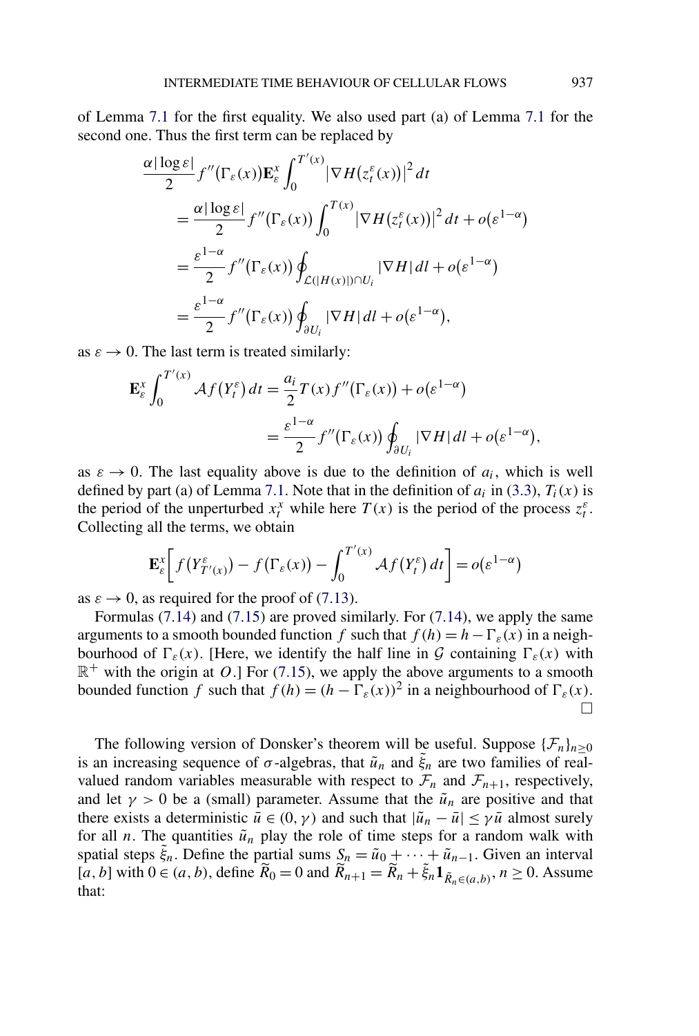of Lemma [7.1](#page-33-0) for the first equality. We also used part (a) of Lemma [7.1](#page-33-0) for the second one. Thus the first term can be replaced by

$$
\frac{\alpha |\log \varepsilon|}{2} f''(\Gamma_{\varepsilon}(x)) \mathbf{E}_{\varepsilon}^{x} \int_{0}^{T'(x)} |\nabla H(z_{t}^{\varepsilon}(x))|^{2} dt
$$
  
\n
$$
= \frac{\alpha |\log \varepsilon|}{2} f''(\Gamma_{\varepsilon}(x)) \int_{0}^{T(x)} |\nabla H(z_{t}^{\varepsilon}(x))|^{2} dt + o(\varepsilon^{1-\alpha})
$$
  
\n
$$
= \frac{\varepsilon^{1-\alpha}}{2} f''(\Gamma_{\varepsilon}(x)) \oint_{\mathcal{L}(|H(x)|)\cap U_{i}} |\nabla H| dt + o(\varepsilon^{1-\alpha})
$$
  
\n
$$
= \frac{\varepsilon^{1-\alpha}}{2} f''(\Gamma_{\varepsilon}(x)) \oint_{\partial U_{i}} |\nabla H| dt + o(\varepsilon^{1-\alpha}),
$$

as  $\varepsilon \to 0$ . The last term is treated similarly:

$$
\mathbf{E}_{\varepsilon}^{x} \int_{0}^{T'(x)} \mathcal{A}f(Y_{t}^{\varepsilon}) dt = \frac{a_{i}}{2} T(x) f''(\Gamma_{\varepsilon}(x)) + o(\varepsilon^{1-\alpha})
$$
  
= 
$$
\frac{\varepsilon^{1-\alpha}}{2} f''(\Gamma_{\varepsilon}(x)) \oint_{\partial U_{i}} |\nabla H| dt + o(\varepsilon^{1-\alpha}),
$$

as  $\varepsilon \to 0$ . The last equality above is due to the definition of  $a_i$ , which is well defined by part (a) of Lemma [7.1.](#page-33-0) Note that in the definition of  $a_i$  in [\(3.3\)](#page-10-0),  $T_i(x)$  is the period of the unperturbed  $x_t^x$  while here  $T(x)$  is the period of the process  $z_t^{\varepsilon}$ . Collecting all the terms, we obtain

$$
\mathbf{E}_{\varepsilon}^{x} \bigg[ f(Y_{T'(x)}^{\varepsilon}) - f(\Gamma_{\varepsilon}(x)) - \int_{0}^{T'(x)} \mathcal{A} f(Y_{t}^{\varepsilon}) dt \bigg] = o(\varepsilon^{1-\alpha})
$$

as  $\varepsilon \to 0$ , as required for the proof of [\(7.13\)](#page-39-0).

Formulas [\(7.14\)](#page-39-0) and [\(7.15\)](#page-39-0) are proved similarly. For [\(7.14\)](#page-39-0), we apply the same arguments to a smooth bounded function *f* such that  $f(h) = h - \Gamma_{\varepsilon}(x)$  in a neighbourhood of  $\Gamma_{\varepsilon}(x)$ . [Here, we identify the half line in G containing  $\Gamma_{\varepsilon}(x)$  with  $\mathbb{R}^+$  with the origin at *O*.] For [\(7.15\)](#page-39-0), we apply the above arguments to a smooth bounded function *f* such that  $f(h) = (h - \Gamma_{\varepsilon}(x))^2$  in a neighbourhood of  $\Gamma_{\varepsilon}(x)$ .  $\Box$ 

The following version of Donsker's theorem will be useful. Suppose  $\{\mathcal{F}_n\}_{n>0}$ is an increasing sequence of  $\sigma$ -algebras, that  $\tilde{u}_n$  and  $\tilde{\xi}_n$  are two families of realvalued random variables measurable with respect to  $\mathcal{F}_n$  and  $\mathcal{F}_{n+1}$ , respectively, and let  $\gamma > 0$  be a (small) parameter. Assume that the  $\tilde{u}_n$  are positive and that there exists a deterministic  $\bar{u} \in (0, \gamma)$  and such that  $|\tilde{u}_n - \bar{u}| \leq \gamma \bar{u}$  almost surely for all *n*. The quantities  $\tilde{u}_n$  play the role of time steps for a random walk with spatial steps  $\tilde{\xi}_n$ . Define the partial sums  $S_n = \tilde{u}_0 + \cdots + \tilde{u}_{n-1}$ . Given an interval  $[a, b]$  with  $0 \in (a, b)$ , define  $\widetilde{R}_0 = 0$  and  $\widetilde{R}_{n+1} = \widetilde{R}_n + \widetilde{\xi}_n \mathbf{1}_{\widetilde{R}_n \in (a, b)}, n \ge 0$ . Assume that: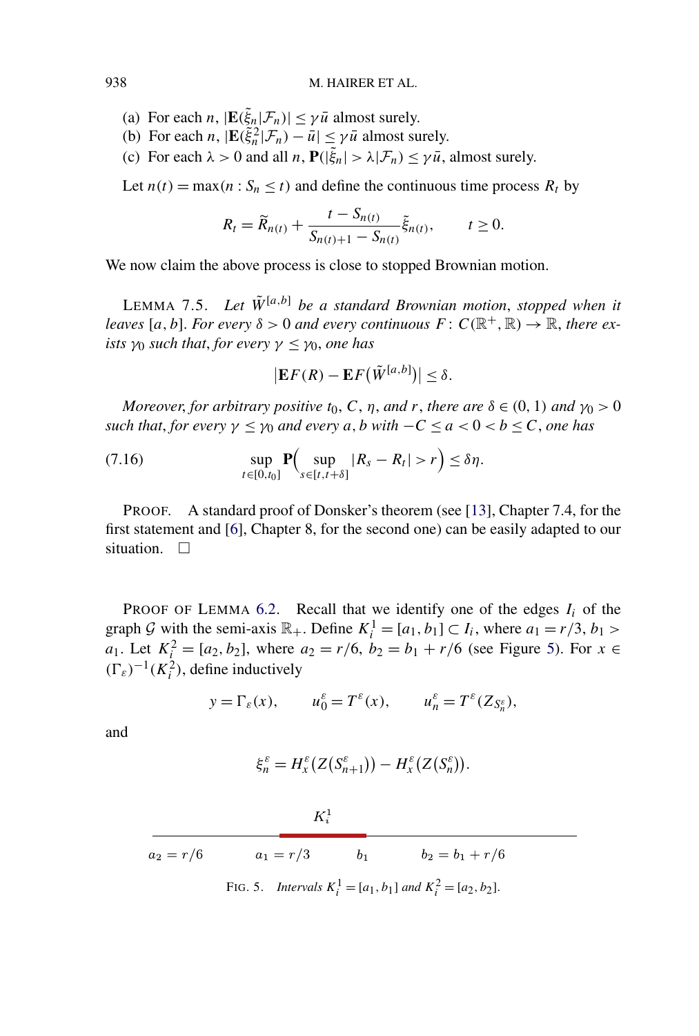#### <span id="page-41-0"></span>938 M. HAIRER ET AL.

- (a) For each *n*,  $|\mathbf{E}(\xi_n|\mathcal{F}_n)| \leq \gamma \bar{u}$  almost surely.
- (b) For each *n*,  $|\mathbf{E}(\tilde{\xi}_n^2|\mathcal{F}_n) \bar{u}| \le \gamma \bar{u}$  almost surely.
- (c) For each  $\lambda > 0$  and all *n*,  $P(|\tilde{\xi}_n| > \lambda | \mathcal{F}_n) \le \gamma \bar{u}$ , almost surely.

Let  $n(t) = \max(n : S_n \le t)$  and define the continuous time process  $R_t$  by

$$
R_t = \widetilde{R}_{n(t)} + \frac{t - S_{n(t)}}{S_{n(t)+1} - S_{n(t)}} \widetilde{\xi}_{n(t)}, \qquad t \ge 0.
$$

We now claim the above process is close to stopped Brownian motion.

LEMMA 7.5. Let  $\tilde{W}^{[a,b]}$  be a standard Brownian motion, stopped when it *leaves* [a, b]. For every  $\delta > 0$  and every continuous  $F: C(\mathbb{R}^+, \mathbb{R}) \to \mathbb{R}$ , there ex*ists*  $\gamma_0$  *such that, for every*  $\gamma \leq \gamma_0$ *, one has* 

$$
\left|\mathbf{E}F(R)-\mathbf{E}F(\tilde{W}^{[a,b]})\right|\leq\delta.
$$

*Moreover, for arbitrary positive t*<sub>0</sub>, *C*, *n*, *and r*, *there are*  $\delta \in (0, 1)$  *and*  $\gamma_0 > 0$ *such that, for every*  $\gamma \leq \gamma_0$  *and every a, b with*  $-C \leq a < 0 < b \leq C$ *, one has* 

(7.16) 
$$
\sup_{t\in[0,t_0]}\mathbf{P}\Big(\sup_{s\in[t,t+\delta]}|R_s-R_t|>r\Big)\leq\delta\eta.
$$

PROOF. A standard proof of Donsker's theorem (see [\[13\]](#page-56-0), Chapter 7.4, for the first statement and [\[6\]](#page-56-0), Chapter 8, for the second one) can be easily adapted to our situation.  $\Box$ 

PROOF OF LEMMA  $6.2$ . Recall that we identify one of the edges  $I_i$  of the graph G with the semi-axis  $\mathbb{R}_+$ . Define  $K_i^1 = [a_1, b_1] \subset I_i$ , where  $a_1 = r/3$ ,  $b_1 >$ *a*<sub>1</sub>. Let  $K_i^2 = [a_2, b_2]$ , where  $a_2 = r/6$ ,  $b_2 = b_1 + r/6$  (see Figure 5). For  $x \in$  $(\Gamma_{\varepsilon})^{-1} (K_i^2)$ , define inductively

$$
y = \Gamma_{\varepsilon}(x),
$$
  $u_0^{\varepsilon} = T^{\varepsilon}(x),$   $u_n^{\varepsilon} = T^{\varepsilon}(Z_{S_n^{\varepsilon}}),$ 

and

$$
\xi_n^{\varepsilon} = H_x^{\varepsilon} (Z(S_{n+1}^{\varepsilon})) - H_x^{\varepsilon} (Z(S_n^{\varepsilon})).
$$

|             | $K_i^1$     |       |                                                                   |  |
|-------------|-------------|-------|-------------------------------------------------------------------|--|
| $a_2 = r/6$ | $a_1 = r/3$ | $b_1$ | $b_2 = b_1 + r/6$                                                 |  |
|             |             |       | FIG. 5. Intervals $K_i^1 = [a_1, b_1]$ and $K_i^2 = [a_2, b_2]$ . |  |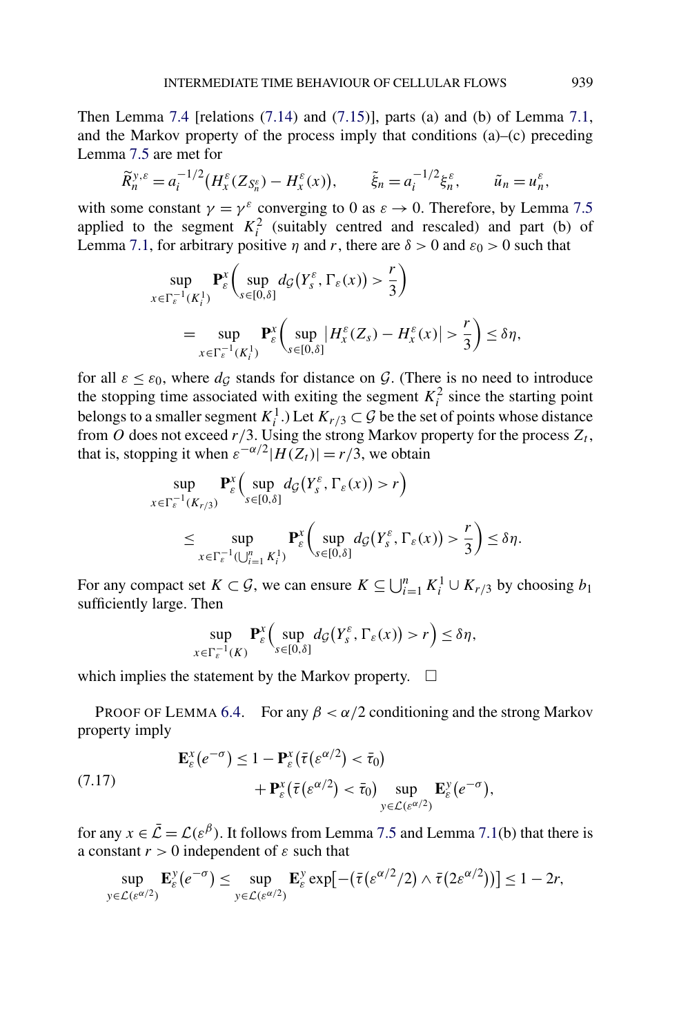<span id="page-42-0"></span>Then Lemma [7.4](#page-39-0) [relations  $(7.14)$  and  $(7.15)$ ], parts  $(a)$  and  $(b)$  of Lemma [7.1,](#page-33-0) and the Markov property of the process imply that conditions (a)–(c) preceding Lemma [7.5](#page-41-0) are met for

$$
\widetilde{R}_n^{y,\varepsilon} = a_i^{-1/2} \big( H_x^{\varepsilon} (Z_{S_n^{\varepsilon}}) - H_x^{\varepsilon} (x) \big), \qquad \widetilde{\xi}_n = a_i^{-1/2} \xi_n^{\varepsilon}, \qquad \widetilde{u}_n = u_n^{\varepsilon},
$$

with some constant  $\gamma = \gamma^{\varepsilon}$  converging to 0 as  $\varepsilon \to 0$ . Therefore, by Lemma [7.5](#page-41-0) applied to the segment  $K_i^2$  (suitably centred and rescaled) and part (b) of Lemma [7.1,](#page-33-0) for arbitrary positive *η* and *r*, there are  $\delta > 0$  and  $\varepsilon_0 > 0$  such that

$$
\sup_{x \in \Gamma_{\varepsilon}^{-1}(K_i^1)} \mathbf{P}_{\varepsilon}^x \bigg( \sup_{s \in [0,\delta]} d_{\mathcal{G}}(Y_s^{\varepsilon}, \Gamma_{\varepsilon}(x)) > \frac{r}{3} \bigg)
$$
  
= 
$$
\sup_{x \in \Gamma_{\varepsilon}^{-1}(K_i^1)} \mathbf{P}_{\varepsilon}^x \bigg( \sup_{s \in [0,\delta]} |H_{x}^{\varepsilon}(Z_s) - H_{x}^{\varepsilon}(x)| > \frac{r}{3} \bigg) \le \delta \eta,
$$

for all  $\varepsilon \leq \varepsilon_0$ , where  $d_{\mathcal{G}}$  stands for distance on  $\mathcal{G}$ . (There is no need to introduce the stopping time associated with exiting the segment  $K_i^2$  since the starting point belongs to a smaller segment  $K_i^1$ .) Let  $K_{r/3} \subset \mathcal{G}$  be the set of points whose distance from  $\ddot{o}$  does not exceed  $r/3$ . Using the strong Markov property for the process  $Z_t$ , that is, stopping it when  $\varepsilon^{-\alpha/2}$  $|H(Z_t)| = r/3$ , we obtain

$$
\sup_{x \in \Gamma_{\varepsilon}^{-1}(K_{r/3})} \mathbf{P}_{\varepsilon}^{x} \Big( \sup_{s \in [0,\delta]} d_{\mathcal{G}}(Y_{s}^{\varepsilon}, \Gamma_{\varepsilon}(x)) > r \Big) \n\leq \sup_{x \in \Gamma_{\varepsilon}^{-1}(\bigcup_{i=1}^{n} K_{i}^{1})} \mathbf{P}_{\varepsilon}^{x} \Big( \sup_{s \in [0,\delta]} d_{\mathcal{G}}(Y_{s}^{\varepsilon}, \Gamma_{\varepsilon}(x)) > \frac{r}{3} \Big) \leq \delta \eta.
$$

For any compact set  $K \subset \mathcal{G}$ , we can ensure  $K \subseteq \bigcup_{i=1}^{n} K_i^1 \cup K_{r/3}$  by choosing  $b_1$ sufficiently large. Then

$$
\sup_{x \in \Gamma_{\varepsilon}^{-1}(K)} \mathbf{P}_{\varepsilon}^{x} \Big( \sup_{s \in [0,\delta]} d_{\mathcal{G}}(Y_{s}^{\varepsilon}, \Gamma_{\varepsilon}(x)) > r \Big) \leq \delta \eta,
$$

which implies the statement by the Markov property.  $\Box$ 

PROOF OF LEMMA [6.4.](#page-30-0) For any  $\beta < \alpha/2$  conditioning and the strong Markov property imply

(7.17) 
$$
\mathbf{E}_{\varepsilon}^{x}(e^{-\sigma}) \leq 1 - \mathbf{P}_{\varepsilon}^{x}(\bar{\tau}(e^{\alpha/2}) < \bar{\tau}_{0}) + \mathbf{P}_{\varepsilon}^{x}(\bar{\tau}(e^{\alpha/2}) < \bar{\tau}_{0}) \sup_{y \in \mathcal{L}(e^{\alpha/2})} \mathbf{E}_{\varepsilon}^{y}(e^{-\sigma}),
$$

for any  $x \in \overline{\mathcal{L}} = \mathcal{L}(\varepsilon^{\beta})$ . It follows from Lemma [7.5](#page-41-0) and Lemma [7.1\(](#page-33-0)b) that there is a constant  $r > 0$  independent of  $\varepsilon$  such that

$$
\sup_{y \in \mathcal{L}(e^{\alpha/2})} \mathbf{E}_{\varepsilon}^y(e^{-\sigma}) \leq \sup_{y \in \mathcal{L}(e^{\alpha/2})} \mathbf{E}_{\varepsilon}^y \exp[-(\bar{\tau}(e^{\alpha/2}/2) \wedge \bar{\tau}(2e^{\alpha/2}))] \leq 1 - 2r,
$$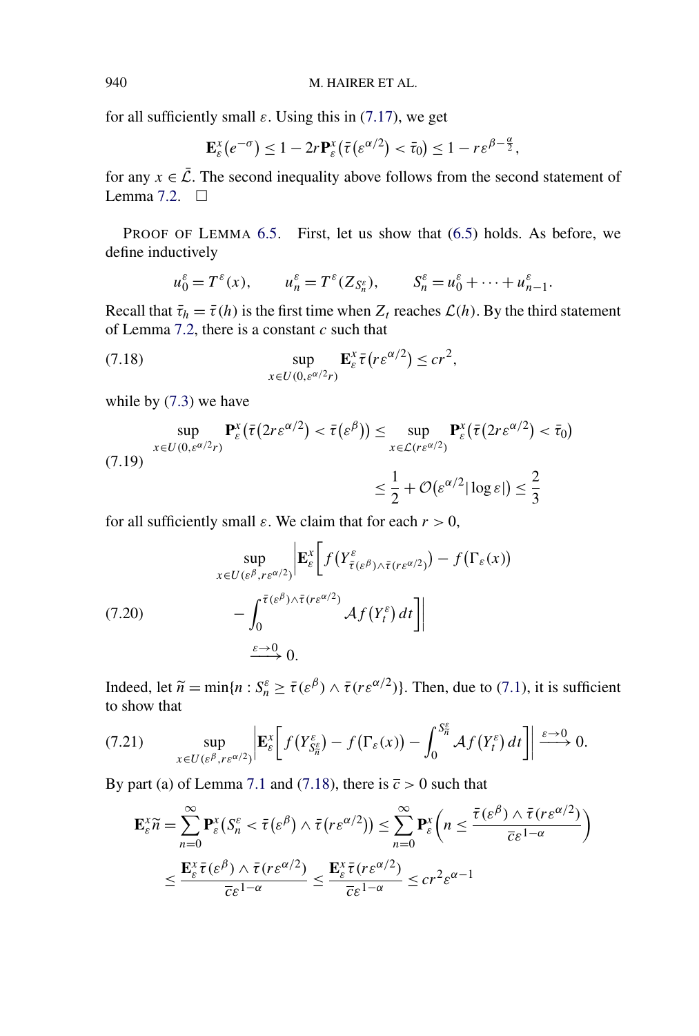for all sufficiently small  $\varepsilon$ . Using this in [\(7.17\)](#page-42-0), we get

$$
\mathbf{E}_{\varepsilon}^{x}(e^{-\sigma}) \leq 1 - 2r \mathbf{P}_{\varepsilon}^{x}(\bar{\tau}(e^{\alpha/2}) < \bar{\tau}_0) \leq 1 - r \varepsilon^{\beta - \frac{\alpha}{2}},
$$

for any  $x \in \overline{L}$ . The second inequality above follows from the second statement of Lemma [7.2.](#page-34-0)  $\Box$ 

PROOF OF LEMMA [6.5.](#page-30-0) First, let us show that  $(6.5)$  holds. As before, we define inductively

$$
u_0^{\varepsilon} = T^{\varepsilon}(x), \qquad u_n^{\varepsilon} = T^{\varepsilon}(Z_{S_n^{\varepsilon}}), \qquad S_n^{\varepsilon} = u_0^{\varepsilon} + \cdots + u_{n-1}^{\varepsilon}.
$$

Recall that  $\bar{\tau}_h = \bar{\tau}(h)$  is the first time when  $Z_t$  reaches  $\mathcal{L}(h)$ . By the third statement of Lemma [7.2,](#page-34-0) there is a constant *c* such that

(7.18) 
$$
\sup_{x \in U(0, \varepsilon^{\alpha/2} r)} \mathbf{E}_{\varepsilon}^x \overline{\tau}(r \varepsilon^{\alpha/2}) \leq c r^2,
$$

while by [\(7.3\)](#page-35-0) we have

$$
\sup_{x \in U(0,\varepsilon^{\alpha/2}r)} \mathbf{P}_{\varepsilon}^{x}(\bar{\tau}(2r\varepsilon^{\alpha/2}) < \bar{\tau}(\varepsilon^{\beta})) \leq \sup_{x \in \mathcal{L}(r\varepsilon^{\alpha/2})} \mathbf{P}_{\varepsilon}^{x}(\bar{\tau}(2r\varepsilon^{\alpha/2}) < \bar{\tau}_{0})
$$
\n
$$
\leq \frac{1}{2} + \mathcal{O}(\varepsilon^{\alpha/2} |\log \varepsilon|) \leq \frac{2}{3}
$$

for all sufficiently small  $\varepsilon$ . We claim that for each  $r > 0$ ,

(7.20)  
\n
$$
\sup_{x \in U(\varepsilon^{\beta}, r\varepsilon^{\alpha/2})} \left| \mathbf{E}_{\varepsilon}^{x} \left[ f(Y_{\bar{\tau}(\varepsilon^{\beta}) \wedge \bar{\tau}(r\varepsilon^{\alpha/2})}^{\varepsilon}) - f(\Gamma_{\varepsilon}(x)) \right| \right|
$$
\n
$$
- \int_{0}^{\bar{\tau}(\varepsilon^{\beta}) \wedge \bar{\tau}(r\varepsilon^{\alpha/2})} \mathcal{A} f(Y_{t}^{\varepsilon}) dt \right]
$$
\n
$$
\xrightarrow{\varepsilon \to 0} 0.
$$

Indeed, let  $\widetilde{n} = \min\{n : S_n^{\varepsilon} \ge \overline{\tau}(\varepsilon^{\beta}) \wedge \overline{\tau}(r \varepsilon^{\alpha/2})\}$ . Then, due to [\(7.1\)](#page-33-0), it is sufficient to show that

(7.21) 
$$
\sup_{x \in U(\varepsilon^{\beta}, r\varepsilon^{\alpha/2})} \left| \mathbf{E}_{\varepsilon}^{x} \left[ f(Y_{S_{n}^{\varepsilon}}^{\varepsilon}) - f(\Gamma_{\varepsilon}(x)) - \int_{0}^{S_{n}^{\varepsilon}} \mathcal{A}f(Y_{t}^{\varepsilon}) dt \right] \right| \xrightarrow{\varepsilon \to 0} 0.
$$

By part (a) of Lemma [7.1](#page-33-0) and (7.18), there is  $\overline{c} > 0$  such that

$$
\mathbf{E}_{\varepsilon}^{x} \widetilde{n} = \sum_{n=0}^{\infty} \mathbf{P}_{\varepsilon}^{x} \left( S_{n}^{\varepsilon} < \overline{\tau} \left( \varepsilon^{\beta} \right) \wedge \overline{\tau} \left( r \varepsilon^{\alpha/2} \right) \right) \leq \sum_{n=0}^{\infty} \mathbf{P}_{\varepsilon}^{x} \left( n \leq \frac{\overline{\tau} \left( \varepsilon^{\beta} \right) \wedge \overline{\tau} \left( r \varepsilon^{\alpha/2} \right)}{\overline{c} \varepsilon^{1-\alpha}} \right) \\
\leq \frac{\mathbf{E}_{\varepsilon}^{x} \overline{\tau} \left( \varepsilon^{\beta} \right) \wedge \overline{\tau} \left( r \varepsilon^{\alpha/2} \right)}{\overline{c} \varepsilon^{1-\alpha}} \leq \frac{\mathbf{E}_{\varepsilon}^{x} \overline{\tau} \left( r \varepsilon^{\alpha/2} \right)}{\overline{c} \varepsilon^{1-\alpha}} \leq c r^{2} \varepsilon^{\alpha-1}
$$

<span id="page-43-0"></span>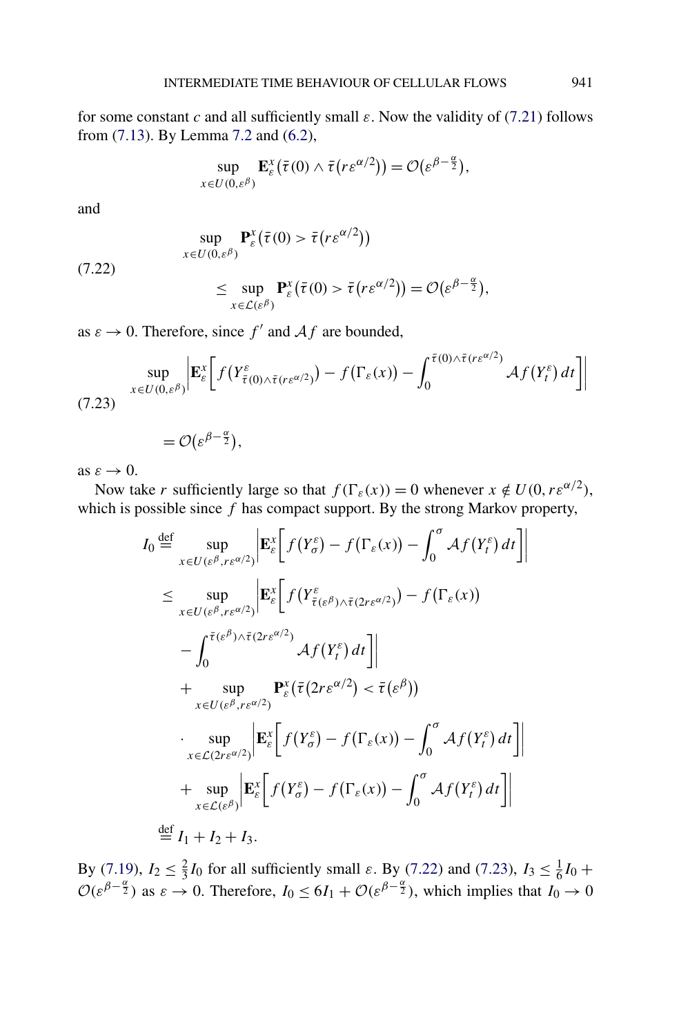<span id="page-44-0"></span>for some constant *c* and all sufficiently small  $\varepsilon$ . Now the validity of [\(7.21\)](#page-43-0) follows from [\(7.13\)](#page-39-0). By Lemma [7.2](#page-34-0) and [\(6.2\)](#page-29-0),

$$
\sup_{x \in U(0,\varepsilon^{\beta})} \mathbf{E}_{\varepsilon}^{x}(\bar{\tau}(0) \wedge \bar{\tau}(r\varepsilon^{\alpha/2})) = \mathcal{O}(\varepsilon^{\beta - \frac{\alpha}{2}}),
$$

and

(7.22)  
\n
$$
\sup_{x \in U(0,\varepsilon^{\beta})} \mathbf{P}_{\varepsilon}^{x}(\bar{\tau}(0) > \bar{\tau}(r\varepsilon^{\alpha/2}))
$$
\n
$$
\leq \sup_{x \in \mathcal{L}(\varepsilon^{\beta})} \mathbf{P}_{\varepsilon}^{x}(\bar{\tau}(0) > \bar{\tau}(r\varepsilon^{\alpha/2})) = \mathcal{O}(\varepsilon^{\beta - \frac{\alpha}{2}})
$$

as  $\varepsilon \to 0$ . Therefore, since  $f'$  and  $Af$  are bounded,

$$
\sup_{x \in U(0,\varepsilon^{\beta})} \left| \mathbf{E}_{\varepsilon}^{x} \left[ f(Y_{\bar{\tau}(0) \wedge \bar{\tau}(r\varepsilon^{\alpha/2})}^{\varepsilon}) - f(\Gamma_{\varepsilon}(x)) - \int_{0}^{\bar{\tau}(0) \wedge \bar{\tau}(r\varepsilon^{\alpha/2})} \mathcal{A}f(Y_{t}^{\varepsilon}) dt \right] \right|
$$
\n(7.23)

$$
=\mathcal{O}(\varepsilon^{\beta-\frac{\alpha}{2}}),
$$

as  $\varepsilon \to 0$ .

Now take *r* sufficiently large so that  $f(\Gamma_{\varepsilon}(x)) = 0$  whenever  $x \notin U(0, r\varepsilon^{\alpha/2})$ , which is possible since *f* has compact support. By the strong Markov property,

$$
I_0 \stackrel{\text{def}}{=} \sup_{x \in U(\varepsilon^{\beta}, r\varepsilon^{\alpha/2})} \left| \mathbf{E}_{\varepsilon}^{x} \left[ f(Y_{\sigma}^{\varepsilon}) - f(\Gamma_{\varepsilon}(x)) - \int_{0}^{\sigma} \mathcal{A}f(Y_{t}^{\varepsilon}) dt \right] \right|
$$
  
\n
$$
\leq \sup_{x \in U(\varepsilon^{\beta}, r\varepsilon^{\alpha/2})} \left| \mathbf{E}_{\varepsilon}^{x} \left[ f(Y_{\bar{\tau}(\varepsilon^{\beta}) \wedge \bar{\tau}(2r\varepsilon^{\alpha/2})}) - f(\Gamma_{\varepsilon}(x)) \right] \right|
$$
  
\n
$$
- \int_{0}^{\bar{\tau}(\varepsilon^{\beta}) \wedge \bar{\tau}(2r\varepsilon^{\alpha/2})} \mathcal{A}f(Y_{t}^{\varepsilon}) dt \right] \Big|
$$
  
\n
$$
+ \sup_{x \in U(\varepsilon^{\beta}, r\varepsilon^{\alpha/2})} \mathbf{P}_{\varepsilon}^{x} \left( \bar{\tau}(2r\varepsilon^{\alpha/2}) < \bar{\tau}(\varepsilon^{\beta}) \right)
$$
  
\n
$$
\cdot \sup_{x \in \mathcal{L}(2r\varepsilon^{\alpha/2})} \left| \mathbf{E}_{\varepsilon}^{x} \left[ f(Y_{\sigma}^{\varepsilon}) - f(\Gamma_{\varepsilon}(x)) - \int_{0}^{\sigma} \mathcal{A}f(Y_{t}^{\varepsilon}) dt \right] \right|
$$
  
\n
$$
+ \sup_{x \in \mathcal{L}(\varepsilon^{\beta})} \left| \mathbf{E}_{\varepsilon}^{x} \left[ f(Y_{\sigma}^{\varepsilon}) - f(\Gamma_{\varepsilon}(x)) - \int_{0}^{\sigma} \mathcal{A}f(Y_{t}^{\varepsilon}) dt \right] \right|
$$
  
\n
$$
\stackrel{\text{def}}{=} I_1 + I_2 + I_3.
$$

By [\(7.19\)](#page-43-0),  $I_2 \n\t\leq \frac{2}{3}I_0$  for all sufficiently small *ε*. By (7.22) and (7.23),  $I_3 \n\t\leq \frac{1}{6}I_0 +$  $\mathcal{O}(\varepsilon^{\beta - \frac{\alpha}{2}})$  as  $\varepsilon \to 0$ . Therefore,  $I_0 \le 6I_1 + \mathcal{O}(\varepsilon^{\beta - \frac{\alpha}{2}})$ , which implies that  $I_0 \to 0$ 

*,*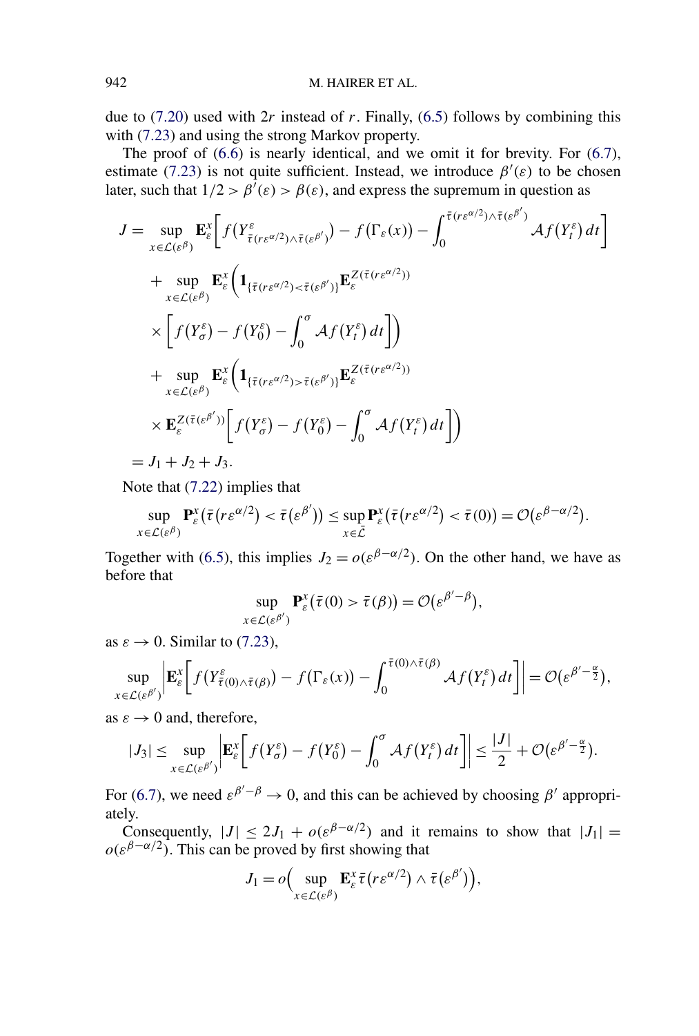due to [\(7.20\)](#page-43-0) used with 2*r* instead of *r*. Finally, [\(6.5\)](#page-30-0) follows by combining this with [\(7.23\)](#page-44-0) and using the strong Markov property.

The proof of [\(6.6\)](#page-30-0) is nearly identical, and we omit it for brevity. For [\(6.7\)](#page-30-0), estimate [\(7.23\)](#page-44-0) is not quite sufficient. Instead, we introduce  $\beta'(\varepsilon)$  to be chosen later, such that  $1/2 > \beta'(\varepsilon) > \beta(\varepsilon)$ , and express the supremum in question as

$$
J = \sup_{x \in \mathcal{L}(\varepsilon^{\beta})} \mathbf{E}_{\varepsilon}^{x} \bigg[ f(Y_{\overline{\tau}(r\varepsilon^{\alpha/2}) \wedge \overline{\tau}(\varepsilon^{\beta'})}) - f(\Gamma_{\varepsilon}(x)) - \int_{0}^{\overline{\tau}(r\varepsilon^{\alpha/2}) \wedge \overline{\tau}(\varepsilon^{\beta'})} A f(Y_{t}^{\varepsilon}) dt \bigg]
$$
  
+ 
$$
\sup_{x \in \mathcal{L}(\varepsilon^{\beta})} \mathbf{E}_{\varepsilon}^{x} \bigg( \mathbf{1}_{\{\overline{\tau}(r\varepsilon^{\alpha/2}) < \overline{\tau}(\varepsilon^{\beta'})\}} \mathbf{E}_{\varepsilon}^{Z(\overline{\tau}(r\varepsilon^{\alpha/2}))}
$$
  
+ 
$$
\bigg[ f(Y_{\sigma}^{\varepsilon}) - f(Y_{0}^{\varepsilon}) - \int_{0}^{\sigma} A f(Y_{t}^{\varepsilon}) dt \bigg] \bigg)
$$
  
+ 
$$
\sup_{x \in \mathcal{L}(\varepsilon^{\beta})} \mathbf{E}_{\varepsilon}^{x} \bigg( \mathbf{1}_{\{\overline{\tau}(r\varepsilon^{\alpha/2}) > \overline{\tau}(\varepsilon^{\beta'})\}} \mathbf{E}_{\varepsilon}^{Z(\overline{\tau}(r\varepsilon^{\alpha/2}))}
$$
  
+ 
$$
\mathbf{E}_{\varepsilon}^{Z(\overline{\tau}(\varepsilon^{\beta'}))} \bigg[ f(Y_{\sigma}^{\varepsilon}) - f(Y_{0}^{\varepsilon}) - \int_{0}^{\sigma} A f(Y_{t}^{\varepsilon}) dt \bigg] \bigg)
$$
  
= 
$$
J_{1} + J_{2} + J_{3}.
$$

Note that [\(7.22\)](#page-44-0) implies that

$$
\sup_{x \in \mathcal{L}(\varepsilon^{\beta})} \mathbf{P}_{\varepsilon}^{x}(\bar{\tau}(r\varepsilon^{\alpha/2}) < \bar{\tau}(\varepsilon^{\beta'})) \leq \sup_{x \in \bar{\mathcal{L}}} \mathbf{P}_{\varepsilon}^{x}(\bar{\tau}(r\varepsilon^{\alpha/2}) < \bar{\tau}(0)) = \mathcal{O}(\varepsilon^{\beta-\alpha/2}).
$$

Together with [\(6.5\)](#page-30-0), this implies  $J_2 = o(\varepsilon^{\beta - \alpha/2})$ . On the other hand, we have as before that

$$
\sup_{x \in \mathcal{L}(\varepsilon^{\beta'})} \mathbf{P}_{\varepsilon}^x(\bar{\tau}(0) > \bar{\tau}(\beta)) = \mathcal{O}(\varepsilon^{\beta'-\beta}),
$$

as  $\varepsilon \to 0$ . Similar to [\(7.23\)](#page-44-0),

$$
\sup_{x \in \mathcal{L}(\varepsilon^{\beta'})}\bigg|\mathbf{E}_{\varepsilon}^{x}\bigg[f(Y_{\bar{\tau}(0)\wedge \bar{\tau}(\beta)}^{\varepsilon})-f(\Gamma_{\varepsilon}(x))-\int_{0}^{\bar{\tau}(0)\wedge \bar{\tau}(\beta)}\mathcal{A}f(Y_{t}^{\varepsilon})dt\bigg]\bigg|=\mathcal{O}(\varepsilon^{\beta'-\frac{\alpha}{2}}),
$$

as  $\varepsilon \to 0$  and, therefore,

$$
|J_3| \leq \sup_{x \in \mathcal{L}(\varepsilon^{\beta'})} \left| \mathbf{E}_{\varepsilon}^x \bigg[ f(Y_{\sigma}^{\varepsilon}) - f(Y_0^{\varepsilon}) - \int_0^{\sigma} \mathcal{A} f(Y_t^{\varepsilon}) dt \bigg] \right| \leq \frac{|J|}{2} + \mathcal{O}(\varepsilon^{\beta'-\frac{\alpha}{2}}).
$$

For [\(6.7\)](#page-30-0), we need  $\varepsilon^{\beta'-\beta} \to 0$ , and this can be achieved by choosing  $\beta'$  appropriately.

Consequently,  $|J| \le 2J_1 + o(\varepsilon^{\beta - \alpha/2})$  and it remains to show that  $|J_1| =$  $o(\varepsilon^{\beta-\alpha/2})$ . This can be proved by first showing that

$$
J_1 = o\Big(\sup_{x \in \mathcal{L}(\varepsilon^\beta)} \mathbf{E}_{\varepsilon}^x \overline{\tau}\big(r\varepsilon^{\alpha/2}\big) \wedge \overline{\tau}\big(\varepsilon^{\beta'}\big)\Big),\,
$$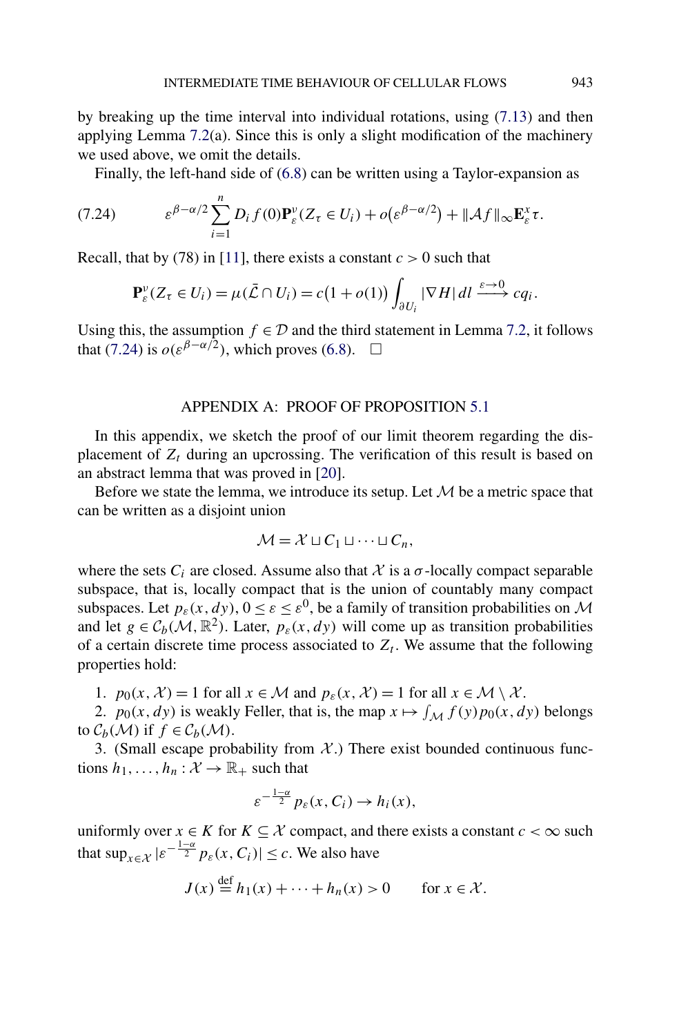<span id="page-46-0"></span>by breaking up the time interval into individual rotations, using [\(7.13\)](#page-39-0) and then applying Lemma  $7.2(a)$  $7.2(a)$ . Since this is only a slight modification of the machinery we used above, we omit the details.

Finally, the left-hand side of [\(6.8\)](#page-30-0) can be written using a Taylor-expansion as

(7.24) 
$$
\varepsilon^{\beta-\alpha/2} \sum_{i=1}^n D_i f(0) \mathbf{P}_{\varepsilon}^{\nu} (Z_{\tau} \in U_i) + o(\varepsilon^{\beta-\alpha/2}) + ||\mathcal{A}f||_{\infty} \mathbf{E}_{\varepsilon}^{\chi} \tau.
$$

Recall, that by (78) in [\[11\]](#page-56-0), there exists a constant  $c > 0$  such that

$$
\mathbf{P}_{\varepsilon}^{\nu}(Z_{\tau} \in U_i) = \mu(\bar{\mathcal{L}} \cap U_i) = c(1 + o(1)) \int_{\partial U_i} |\nabla H| \, dl \xrightarrow{\varepsilon \to 0} cq_i.
$$

Using this, the assumption  $f \in \mathcal{D}$  and the third statement in Lemma [7.2,](#page-34-0) it follows that (7.24) is  $o(\varepsilon^{\beta-\alpha/2})$ , which proves [\(6.8\)](#page-30-0).  $\Box$ 

### APPENDIX A: PROOF OF PROPOSITION [5.1](#page-20-0)

In this appendix, we sketch the proof of our limit theorem regarding the displacement of  $Z_t$  during an upcrossing. The verification of this result is based on an abstract lemma that was proved in [\[20\]](#page-56-0).

Before we state the lemma, we introduce its setup. Let  $M$  be a metric space that can be written as a disjoint union

$$
\mathcal{M} = \mathcal{X} \sqcup C_1 \sqcup \cdots \sqcup C_n,
$$

where the sets  $C_i$  are closed. Assume also that  $\mathcal X$  is a  $\sigma$ -locally compact separable subspace, that is, locally compact that is the union of countably many compact subspaces. Let  $p_{\varepsilon}(x,dy)$ ,  $0 \le \varepsilon \le \varepsilon^0$ , be a family of transition probabilities on M and let  $g \in C_b(\mathcal{M}, \mathbb{R}^2)$ . Later,  $p_\varepsilon(x, dy)$  will come up as transition probabilities of a certain discrete time process associated to  $Z_t$ . We assume that the following properties hold:

1.  $p_0(x, \mathcal{X}) = 1$  for all  $x \in \mathcal{M}$  and  $p_{\varepsilon}(x, \mathcal{X}) = 1$  for all  $x \in \mathcal{M} \setminus \mathcal{X}$ .

2.  $p_0(x, dy)$  is weakly Feller, that is, the map  $x \mapsto \int_{\mathcal{M}} f(y) p_0(x, dy)$  belongs to  $C_b(\mathcal{M})$  if  $f \in C_b(\mathcal{M})$ .

3. (Small escape probability from  $X$ .) There exist bounded continuous functions  $h_1, \ldots, h_n : \mathcal{X} \to \mathbb{R}_+$  such that

$$
\varepsilon^{-\frac{1-\alpha}{2}} p_{\varepsilon}(x, C_i) \to h_i(x),
$$

uniformly over  $x \in K$  for  $K \subseteq \mathcal{X}$  compact, and there exists a constant  $c < \infty$  such that  $\sup_{x \in \mathcal{X}} | \varepsilon^{-\frac{1-\alpha}{2}} p_{\varepsilon}(x, C_i) | \leq c$ . We also have

$$
J(x) \stackrel{\text{def}}{=} h_1(x) + \dots + h_n(x) > 0 \quad \text{for } x \in \mathcal{X}.
$$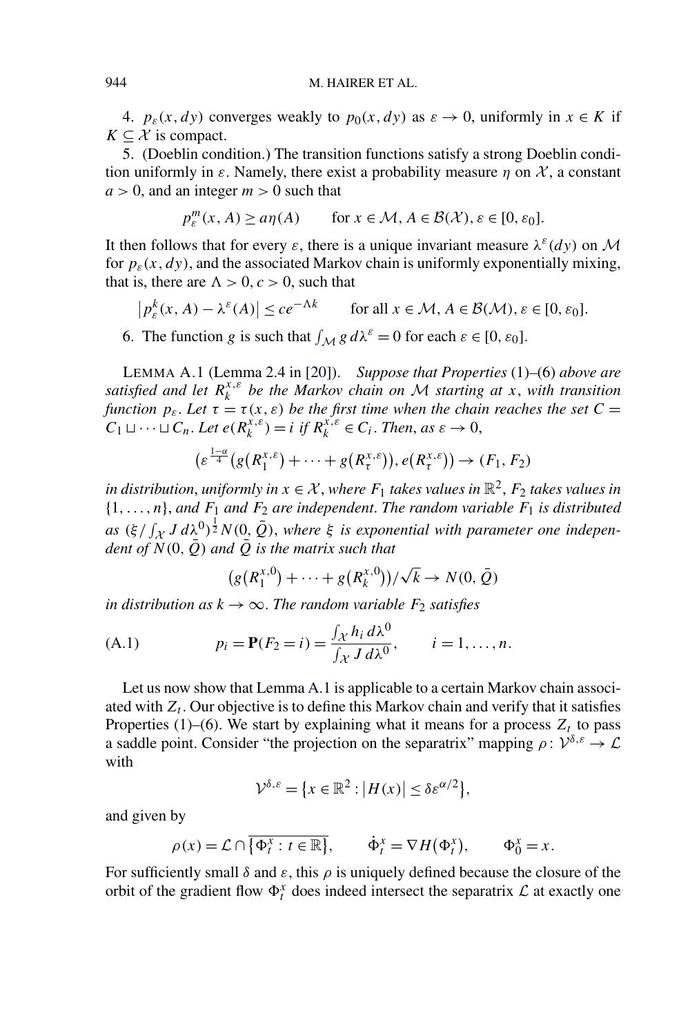<span id="page-47-0"></span>4.  $p_{\varepsilon}(x, dy)$  converges weakly to  $p_0(x, dy)$  as  $\varepsilon \to 0$ , uniformly in  $x \in K$  if  $K \subset \mathcal{X}$  is compact.

5. (Doeblin condition.) The transition functions satisfy a strong Doeblin condition uniformly in  $\varepsilon$ . Namely, there exist a probability measure  $\eta$  on X, a constant  $a > 0$ , and an integer  $m > 0$  such that

$$
p_{\varepsilon}^{m}(x, A) \ge a\eta(A) \qquad \text{for } x \in \mathcal{M}, A \in \mathcal{B}(\mathcal{X}), \varepsilon \in [0, \varepsilon_{0}].
$$

It then follows that for every  $\varepsilon$ , there is a unique invariant measure  $\lambda^{\varepsilon}(dy)$  on M for  $p_{\varepsilon}(x,dy)$ , and the associated Markov chain is uniformly exponentially mixing, that is, there are  $\Lambda > 0$ ,  $c > 0$ , such that

$$
\left| p_{\varepsilon}^{k}(x, A) - \lambda^{\varepsilon}(A) \right| \le c e^{-\Lambda k} \qquad \text{for all } x \in \mathcal{M}, A \in \mathcal{B}(\mathcal{M}), \varepsilon \in [0, \varepsilon_{0}].
$$

6. The function *g* is such that  $\int_M g d\lambda^{\varepsilon} = 0$  for each  $\varepsilon \in [0, \varepsilon_0]$ .

LEMMA A.1 (Lemma 2.4 in [\[20\]](#page-56-0)). *Suppose that Properties* (1)*–*(6) *above are satisfied and let*  $R_k^{x,\varepsilon}$  *be the Markov chain on* M *starting at x*, *with transition function*  $p_{\varepsilon}$ . Let  $\tau = \tau(x, \varepsilon)$  be the first time when the chain reaches the set C =  $C_1 \sqcup \cdots \sqcup C_n$ . Let  $e(R_k^{x,\varepsilon}) = i$  if  $R_k^{x,\varepsilon} \in C_i$ . Then, as  $\varepsilon \to 0$ ,

$$
(\varepsilon^{\frac{1-\alpha}{4}}(g(R_1^{x,\varepsilon})+\cdots+g(R_t^{x,\varepsilon})), e(R_t^{x,\varepsilon}))\to (F_1, F_2)
$$

*in distribution, uniformly in*  $x \in \mathcal{X}$ *, where*  $F_1$  *takes values in*  $\mathbb{R}^2$ *,*  $F_2$  *takes values in*  $\{1,\ldots,n\}$ , and  $F_1$  and  $F_2$  are independent. The random variable  $F_1$  is distributed  $as \ (\xi / \int_{\mathcal{X}} J \, d\lambda^0)^{\frac{1}{2}} N(0, \bar{Q})$ , where  $\xi$  is exponential with parameter one indepen*dent of*  $\tilde{N}(0,\bar{Q})$  *and*  $\tilde{Q}$  *is the matrix such that* 

$$
(g(R_1^{x,0}) + \cdots + g(R_k^{x,0})) / \sqrt{k} \to N(0,\bar{Q})
$$

*in distribution as*  $k \to \infty$ *. The random variable*  $F_2$  *satisfies* 

(A.1) 
$$
p_i = \mathbf{P}(F_2 = i) = \frac{\int_{\mathcal{X}} h_i \, d\lambda^0}{\int_{\mathcal{X}} J \, d\lambda^0}, \qquad i = 1, ..., n.
$$

Let us now show that Lemma A.1 is applicable to a certain Markov chain associated with  $Z_t$ . Our objective is to define this Markov chain and verify that it satisfies Properties (1)–(6). We start by explaining what it means for a process  $Z_t$  to pass a saddle point. Consider "the projection on the separatrix" mapping  $\rho: \mathcal{V}^{\delta,\varepsilon} \to \mathcal{L}$ with

$$
\mathcal{V}^{\delta,\varepsilon} = \{x \in \mathbb{R}^2 : |H(x)| \le \delta \varepsilon^{\alpha/2}\},\
$$

and given by

$$
\rho(x) = \mathcal{L} \cap \overline{\{\Phi_t^x : t \in \mathbb{R}\}}, \qquad \dot{\Phi}_t^x = \nabla H(\Phi_t^x), \qquad \Phi_0^x = x.
$$

For sufficiently small  $\delta$  and  $\varepsilon$ , this  $\rho$  is uniquely defined because the closure of the orbit of the gradient flow  $\Phi_t^x$  does indeed intersect the separatrix  $\mathcal L$  at exactly one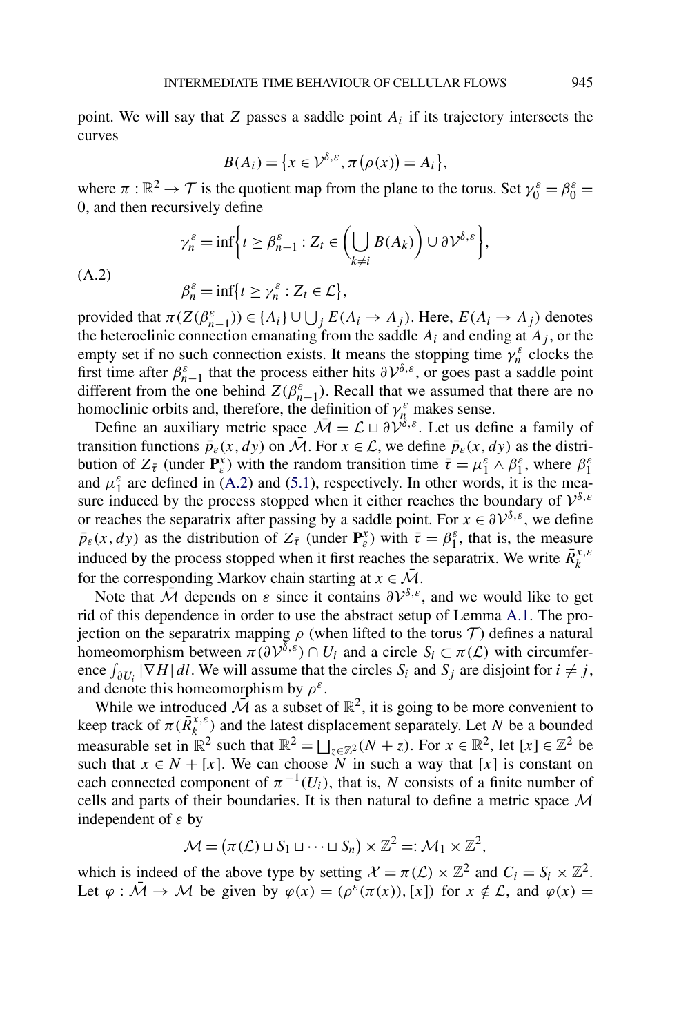point. We will say that *Z* passes a saddle point *Ai* if its trajectory intersects the curves

$$
B(A_i) = \{x \in \mathcal{V}^{\delta,\varepsilon}, \pi(\rho(x)) = A_i\},\
$$

where  $\pi : \mathbb{R}^2 \to \mathcal{T}$  is the quotient map from the plane to the torus. Set  $\gamma_0^{\varepsilon} = \beta_0^{\varepsilon} =$ 0, and then recursively define

$$
\gamma_n^{\varepsilon} = \inf \bigg\{ t \ge \beta_{n-1}^{\varepsilon} : Z_t \in \bigg( \bigcup_{k \ne i} B(A_k) \bigg) \cup \partial \mathcal{V}^{\delta, \varepsilon} \bigg\},
$$
  

$$
\beta_n^{\varepsilon} = \inf \{ t \ge \gamma_n^{\varepsilon} : Z_t \in \mathcal{L} \},
$$

(A.2)

provided that  $\pi(Z(\beta_{n-1}^{\varepsilon})) \in \{A_i\} \cup \bigcup_j E(A_i \to A_j)$ . Here,  $E(A_i \to A_j)$  denotes the heteroclinic connection emanating from the saddle  $A_i$  and ending at  $A_j$ , or the empty set if no such connection exists. It means the stopping time  $\gamma_n^{\varepsilon}$  clocks the first time after  $\beta_{n-1}^{\varepsilon}$  that the process either hits  $\partial V^{\delta,\varepsilon}$ , or goes past a saddle point different from the one behind  $Z(\beta_{n-1}^{\varepsilon})$ . Recall that we assumed that there are no homoclinic orbits and, therefore, the definition of  $\gamma_n^{\varepsilon}$  makes sense.

Define an auxiliary metric space  $\overline{\mathcal{M}} = \mathcal{L} \sqcup \partial \mathcal{V}^{\delta,\varepsilon}$ . Let us define a family of transition functions  $\bar{p}_{\varepsilon}(x,dy)$  on M. For  $x \in \mathcal{L}$ , we define  $\bar{p}_{\varepsilon}(x,dy)$  as the distribution of  $Z_{\bar{\tau}}$  (under  $\mathbf{P}_{\varepsilon}^{\chi}$ ) with the random transition time  $\bar{\tau} = \mu_1^{\varepsilon} \wedge \beta_1^{\varepsilon}$ , where  $\beta_1^{\varepsilon}$ and  $\mu_1^{\varepsilon}$  are defined in (A.2) and [\(5.1\)](#page-20-0), respectively. In other words, it is the measure induced by the process stopped when it either reaches the boundary of  $\mathcal{V}^{\delta,\varepsilon}$ or reaches the separatrix after passing by a saddle point. For  $x \in \partial \mathcal{V}^{\delta,\varepsilon}$ , we define  $\bar{p}_{\varepsilon}(x,dy)$  as the distribution of  $Z_{\bar{\tau}}$  (under  $\mathbf{P}_{\varepsilon}^x$ ) with  $\bar{\tau} = \beta_1^{\varepsilon}$ , that is, the measure induced by the process stopped when it first reaches the separatrix. We write  $\bar{R}^{x,\varepsilon}_k$ for the corresponding Markov chain starting at  $x \in \overline{\mathcal{M}}$ .

Note that  $\overline{\mathcal{M}}$  depends on  $\varepsilon$  since it contains  $\partial \mathcal{V}^{\delta,\varepsilon}$ , and we would like to get rid of this dependence in order to use the abstract setup of Lemma [A.1.](#page-47-0) The projection on the separatrix mapping  $\rho$  (when lifted to the torus T) defines a natural homeomorphism between  $\pi(\partial V^{\delta,\varepsilon}) \cap U_i$  and a circle  $S_i \subset \pi(\mathcal{L})$  with circumference  $\int_{\partial U_i} |\nabla H| d\mathbf{l}$ . We will assume that the circles  $S_i$  and  $S_j$  are disjoint for  $i \neq j$ , and denote this homeomorphism by  $\rho^{\varepsilon}$ .

While we introduced  $\overline{\mathcal{M}}$  as a subset of  $\mathbb{R}^2$ , it is going to be more convenient to keep track of  $\pi(\bar{R}_k^{x,\epsilon})$  and the latest displacement separately. Let *N* be a bounded measurable set in  $\mathbb{R}^2$  such that  $\mathbb{R}^2 = \bigsqcup_{z \in \mathbb{Z}^2} (N + z)$ . For  $x \in \mathbb{R}^2$ , let  $[x] \in \mathbb{Z}^2$  be such that  $x \in N + [x]$ . We can choose  $\overline{N}$  in such a way that [x] is constant on each connected component of  $\pi^{-1}(U_i)$ , that is, *N* consists of a finite number of cells and parts of their boundaries. It is then natural to define a metric space  $M$ independent of *ε* by

$$
\mathcal{M} = (\pi(\mathcal{L}) \sqcup S_1 \sqcup \cdots \sqcup S_n) \times \mathbb{Z}^2 =: \mathcal{M}_1 \times \mathbb{Z}^2,
$$

which is indeed of the above type by setting  $\mathcal{X} = \pi(\mathcal{L}) \times \mathbb{Z}^2$  and  $C_i = S_i \times \mathbb{Z}^2$ . Let  $\varphi : \overline{\mathcal{M}} \to \mathcal{M}$  be given by  $\varphi(x) = (\rho^{\varepsilon}(\pi(x)), [x])$  for  $x \notin \mathcal{L}$ , and  $\varphi(x) =$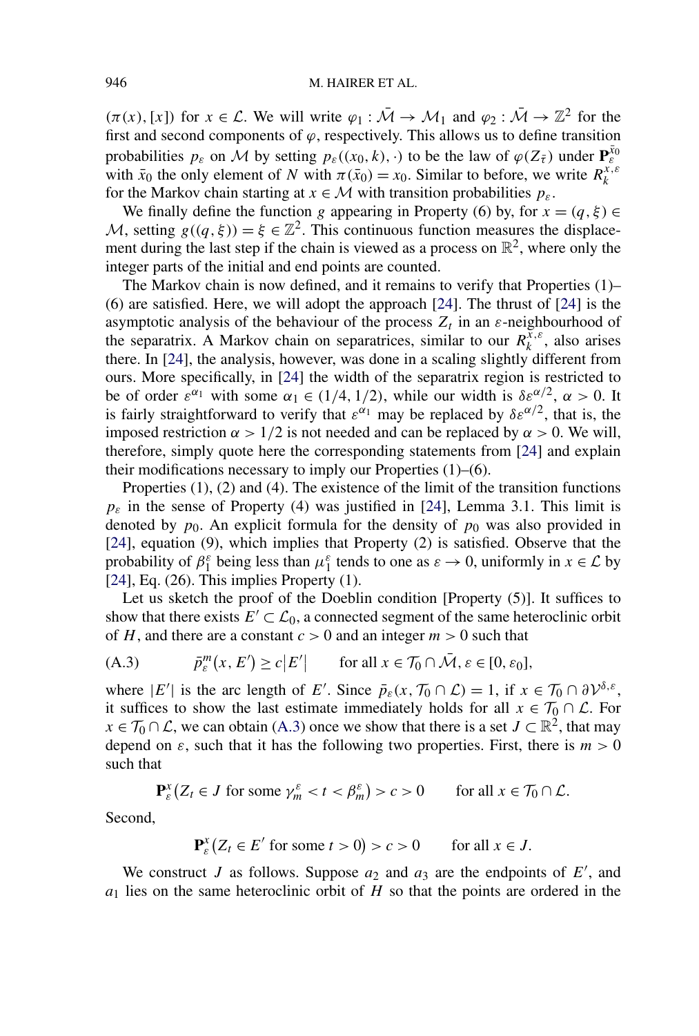$(\pi(x), [x])$  for  $x \in \mathcal{L}$ . We will write  $\varphi_1 : \overline{\mathcal{M}} \to \mathcal{M}_1$  and  $\varphi_2 : \overline{\mathcal{M}} \to \mathbb{Z}^2$  for the first and second components of  $\varphi$ , respectively. This allows us to define transition probabilities  $p_{\varepsilon}$  on M by setting  $p_{\varepsilon}((x_0, k), \cdot)$  to be the law of  $\varphi(Z_{\bar{\tau}})$  under  $\mathbf{P}_{\varepsilon}^{\bar{x}_0}$ with  $\bar{x}_0$  the only element of *N* with  $\pi(\bar{x}_0) = x_0$ . Similar to before, we write  $R_k^{x,\epsilon}$ for the Markov chain starting at  $x \in M$  with transition probabilities  $p_{\varepsilon}$ .

We finally define the function *g* appearing in Property (6) by, for  $x = (q, \xi) \in$ M, setting  $g((q,\xi)) = \xi \in \mathbb{Z}^2$ . This continuous function measures the displacement during the last step if the chain is viewed as a process on  $\mathbb{R}^2$ , where only the integer parts of the initial and end points are counted.

The Markov chain is now defined, and it remains to verify that Properties (1)– (6) are satisfied. Here, we will adopt the approach [\[24\]](#page-57-0). The thrust of [\[24\]](#page-57-0) is the asymptotic analysis of the behaviour of the process  $Z_t$  in an  $\varepsilon$ -neighbourhood of the separatrix. A Markov chain on separatrices, similar to our  $R_k^{\bar{x},\varepsilon}$ , also arises there. In [\[24\]](#page-57-0), the analysis, however, was done in a scaling slightly different from ours. More specifically, in [\[24\]](#page-57-0) the width of the separatrix region is restricted to be of order *ε*<sup>α<sub>1</sub></sup> with some  $α_1$  ∈ (1/4, 1/2), while our width is  $δε<sup>α/2</sup>$ ,  $α > 0$ . It is fairly straightforward to verify that  $\varepsilon^{\alpha_1}$  may be replaced by  $\delta \varepsilon^{\alpha/2}$ , that is, the imposed restriction *α >* 1*/*2 is not needed and can be replaced by *α >* 0. We will, therefore, simply quote here the corresponding statements from [\[24\]](#page-57-0) and explain their modifications necessary to imply our Properties (1)–(6).

Properties (1), (2) and (4). The existence of the limit of the transition functions  $p_{\varepsilon}$  in the sense of Property (4) was justified in [\[24\]](#page-57-0), Lemma 3.1. This limit is denoted by  $p_0$ . An explicit formula for the density of  $p_0$  was also provided in [\[24\]](#page-57-0), equation (9), which implies that Property (2) is satisfied. Observe that the probability of  $\beta_1^{\varepsilon}$  being less than  $\mu_1^{\varepsilon}$  tends to one as  $\varepsilon \to 0$ , uniformly in  $x \in \mathcal{L}$  by  $[24]$ , Eq.  $(26)$ . This implies Property  $(1)$ .

Let us sketch the proof of the Doeblin condition [Property (5)]. It suffices to show that there exists  $E' \subset \mathcal{L}_0$ , a connected segment of the same heteroclinic orbit of *H*, and there are a constant  $c > 0$  and an integer  $m > 0$  such that

(A.3) 
$$
\bar{p}_{\varepsilon}^{m}(x, E') \ge c|E'| \quad \text{for all } x \in \mathcal{T}_0 \cap \bar{\mathcal{M}}, \varepsilon \in [0, \varepsilon_0],
$$

where  $|E'|$  is the arc length of *E'*. Since  $\bar{p}_{\varepsilon}(x, \mathcal{T}_0 \cap \mathcal{L}) = 1$ , if  $x \in \mathcal{T}_0 \cap \partial \mathcal{V}^{\delta, \varepsilon}$ , it suffices to show the last estimate immediately holds for all  $x \in \mathcal{T}_0 \cap \mathcal{L}$ . For  $x \in \mathcal{T}_0 \cap \mathcal{L}$ , we can obtain (A.3) once we show that there is a set  $J \subset \mathbb{R}^2$ , that may depend on  $\varepsilon$ , such that it has the following two properties. First, there is  $m > 0$ such that

$$
\mathbf{P}_{\varepsilon}^{x}(Z_{t} \in J \text{ for some } \gamma_{m}^{\varepsilon} < t < \beta_{m}^{\varepsilon}) > c > 0 \qquad \text{for all } x \in \mathcal{T}_{0} \cap \mathcal{L}.
$$

Second,

$$
\mathbf{P}_{\varepsilon}^{x}(Z_{t} \in E' \text{ for some } t > 0) > c > 0 \quad \text{ for all } x \in J.
$$

We construct *J* as follows. Suppose  $a_2$  and  $a_3$  are the endpoints of  $E'$ , and *a*<sup>1</sup> lies on the same heteroclinic orbit of *H* so that the points are ordered in the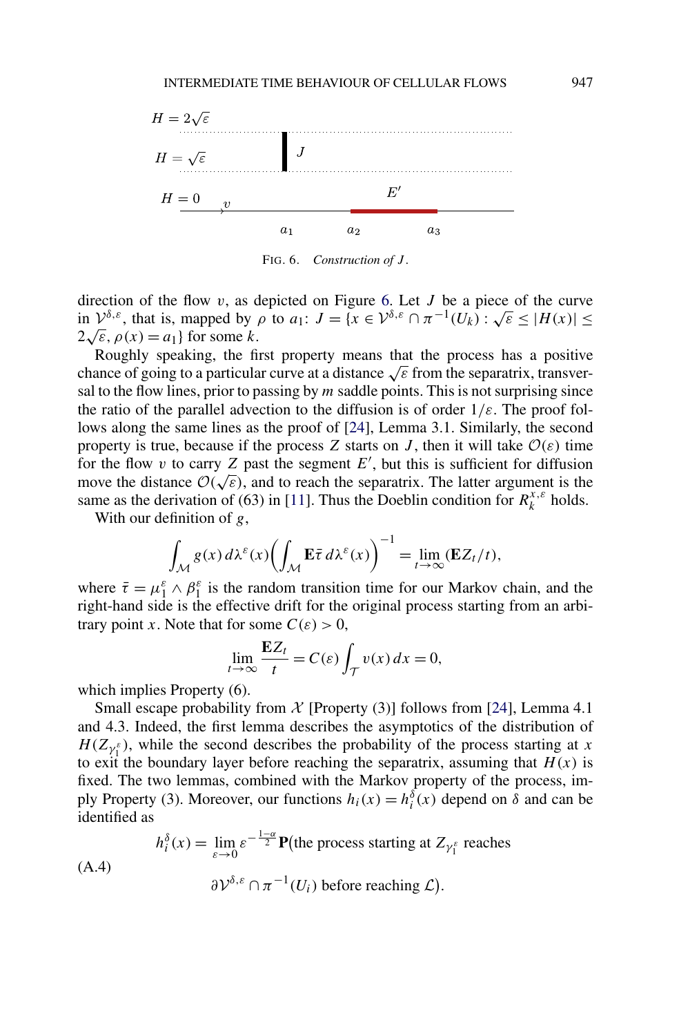<span id="page-50-0"></span>

FIG. 6. *Construction of J* .

direction of the flow *v*, as depicted on Figure 6. Let *J* be a piece of the curve direction of the flow *v*, as depicted on Figure 6. Let *J* be a piece of the curve<br>in  $\mathcal{V}^{\delta,\varepsilon}$ , that is, mapped by *ρ* to *a*<sub>1</sub>: *J* = {*x* ∈  $\mathcal{V}^{\delta,\varepsilon} \cap \pi^{-1}(U_k)$  :  $\sqrt{\varepsilon}$  ≤ |*H*(*x*)| ≤  $2\sqrt{\varepsilon}$ ,  $\rho(x) = a_1$ } for some *k*.

Roughly speaking, the first property means that the process has a positive chance of going to a particular curve at a distance <sup>√</sup>*<sup>ε</sup>* from the separatrix, transversal to the flow lines, prior to passing by *m* saddle points. This is not surprising since the ratio of the parallel advection to the diffusion is of order 1*/ε*. The proof follows along the same lines as the proof of [\[24\]](#page-57-0), Lemma 3.1. Similarly, the second property is true, because if the process *Z* starts on *J*, then it will take  $O(\varepsilon)$  time for the flow  $v$  to carry  $Z$  past the segment  $E'$ , but this is sufficient for diffusion For the how v to carry Z past the segment E, but this is sufficient for diffusion move the distance  $\mathcal{O}(\sqrt{\varepsilon})$ , and to reach the separatrix. The latter argument is the same as the derivation of (63) in [\[11\]](#page-56-0). Thus the Doeblin condition for  $R_k^{x,\varepsilon}$  holds.

With our definition of *g*,

$$
\int_{\mathcal{M}} g(x) d\lambda^{\varepsilon}(x) \biggl( \int_{\mathcal{M}} \mathbf{E} \overline{\tau} d\lambda^{\varepsilon}(x) \biggr)^{-1} = \lim_{t \to \infty} (\mathbf{E} Z_t/t),
$$

where  $\bar{\tau} = \mu_1^{\varepsilon} \wedge \beta_1^{\varepsilon}$  is the random transition time for our Markov chain, and the right-hand side is the effective drift for the original process starting from an arbitrary point *x*. Note that for some  $C(\varepsilon) > 0$ ,

$$
\lim_{t \to \infty} \frac{\mathbf{E}Z_t}{t} = C(\varepsilon) \int_{\mathcal{T}} v(x) \, dx = 0,
$$

which implies Property  $(6)$ .

Small escape probability from  $\mathcal X$  [Property (3)] follows from [\[24\]](#page-57-0), Lemma 4.1 and 4.3. Indeed, the first lemma describes the asymptotics of the distribution of  $H(Z_{\gamma_1^{\varepsilon}})$ , while the second describes the probability of the process starting at *x* to exit the boundary layer before reaching the separatrix, assuming that  $H(x)$  is fixed. The two lemmas, combined with the Markov property of the process, imply Property (3). Moreover, our functions  $h_i(x) = h_i^{\delta}(x)$  depend on  $\delta$  and can be identified as

$$
h_i^{\delta}(x) = \lim_{\varepsilon \to 0} \varepsilon^{-\frac{1-\alpha}{2}} \mathbf{P}(\text{the process starting at } Z_{\gamma_1^{\varepsilon}} \text{ reaches } (A.4)
$$

$$
\partial \mathcal{V}^{\delta,\varepsilon} \cap \pi^{-1}(U_i) \text{ before reaching } \mathcal{L}).
$$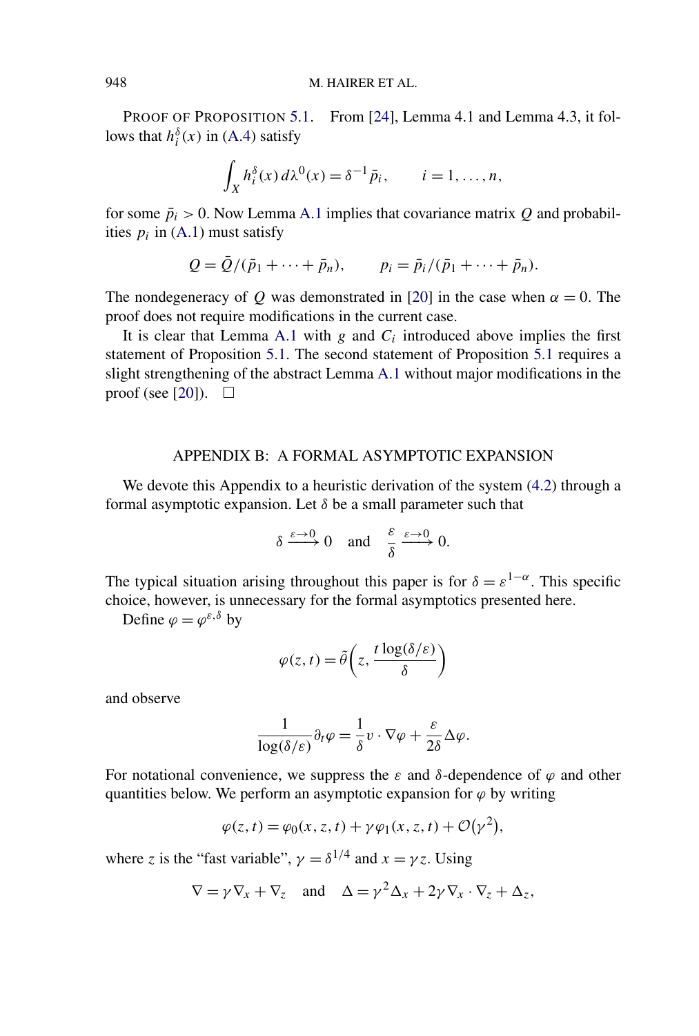PROOF OF PROPOSITION [5.1.](#page-20-0) From [\[24\]](#page-57-0), Lemma 4.1 and Lemma 4.3, it follows that  $h_i^{\delta}(x)$  in [\(A.4\)](#page-50-0) satisfy

$$
\int_X h_i^{\delta}(x) d\lambda^0(x) = \delta^{-1} \bar{p}_i, \qquad i = 1, \dots, n,
$$

for some  $\bar{p}_i > 0$ . Now Lemma [A.1](#page-47-0) implies that covariance matrix *Q* and probabilities  $p_i$  in [\(A.1\)](#page-47-0) must satisfy

$$
Q = \bar{Q}/(\bar{p}_1 + \cdots + \bar{p}_n),
$$
  $p_i = \bar{p}_i/(\bar{p}_1 + \cdots + \bar{p}_n).$ 

The nondegeneracy of *Q* was demonstrated in [\[20\]](#page-56-0) in the case when  $\alpha = 0$ . The proof does not require modifications in the current case.

It is clear that Lemma [A.1](#page-47-0) with  $g$  and  $C_i$  introduced above implies the first statement of Proposition [5.1.](#page-20-0) The second statement of Proposition [5.1](#page-20-0) requires a slight strengthening of the abstract Lemma [A.1](#page-47-0) without major modifications in the proof (see [\[20\]](#page-56-0)).  $\Box$ 

## APPENDIX B: A FORMAL ASYMPTOTIC EXPANSION

We devote this Appendix to a heuristic derivation of the system [\(4.2\)](#page-15-0) through a formal asymptotic expansion. Let  $\delta$  be a small parameter such that

$$
\delta \xrightarrow{\varepsilon \to 0} 0 \quad \text{and} \quad \frac{\varepsilon}{\delta} \xrightarrow{\varepsilon \to 0} 0.
$$

The typical situation arising throughout this paper is for  $\delta = \varepsilon^{1-\alpha}$ . This specific choice, however, is unnecessary for the formal asymptotics presented here.

Define  $\varphi = \varphi^{\varepsilon,\delta}$  by

$$
\varphi(z,t) = \tilde{\theta}\left(z, \frac{t \log(\delta/\varepsilon)}{\delta}\right)
$$

and observe

$$
\frac{1}{\log(\delta/\varepsilon)}\partial_t \varphi = \frac{1}{\delta}v \cdot \nabla \varphi + \frac{\varepsilon}{2\delta} \Delta \varphi.
$$

For notational convenience, we suppress the  $\varepsilon$  and  $\delta$ -dependence of  $\varphi$  and other quantities below. We perform an asymptotic expansion for  $\varphi$  by writing

$$
\varphi(z,t) = \varphi_0(x,z,t) + \gamma \varphi_1(x,z,t) + \mathcal{O}(\gamma^2),
$$

where *z* is the "fast variable",  $\gamma = \delta^{1/4}$  and  $x = \gamma z$ . Using

$$
\nabla = \gamma \nabla_x + \nabla_z \quad \text{and} \quad \Delta = \gamma^2 \Delta_x + 2\gamma \nabla_x \cdot \nabla_z + \Delta_z,
$$

<span id="page-51-0"></span>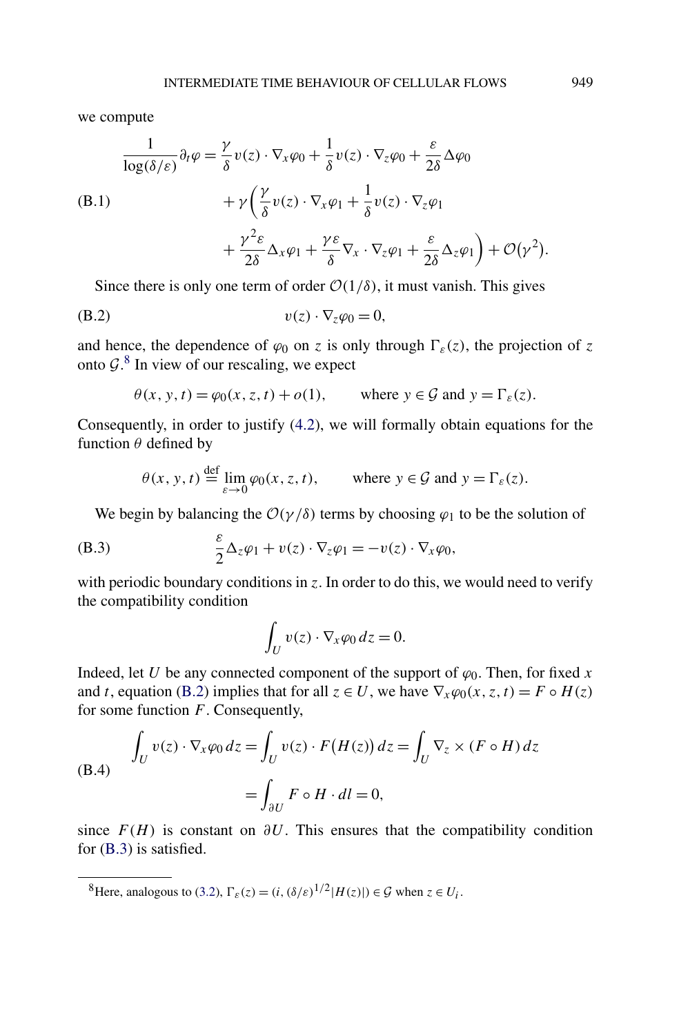<span id="page-52-0"></span>we compute

$$
\frac{1}{\log(\delta/\varepsilon)} \partial_t \varphi = \frac{\gamma}{\delta} v(z) \cdot \nabla_x \varphi_0 + \frac{1}{\delta} v(z) \cdot \nabla_z \varphi_0 + \frac{\varepsilon}{2\delta} \Delta \varphi_0
$$
\n(B.1)\n
$$
+ \gamma \left( \frac{\gamma}{\delta} v(z) \cdot \nabla_x \varphi_1 + \frac{1}{\delta} v(z) \cdot \nabla_z \varphi_1 + \frac{\gamma}{2\delta} \Delta_x \varphi_1 + \frac{\gamma \varepsilon}{2\delta} \Delta_x \varphi_1 + \frac{\gamma \varepsilon}{2\delta} \Delta_z \varphi_1 + \frac{\varepsilon}{2\delta} \Delta_z \varphi_1 \right) + \mathcal{O}(\gamma^2).
$$

Since there is only one term of order  $O(1/\delta)$ , it must vanish. This gives

$$
(B.2) \t v(z) \cdot \nabla_z \varphi_0 = 0,
$$

and hence, the dependence of  $\varphi_0$  on *z* is only through  $\Gamma_{\varepsilon}(z)$ , the projection of *z* onto  $\mathcal{G}$ .<sup>8</sup> In view of our rescaling, we expect

$$
\theta(x, y, t) = \varphi_0(x, z, t) + o(1)
$$
, where  $y \in \mathcal{G}$  and  $y = \Gamma_{\varepsilon}(z)$ .

Consequently, in order to justify [\(4.2\)](#page-15-0), we will formally obtain equations for the function *θ* defined by

$$
\theta(x, y, t) \stackrel{\text{def}}{=} \lim_{\varepsilon \to 0} \varphi_0(x, z, t), \qquad \text{where } y \in \mathcal{G} \text{ and } y = \Gamma_{\varepsilon}(z).
$$

We begin by balancing the  $O(\gamma/\delta)$  terms by choosing  $\varphi_1$  to be the solution of

(B.3) 
$$
\frac{\varepsilon}{2} \Delta_z \varphi_1 + v(z) \cdot \nabla_z \varphi_1 = -v(z) \cdot \nabla_x \varphi_0,
$$

with periodic boundary conditions in *z*. In order to do this, we would need to verify the compatibility condition

$$
\int_U v(z) \cdot \nabla_x \varphi_0 \, dz = 0.
$$

Indeed, let *U* be any connected component of the support of  $\varphi_0$ . Then, for fixed *x* and *t*, equation (B.2) implies that for all  $z \in U$ , we have  $\nabla_x \varphi_0(x, z, t) = F \circ H(z)$ for some function *F*. Consequently,

(B.4) 
$$
\int_{U} v(z) \cdot \nabla_{x} \varphi_{0} dz = \int_{U} v(z) \cdot F(H(z)) dz = \int_{U} \nabla_{z} \times (F \circ H) dz
$$

$$
= \int_{\partial U} F \circ H \cdot dl = 0,
$$

since  $F(H)$  is constant on  $\partial U$ . This ensures that the compatibility condition for (B.3) is satisfied.

<sup>8</sup>Here, analogous to [\(3.2\)](#page-10-0),  $\Gamma_{\varepsilon}(z) = (i, (\delta/\varepsilon)^{1/2} |H(z)|) \in \mathcal{G}$  when  $z \in U_i$ .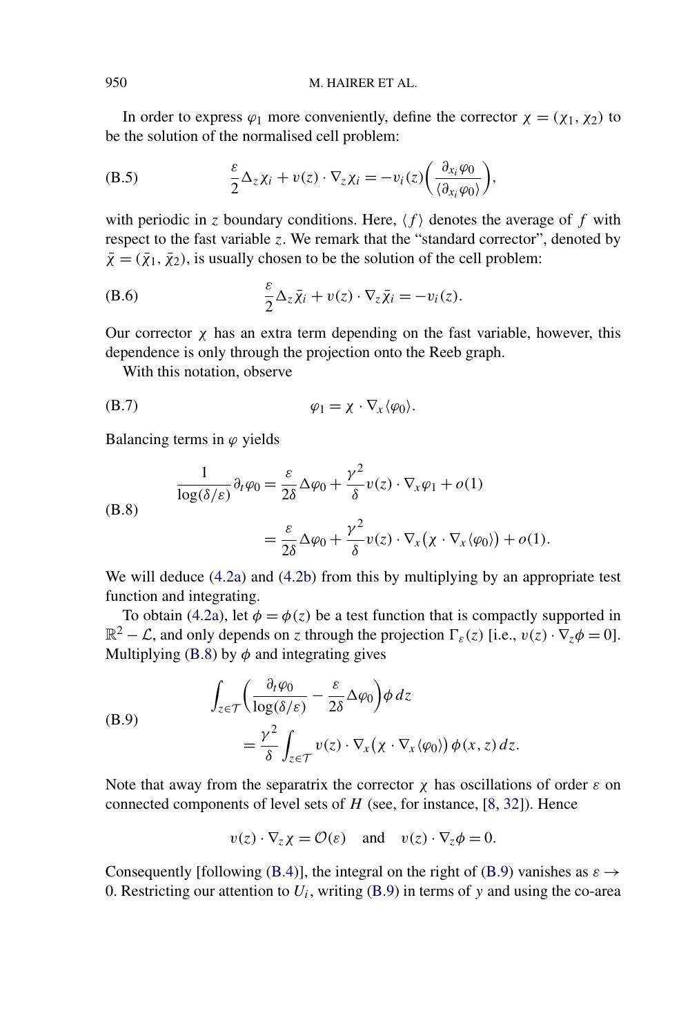In order to express  $\varphi_1$  more conveniently, define the corrector  $\chi = (\chi_1, \chi_2)$  to be the solution of the normalised cell problem:

(B.5) 
$$
\frac{\varepsilon}{2} \Delta_z \chi_i + v(z) \cdot \nabla_z \chi_i = -v_i(z) \left( \frac{\partial_{x_i} \varphi_0}{\langle \partial_{x_i} \varphi_0 \rangle} \right),
$$

with periodic in *z* boundary conditions. Here,  $\langle f \rangle$  denotes the average of *f* with respect to the fast variable *z*. We remark that the "standard corrector", denoted by  $\bar{\chi} = (\bar{\chi}_1, \bar{\chi}_2)$ , is usually chosen to be the solution of the cell problem:

(B.6) 
$$
\frac{\varepsilon}{2} \Delta_z \bar{\chi}_i + v(z) \cdot \nabla_z \bar{\chi}_i = -v_i(z).
$$

Our corrector  $\chi$  has an extra term depending on the fast variable, however, this dependence is only through the projection onto the Reeb graph.

With this notation, observe

$$
\varphi_1 = \chi \cdot \nabla_x \langle \varphi_0 \rangle.
$$

Balancing terms in  $\varphi$  yields

(B.8)  
\n
$$
\frac{1}{\log(\delta/\varepsilon)} \partial_t \varphi_0 = \frac{\varepsilon}{2\delta} \Delta \varphi_0 + \frac{\gamma^2}{\delta} v(z) \cdot \nabla_x \varphi_1 + o(1)
$$
\n
$$
= \frac{\varepsilon}{2\delta} \Delta \varphi_0 + \frac{\gamma^2}{\delta} v(z) \cdot \nabla_x (\chi \cdot \nabla_x \langle \varphi_0 \rangle) + o(1).
$$

We will deduce [\(4.2a\)](#page-15-0) and [\(4.2b\)](#page-15-0) from this by multiplying by an appropriate test function and integrating.

To obtain [\(4.2a\)](#page-15-0), let  $\phi = \phi(z)$  be a test function that is compactly supported in  $\mathbb{R}^2 - \mathcal{L}$ , and only depends on *z* through the projection  $\Gamma_{\varepsilon}(z)$  [i.e.,  $v(z) \cdot \nabla_z \phi = 0$ ]. Multiplying (B.8) by  $\phi$  and integrating gives

(B.9)  
\n
$$
\int_{z \in \mathcal{T}} \left( \frac{\partial_t \varphi_0}{\log(\delta/\varepsilon)} - \frac{\varepsilon}{2\delta} \Delta \varphi_0 \right) \phi \, dz
$$
\n
$$
= \frac{\gamma^2}{\delta} \int_{z \in \mathcal{T}} v(z) \cdot \nabla_x (\chi \cdot \nabla_x \langle \varphi_0 \rangle) \phi(x, z) \, dz.
$$

Note that away from the separatrix the corrector  $\chi$  has oscillations of order  $\varepsilon$  on connected components of level sets of *H* (see, for instance, [\[8,](#page-56-0) [32\]](#page-57-0)). Hence

$$
v(z) \cdot \nabla_z \chi = \mathcal{O}(\varepsilon)
$$
 and  $v(z) \cdot \nabla_z \phi = 0$ .

Consequently [following [\(B.4\)](#page-52-0)], the integral on the right of (B.9) vanishes as  $\varepsilon \rightarrow$ 0. Restricting our attention to  $U_i$ , writing  $(B.9)$  in terms of y and using the co-area

<span id="page-53-0"></span>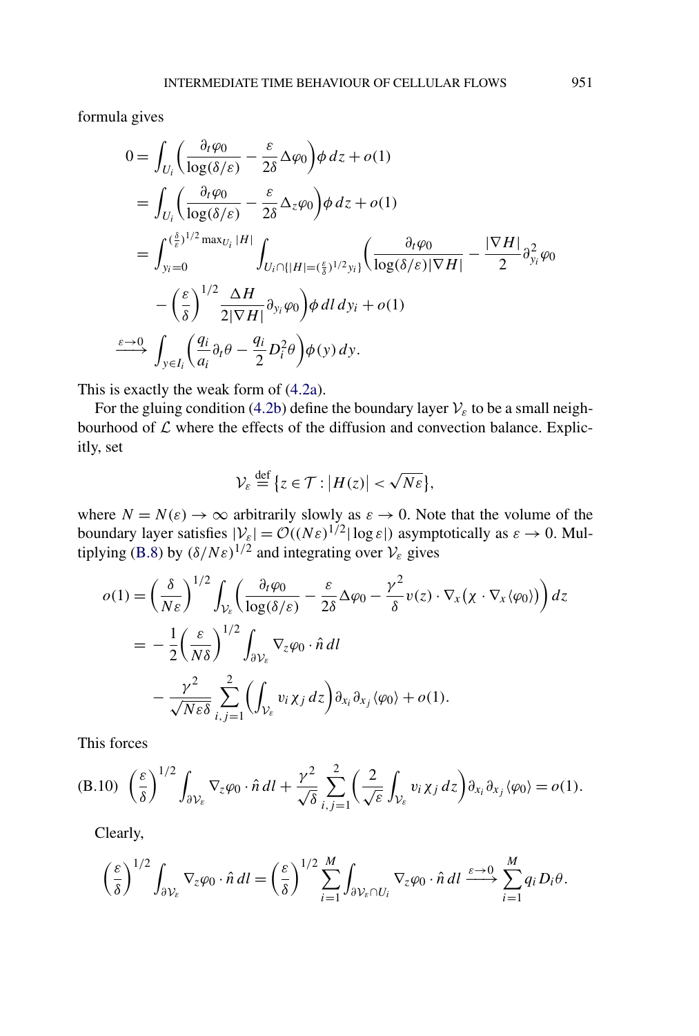<span id="page-54-0"></span>formula gives

$$
0 = \int_{U_i} \left( \frac{\partial_t \varphi_0}{\log(\delta/\varepsilon)} - \frac{\varepsilon}{2\delta} \Delta \varphi_0 \right) \phi \, dz + o(1)
$$
  
\n
$$
= \int_{U_i} \left( \frac{\partial_t \varphi_0}{\log(\delta/\varepsilon)} - \frac{\varepsilon}{2\delta} \Delta_z \varphi_0 \right) \phi \, dz + o(1)
$$
  
\n
$$
= \int_{y_i=0}^{(\frac{\delta}{\varepsilon})^{1/2} \max_{U_i} |H|} \int_{U_i \cap \{|H| = (\frac{\varepsilon}{\delta})^{1/2} y_i\}} \left( \frac{\partial_t \varphi_0}{\log(\delta/\varepsilon) |\nabla H|} - \frac{|\nabla H|}{2} \partial_{y_i}^2 \varphi_0 \right)
$$
  
\n
$$
- \left( \frac{\varepsilon}{\delta} \right)^{1/2} \frac{\Delta H}{2|\nabla H|} \partial_{y_i} \varphi_0 \right) \phi \, dl \, dy_i + o(1)
$$
  
\n
$$
\xrightarrow{\varepsilon \to 0} \int_{y \in I_i} \left( \frac{q_i}{a_i} \partial_t \theta - \frac{q_i}{2} D_i^2 \theta \right) \phi(y) \, dy.
$$

This is exactly the weak form of [\(4.2a\)](#page-15-0).

For the gluing condition [\(4.2b\)](#page-15-0) define the boundary layer  $V_{\varepsilon}$  to be a small neighbourhood of  $\mathcal L$  where the effects of the diffusion and convection balance. Explicitly, set

$$
\mathcal{V}_{\varepsilon} \stackrel{\text{def}}{=} \{ z \in \mathcal{T} : |H(z)| < \sqrt{N \varepsilon} \},
$$

where  $N = N(\varepsilon) \to \infty$  arbitrarily slowly as  $\varepsilon \to 0$ . Note that the volume of the boundary layer satisfies  $|V_{\varepsilon}| = O((N\varepsilon)^{1/2} |\log \varepsilon|)$  asymptotically as  $\varepsilon \to 0$ . Mul-tiplying [\(B.8\)](#page-53-0) by  $(\delta/N\varepsilon)^{1/2}$  and integrating over  $V_{\varepsilon}$  gives

$$
o(1) = \left(\frac{\delta}{N\varepsilon}\right)^{1/2} \int_{\mathcal{V}_{\varepsilon}} \left(\frac{\partial_t \varphi_0}{\log(\delta/\varepsilon)} - \frac{\varepsilon}{2\delta} \Delta \varphi_0 - \frac{\gamma^2}{\delta} v(z) \cdot \nabla_x (\chi \cdot \nabla_x \langle \varphi_0 \rangle)\right) dz
$$
  
= 
$$
- \frac{1}{2} \left(\frac{\varepsilon}{N\delta}\right)^{1/2} \int_{\partial \mathcal{V}_{\varepsilon}} \nabla_z \varphi_0 \cdot \hat{n} dl
$$
  

$$
- \frac{\gamma^2}{\sqrt{N\varepsilon \delta}} \sum_{i,j=1}^2 \left(\int_{\mathcal{V}_{\varepsilon}} v_i \chi_j dz\right) \partial_{x_i} \partial_{x_j} \langle \varphi_0 \rangle + o(1).
$$

This forces

(B.10) 
$$
\left(\frac{\varepsilon}{\delta}\right)^{1/2} \int_{\partial \mathcal{V}_{\varepsilon}} \nabla_z \varphi_0 \cdot \hat{n} \, dl + \frac{\gamma^2}{\sqrt{\delta}} \sum_{i,j=1}^2 \left(\frac{2}{\sqrt{\varepsilon}} \int_{\mathcal{V}_{\varepsilon}} v_i \chi_j \, dz\right) \partial_{x_i} \partial_{x_j} \langle \varphi_0 \rangle = o(1).
$$

Clearly,

$$
\left(\frac{\varepsilon}{\delta}\right)^{1/2} \int_{\partial \mathcal{V}_{\varepsilon}} \nabla_{z} \varphi_{0} \cdot \hat{n} \, dl = \left(\frac{\varepsilon}{\delta}\right)^{1/2} \sum_{i=1}^{M} \int_{\partial \mathcal{V}_{\varepsilon} \cap U_{i}} \nabla_{z} \varphi_{0} \cdot \hat{n} \, dl \xrightarrow{\varepsilon \to 0} \sum_{i=1}^{M} q_{i} D_{i} \theta.
$$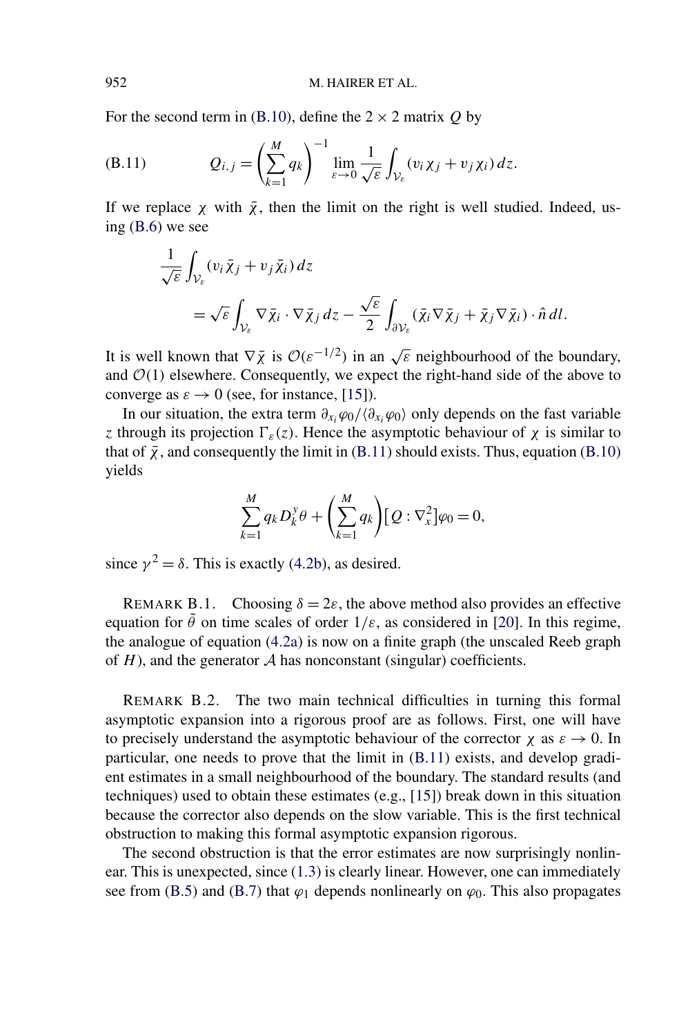<span id="page-55-0"></span>For the second term in [\(B.10\)](#page-54-0), define the  $2 \times 2$  matrix  $Q$  by

(B.11) 
$$
Q_{i,j} = \left(\sum_{k=1}^{M} q_k\right)^{-1} \lim_{\varepsilon \to 0} \frac{1}{\sqrt{\varepsilon}} \int_{\mathcal{V}_{\varepsilon}} (v_i \chi_j + v_j \chi_i) dz.
$$

If we replace  $\chi$  with  $\bar{\chi}$ , then the limit on the right is well studied. Indeed, using [\(B.6\)](#page-53-0) we see

$$
\frac{1}{\sqrt{\varepsilon}} \int_{\mathcal{V}_{\varepsilon}} (v_i \bar{\chi}_j + v_j \bar{\chi}_i) dz
$$
  
=  $\sqrt{\varepsilon} \int_{\mathcal{V}_{\varepsilon}} \nabla \bar{\chi}_i \cdot \nabla \bar{\chi}_j dz - \frac{\sqrt{\varepsilon}}{2} \int_{\partial \mathcal{V}_{\varepsilon}} (\bar{\chi}_i \nabla \bar{\chi}_j + \bar{\chi}_j \nabla \bar{\chi}_i) \cdot \hat{n} dl.$ 

It is well known that  $\nabla \bar{\chi}$  is  $\mathcal{O}(\varepsilon^{-1/2})$  in an  $\sqrt{\varepsilon}$  neighbourhood of the boundary, and  $O(1)$  elsewhere. Consequently, we expect the right-hand side of the above to converge as  $\varepsilon \to 0$  (see, for instance, [\[15\]](#page-56-0)).

In our situation, the extra term  $\partial_{x_i} \varphi_0 / \langle \partial_{x_i} \varphi_0 \rangle$  only depends on the fast variable *z* through its projection  $\Gamma_{\varepsilon}(z)$ . Hence the asymptotic behaviour of  $\chi$  is similar to that of  $\bar{\chi}$ , and consequently the limit in (B.11) should exists. Thus, equation [\(B.10\)](#page-54-0) yields

$$
\sum_{k=1}^{M} q_k D_k^y \theta + \left(\sum_{k=1}^{M} q_k\right) [Q : \nabla_x^2] \varphi_0 = 0,
$$

since  $\gamma^2 = \delta$ . This is exactly [\(4.2b\)](#page-15-0), as desired.

REMARK B.1. Choosing  $\delta = 2\varepsilon$ , the above method also provides an effective equation for  $\tilde{\theta}$  on time scales of order  $1/\varepsilon$ , as considered in [\[20\]](#page-56-0). In this regime, the analogue of equation [\(4.2a\)](#page-15-0) is now on a finite graph (the unscaled Reeb graph of  $H$ ), and the generator  $A$  has nonconstant (singular) coefficients.

REMARK B.2. The two main technical difficulties in turning this formal asymptotic expansion into a rigorous proof are as follows. First, one will have to precisely understand the asymptotic behaviour of the corrector  $\chi$  as  $\varepsilon \to 0$ . In particular, one needs to prove that the limit in (B.11) exists, and develop gradient estimates in a small neighbourhood of the boundary. The standard results (and techniques) used to obtain these estimates (e.g., [\[15\]](#page-56-0)) break down in this situation because the corrector also depends on the slow variable. This is the first technical obstruction to making this formal asymptotic expansion rigorous.

The second obstruction is that the error estimates are now surprisingly nonlinear. This is unexpected, since [\(1.3\)](#page-3-0) is clearly linear. However, one can immediately see from [\(B.5\)](#page-53-0) and [\(B.7\)](#page-53-0) that  $\varphi_1$  depends nonlinearly on  $\varphi_0$ . This also propagates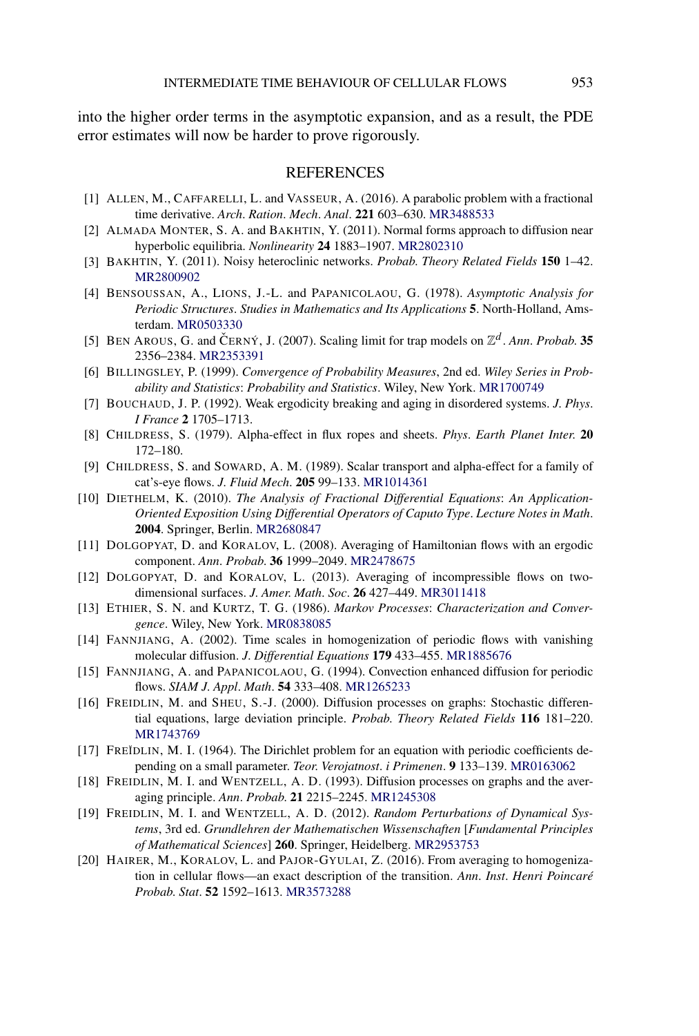<span id="page-56-0"></span>into the higher order terms in the asymptotic expansion, and as a result, the PDE error estimates will now be harder to prove rigorously.

### **REFERENCES**

- [1] ALLEN, M., CAFFARELLI, L. and VASSEUR, A. (2016). A parabolic problem with a fractional time derivative. *Arch*. *Ration*. *Mech*. *Anal*. **221** 603–630. [MR3488533](http://www.ams.org/mathscinet-getitem?mr=3488533)
- [2] ALMADA MONTER, S. A. and BAKHTIN, Y. (2011). Normal forms approach to diffusion near hyperbolic equilibria. *Nonlinearity* **24** 1883–1907. [MR2802310](http://www.ams.org/mathscinet-getitem?mr=2802310)
- [3] BAKHTIN, Y. (2011). Noisy heteroclinic networks. *Probab*. *Theory Related Fields* **150** 1–42. [MR2800902](http://www.ams.org/mathscinet-getitem?mr=2800902)
- [4] BENSOUSSAN, A., LIONS, J.-L. and PAPANICOLAOU, G. (1978). *Asymptotic Analysis for Periodic Structures*. *Studies in Mathematics and Its Applications* **5**. North-Holland, Amsterdam. [MR0503330](http://www.ams.org/mathscinet-getitem?mr=0503330)
- [5] BEN AROUS, G. and ČERNÝ, J. (2007). Scaling limit for trap models on  $\mathbb{Z}^d$ . *Ann. Probab.* **35** 2356–2384. [MR2353391](http://www.ams.org/mathscinet-getitem?mr=2353391)
- [6] BILLINGSLEY, P. (1999). *Convergence of Probability Measures*, 2nd ed. *Wiley Series in Probability and Statistics*: *Probability and Statistics*. Wiley, New York. [MR1700749](http://www.ams.org/mathscinet-getitem?mr=1700749)
- [7] BOUCHAUD, J. P. (1992). Weak ergodicity breaking and aging in disordered systems. *J*. *Phys*. *I France* **2** 1705–1713.
- [8] CHILDRESS, S. (1979). Alpha-effect in flux ropes and sheets. *Phys*. *Earth Planet Inter*. **20** 172–180.
- [9] CHILDRESS, S. and SOWARD, A. M. (1989). Scalar transport and alpha-effect for a family of cat's-eye flows. *J*. *Fluid Mech*. **205** 99–133. [MR1014361](http://www.ams.org/mathscinet-getitem?mr=1014361)
- [10] DIETHELM, K. (2010). *The Analysis of Fractional Differential Equations*: *An Application-Oriented Exposition Using Differential Operators of Caputo Type*. *Lecture Notes in Math*. **2004**. Springer, Berlin. [MR2680847](http://www.ams.org/mathscinet-getitem?mr=2680847)
- [11] DOLGOPYAT, D. and KORALOV, L. (2008). Averaging of Hamiltonian flows with an ergodic component. *Ann*. *Probab*. **36** 1999–2049. [MR2478675](http://www.ams.org/mathscinet-getitem?mr=2478675)
- [12] DOLGOPYAT, D. and KORALOV, L. (2013). Averaging of incompressible flows on twodimensional surfaces. *J*. *Amer*. *Math*. *Soc*. **26** 427–449. [MR3011418](http://www.ams.org/mathscinet-getitem?mr=3011418)
- [13] ETHIER, S. N. and KURTZ, T. G. (1986). *Markov Processes*: *Characterization and Convergence*. Wiley, New York. [MR0838085](http://www.ams.org/mathscinet-getitem?mr=0838085)
- [14] FANNJIANG, A. (2002). Time scales in homogenization of periodic flows with vanishing molecular diffusion. *J*. *Differential Equations* **179** 433–455. [MR1885676](http://www.ams.org/mathscinet-getitem?mr=1885676)
- [15] FANNJIANG, A. and PAPANICOLAOU, G. (1994). Convection enhanced diffusion for periodic flows. *SIAM J*. *Appl*. *Math*. **54** 333–408. [MR1265233](http://www.ams.org/mathscinet-getitem?mr=1265233)
- [16] FREIDLIN, M. and SHEU, S.-J. (2000). Diffusion processes on graphs: Stochastic differential equations, large deviation principle. *Probab*. *Theory Related Fields* **116** 181–220. [MR1743769](http://www.ams.org/mathscinet-getitem?mr=1743769)
- [17] FREĬDLIN, M. I. (1964). The Dirichlet problem for an equation with periodic coefficients depending on a small parameter. *Teor*. *Verojatnost*. *i Primenen*. **9** 133–139. [MR0163062](http://www.ams.org/mathscinet-getitem?mr=0163062)
- [18] FREIDLIN, M. I. and WENTZELL, A. D. (1993). Diffusion processes on graphs and the averaging principle. *Ann*. *Probab*. **21** 2215–2245. [MR1245308](http://www.ams.org/mathscinet-getitem?mr=1245308)
- [19] FREIDLIN, M. I. and WENTZELL, A. D. (2012). *Random Perturbations of Dynamical Systems*, 3rd ed. *Grundlehren der Mathematischen Wissenschaften* [*Fundamental Principles of Mathematical Sciences*] **260**. Springer, Heidelberg. [MR2953753](http://www.ams.org/mathscinet-getitem?mr=2953753)
- [20] HAIRER, M., KORALOV, L. and PAJOR-GYULAI, Z. (2016). From averaging to homogenization in cellular flows—an exact description of the transition. *Ann*. *Inst*. *Henri Poincaré Probab*. *Stat*. **52** 1592–1613. [MR3573288](http://www.ams.org/mathscinet-getitem?mr=3573288)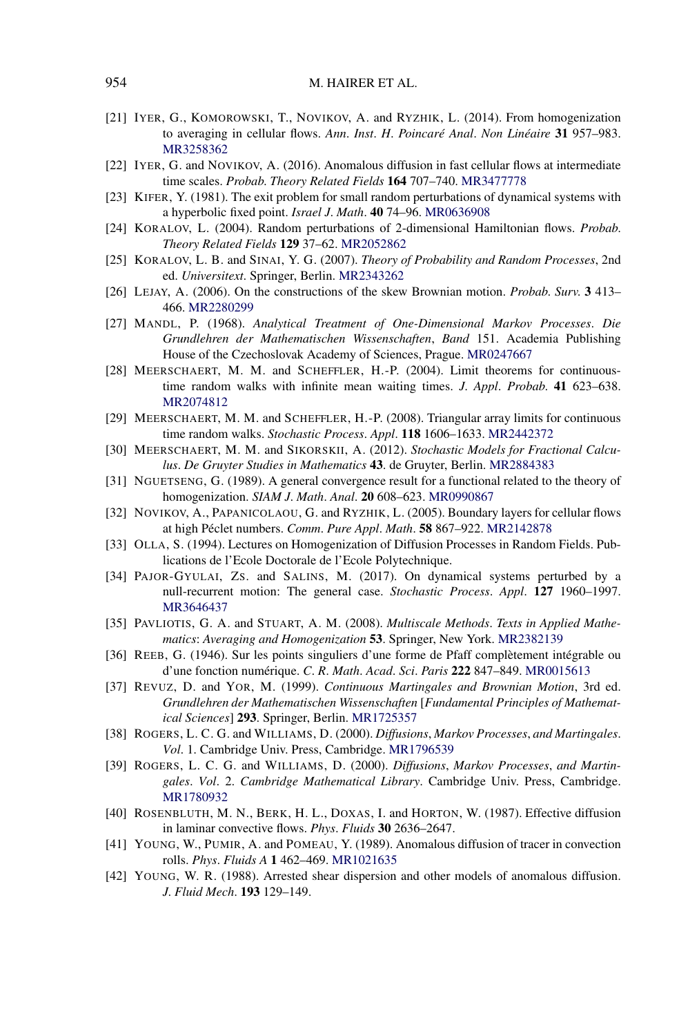- <span id="page-57-0"></span>[21] IYER, G., KOMOROWSKI, T., NOVIKOV, A. and RYZHIK, L. (2014). From homogenization to averaging in cellular flows. *Ann*. *Inst*. *H*. *Poincaré Anal*. *Non Linéaire* **31** 957–983. [MR3258362](http://www.ams.org/mathscinet-getitem?mr=3258362)
- [22] IYER, G. and NOVIKOV, A. (2016). Anomalous diffusion in fast cellular flows at intermediate time scales. *Probab*. *Theory Related Fields* **164** 707–740. [MR3477778](http://www.ams.org/mathscinet-getitem?mr=3477778)
- [23] KIFER, Y. (1981). The exit problem for small random perturbations of dynamical systems with a hyperbolic fixed point. *Israel J*. *Math*. **40** 74–96. [MR0636908](http://www.ams.org/mathscinet-getitem?mr=0636908)
- [24] KORALOV, L. (2004). Random perturbations of 2-dimensional Hamiltonian flows. *Probab*. *Theory Related Fields* **129** 37–62. [MR2052862](http://www.ams.org/mathscinet-getitem?mr=2052862)
- [25] KORALOV, L. B. and SINAI, Y. G. (2007). *Theory of Probability and Random Processes*, 2nd ed. *Universitext*. Springer, Berlin. [MR2343262](http://www.ams.org/mathscinet-getitem?mr=2343262)
- [26] LEJAY, A. (2006). On the constructions of the skew Brownian motion. *Probab*. *Surv*. **3** 413– 466. [MR2280299](http://www.ams.org/mathscinet-getitem?mr=2280299)
- [27] MANDL, P. (1968). *Analytical Treatment of One-Dimensional Markov Processes*. *Die Grundlehren der Mathematischen Wissenschaften*, *Band* 151. Academia Publishing House of the Czechoslovak Academy of Sciences, Prague. [MR0247667](http://www.ams.org/mathscinet-getitem?mr=0247667)
- [28] MEERSCHAERT, M. M. and SCHEFFLER, H.-P. (2004). Limit theorems for continuoustime random walks with infinite mean waiting times. *J*. *Appl*. *Probab*. **41** 623–638. [MR2074812](http://www.ams.org/mathscinet-getitem?mr=2074812)
- [29] MEERSCHAERT, M. M. and SCHEFFLER, H.-P. (2008). Triangular array limits for continuous time random walks. *Stochastic Process*. *Appl*. **118** 1606–1633. [MR2442372](http://www.ams.org/mathscinet-getitem?mr=2442372)
- [30] MEERSCHAERT, M. M. and SIKORSKII, A. (2012). *Stochastic Models for Fractional Calculus*. *De Gruyter Studies in Mathematics* **43**. de Gruyter, Berlin. [MR2884383](http://www.ams.org/mathscinet-getitem?mr=2884383)
- [31] NGUETSENG, G. (1989). A general convergence result for a functional related to the theory of homogenization. *SIAM J*. *Math*. *Anal*. **20** 608–623. [MR0990867](http://www.ams.org/mathscinet-getitem?mr=0990867)
- [32] NOVIKOV, A., PAPANICOLAOU, G. and RYZHIK, L. (2005). Boundary layers for cellular flows at high Péclet numbers. *Comm*. *Pure Appl*. *Math*. **58** 867–922. [MR2142878](http://www.ams.org/mathscinet-getitem?mr=2142878)
- [33] OLLA, S. (1994). Lectures on Homogenization of Diffusion Processes in Random Fields. Publications de l'Ecole Doctorale de l'Ecole Polytechnique.
- [34] PAJOR-GYULAI, ZS. and SALINS, M. (2017). On dynamical systems perturbed by a null-recurrent motion: The general case. *Stochastic Process*. *Appl*. **127** 1960–1997. [MR3646437](http://www.ams.org/mathscinet-getitem?mr=3646437)
- [35] PAVLIOTIS, G. A. and STUART, A. M. (2008). *Multiscale Methods*. *Texts in Applied Mathematics*: *Averaging and Homogenization* **53**. Springer, New York. [MR2382139](http://www.ams.org/mathscinet-getitem?mr=2382139)
- [36] REEB, G. (1946). Sur les points singuliers d'une forme de Pfaff complètement intégrable ou d'une fonction numérique. *C*. *R*. *Math*. *Acad*. *Sci*. *Paris* **222** 847–849. [MR0015613](http://www.ams.org/mathscinet-getitem?mr=0015613)
- [37] REVUZ, D. and YOR, M. (1999). *Continuous Martingales and Brownian Motion*, 3rd ed. *Grundlehren der Mathematischen Wissenschaften* [*Fundamental Principles of Mathematical Sciences*] **293**. Springer, Berlin. [MR1725357](http://www.ams.org/mathscinet-getitem?mr=1725357)
- [38] ROGERS, L. C. G. and WILLIAMS, D. (2000). *Diffusions*, *Markov Processes*, *and Martingales*. *Vol*. 1. Cambridge Univ. Press, Cambridge. [MR1796539](http://www.ams.org/mathscinet-getitem?mr=1796539)
- [39] ROGERS, L. C. G. and WILLIAMS, D. (2000). *Diffusions*, *Markov Processes*, *and Martingales*. *Vol*. 2. *Cambridge Mathematical Library*. Cambridge Univ. Press, Cambridge. [MR1780932](http://www.ams.org/mathscinet-getitem?mr=1780932)
- [40] ROSENBLUTH, M. N., BERK, H. L., DOXAS, I. and HORTON, W. (1987). Effective diffusion in laminar convective flows. *Phys*. *Fluids* **30** 2636–2647.
- [41] YOUNG, W., PUMIR, A. and POMEAU, Y. (1989). Anomalous diffusion of tracer in convection rolls. *Phys*. *Fluids A* **1** 462–469. [MR1021635](http://www.ams.org/mathscinet-getitem?mr=1021635)
- [42] YOUNG, W. R. (1988). Arrested shear dispersion and other models of anomalous diffusion. *J*. *Fluid Mech*. **193** 129–149.